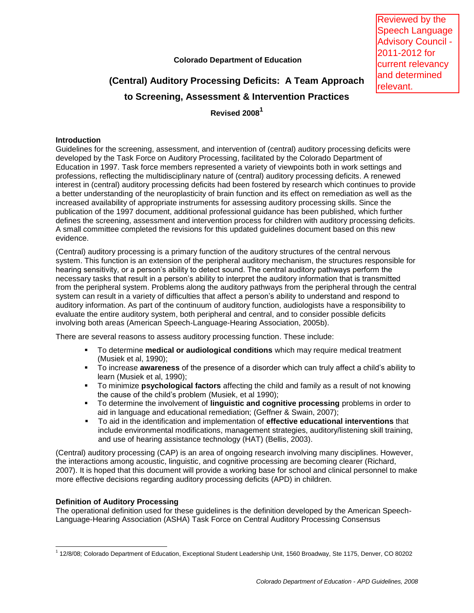## **Colorado Department of Education**

# **(Central) Auditory Processing Deficits: A Team Approach to Screening, Assessment & Intervention Practices**

Speech Language Reviewed by the Advisory Council - 2011-2012 for current relevancy and determined relevant.

**Revised 2008<sup>1</sup>**

## **Introduction**

Guidelines for the screening, assessment, and intervention of (central) auditory processing deficits were developed by the Task Force on Auditory Processing, facilitated by the Colorado Department of Education in 1997. Task force members represented a variety of viewpoints both in work settings and professions, reflecting the multidisciplinary nature of (central) auditory processing deficits. A renewed interest in (central) auditory processing deficits had been fostered by research which continues to provide a better understanding of the neuroplasticity of brain function and its effect on remediation as well as the increased availability of appropriate instruments for assessing auditory processing skills. Since the publication of the 1997 document, additional professional guidance has been published, which further defines the screening, assessment and intervention process for children with auditory processing deficits. A small committee completed the revisions for this updated guidelines document based on this new evidence.

(Central) auditory processing is a primary function of the auditory structures of the central nervous system. This function is an extension of the peripheral auditory mechanism, the structures responsible for hearing sensitivity, or a person's ability to detect sound. The central auditory pathways perform the necessary tasks that result in a person's ability to interpret the auditory information that is transmitted from the peripheral system. Problems along the auditory pathways from the peripheral through the central system can result in a variety of difficulties that affect a person's ability to understand and respond to auditory information. As part of the continuum of auditory function, audiologists have a responsibility to evaluate the entire auditory system, both peripheral and central, and to consider possible deficits involving both areas (American Speech-Language-Hearing Association, 2005b).

There are several reasons to assess auditory processing function. These include:

- To determine **medical or audiological conditions** which may require medical treatment (Musiek et al, 1990);
- To increase **awareness** of the presence of a disorder which can truly affect a child's ability to learn (Musiek et al, 1990);
- To minimize **psychological factors** affecting the child and family as a result of not knowing the cause of the child's problem (Musiek, et al 1990);
- To determine the involvement of **linguistic and cognitive processing** problems in order to aid in language and educational remediation; (Geffner & Swain, 2007);
- To aid in the identification and implementation of **effective educational interventions** that include environmental modifications, management strategies, auditory/listening skill training, and use of hearing assistance technology (HAT) (Bellis, 2003).

(Central) auditory processing (CAP) is an area of ongoing research involving many disciplines. However, the interactions among acoustic, linguistic, and cognitive processing are becoming clearer (Richard, 2007). It is hoped that this document will provide a working base for school and clinical personnel to make more effective decisions regarding auditory processing deficits (APD) in children.

#### **Definition of Auditory Processing**

l

The operational definition used for these guidelines is the definition developed by the American Speech-Language-Hearing Association (ASHA) Task Force on Central Auditory Processing Consensus

<sup>1</sup> 12/8/08; Colorado Department of Education, Exceptional Student Leadership Unit, 1560 Broadway, Ste 1175, Denver, CO 80202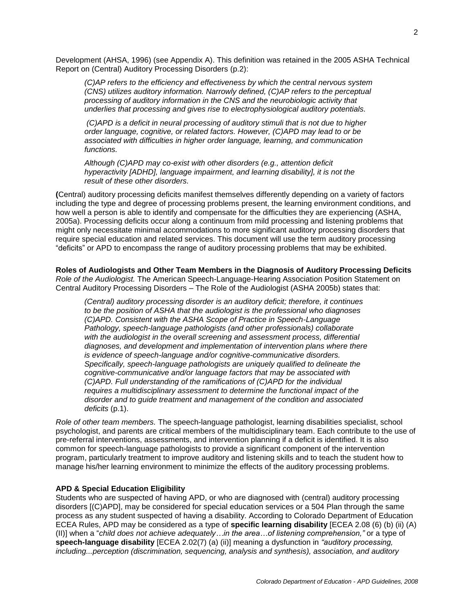Development (AHSA, 1996) (see Appendix A). This definition was retained in the 2005 ASHA Technical Report on (Central) Auditory Processing Disorders (p.2):

*(C)AP refers to the efficiency and effectiveness by which the central nervous system (CNS) utilizes auditory information. Narrowly defined, (C)AP refers to the perceptual processing of auditory information in the CNS and the neurobiologic activity that underlies that processing and gives rise to electrophysiological auditory potentials.*

*(C)APD is a deficit in neural processing of auditory stimuli that is not due to higher order language, cognitive, or related factors. However, (C)APD may lead to or be associated with difficulties in higher order language, learning, and communication functions.*

*Although (C)APD may co-exist with other disorders (e.g., attention deficit hyperactivity [ADHD], language impairment, and learning disability], it is not the result of these other disorders.*

**(**Central) auditory processing deficits manifest themselves differently depending on a variety of factors including the type and degree of processing problems present, the learning environment conditions, and how well a person is able to identify and compensate for the difficulties they are experiencing (ASHA, 2005a). Processing deficits occur along a continuum from mild processing and listening problems that might only necessitate minimal accommodations to more significant auditory processing disorders that require special education and related services. This document will use the term auditory processing "deficits" or APD to encompass the range of auditory processing problems that may be exhibited.

**Roles of Audiologists and Other Team Members in the Diagnosis of Auditory Processing Deficits** *Role of the Audiologist.* The American Speech-Language-Hearing Association Position Statement on Central Auditory Processing Disorders – The Role of the Audiologist (ASHA 2005b) states that:

*(Central) auditory processing disorder is an auditory deficit; therefore, it continues to be the position of ASHA that the audiologist is the professional who diagnoses (C)APD. Consistent with the ASHA Scope of Practice in Speech-Language Pathology, speech-language pathologists (and other professionals) collaborate with the audiologist in the overall screening and assessment process, differential diagnoses, and development and implementation of intervention plans where there is evidence of speech-language and/or cognitive-communicative disorders. Specifically, speech-language pathologists are uniquely qualified to delineate the cognitive-communicative and/or language factors that may be associated with (C)APD. Full understanding of the ramifications of (C)APD for the individual requires a multidisciplinary assessment to determine the functional impact of the disorder and to guide treatment and management of the condition and associated deficits* (p.1).

*Role of other team members.* The speech-language pathologist, learning disabilities specialist, school psychologist, and parents are critical members of the multidisciplinary team. Each contribute to the use of pre-referral interventions, assessments, and intervention planning if a deficit is identified. It is also common for speech-language pathologists to provide a significant component of the intervention program, particularly treatment to improve auditory and listening skills and to teach the student how to manage his/her learning environment to minimize the effects of the auditory processing problems.

#### **APD & Special Education Eligibility**

Students who are suspected of having APD, or who are diagnosed with (central) auditory processing disorders [(C)APD], may be considered for special education services or a 504 Plan through the same process as any student suspected of having a disability. According to Colorado Department of Education ECEA Rules, APD may be considered as a type of **specific learning disability** [ECEA 2.08 (6) (b) (ii) (A) (II)] when a "*child does not achieve adequately…in the area…of listening comprehension,"* or a type of **speech-language disability** [ECEA 2.02(7) (a) (ii)] meaning a dysfunction in *"auditory processing, including...perception (discrimination, sequencing, analysis and synthesis), association, and auditory*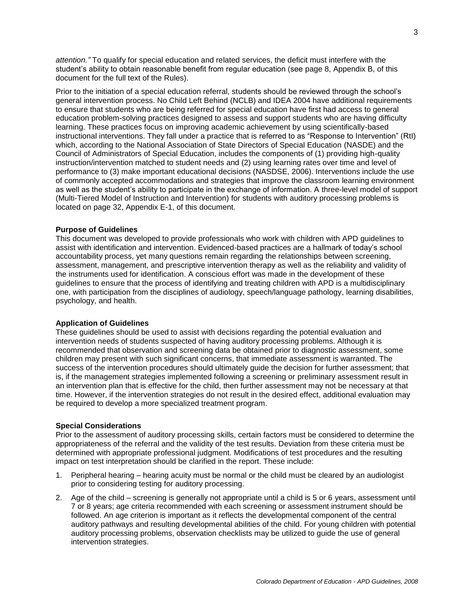*attention."* To qualify for special education and related services, the deficit must interfere with the student's ability to obtain reasonable benefit from regular education (see page 8, Appendix B, of this document for the full text of the Rules).

Prior to the initiation of a special education referral, students should be reviewed through the school's general intervention process. No Child Left Behind (NCLB) and IDEA 2004 have additional requirements to ensure that students who are being referred for special education have first had access to general education problem-solving practices designed to assess and support students who are having difficulty learning. These practices focus on improving academic achievement by using scientifically-based instructional interventions. They fall under a practice that is referred to as "Response to Intervention" (RtI) which, according to the National Association of State Directors of Special Education (NASDE) and the Council of Administrators of Special Education, includes the components of (1) providing high-quality instruction/intervention matched to student needs and (2) using learning rates over time and level of performance to (3) make important educational decisions (NASDSE, 2006). Interventions include the use of commonly accepted accommodations and strategies that improve the classroom learning environment as well as the student's ability to participate in the exchange of information. A three-level model of support (Multi-Tiered Model of Instruction and Intervention) for students with auditory processing problems is located on page 32, Appendix E-1, of this document.

#### **Purpose of Guidelines**

This document was developed to provide professionals who work with children with APD guidelines to assist with identification and intervention. Evidenced-based practices are a hallmark of today's school accountability process, yet many questions remain regarding the relationships between screening, assessment, management, and prescriptive intervention therapy as well as the reliability and validity of the instruments used for identification. A conscious effort was made in the development of these guidelines to ensure that the process of identifying and treating children with APD is a multidisciplinary one, with participation from the disciplines of audiology, speech/language pathology, learning disabilities, psychology, and health.

#### **Application of Guidelines**

These guidelines should be used to assist with decisions regarding the potential evaluation and intervention needs of students suspected of having auditory processing problems. Although it is recommended that observation and screening data be obtained prior to diagnostic assessment, some children may present with such significant concerns, that immediate assessment is warranted. The success of the intervention procedures should ultimately guide the decision for further assessment; that is, if the management strategies implemented following a screening or preliminary assessment result in an intervention plan that is effective for the child, then further assessment may not be necessary at that time. However, if the intervention strategies do not result in the desired effect, additional evaluation may be required to develop a more specialized treatment program.

#### **Special Considerations**

Prior to the assessment of auditory processing skills, certain factors must be considered to determine the appropriateness of the referral and the validity of the test results. Deviation from these criteria must be determined with appropriate professional judgment. Modifications of test procedures and the resulting impact on test interpretation should be clarified in the report. These include:

- 1. Peripheral hearing hearing acuity must be normal or the child must be cleared by an audiologist prior to considering testing for auditory processing.
- 2. Age of the child screening is generally not appropriate until a child is 5 or 6 years, assessment until 7 or 8 years; age criteria recommended with each screening or assessment instrument should be followed. An age criterion is important as it reflects the developmental component of the central auditory pathways and resulting developmental abilities of the child. For young children with potential auditory processing problems, observation checklists may be utilized to guide the use of general intervention strategies.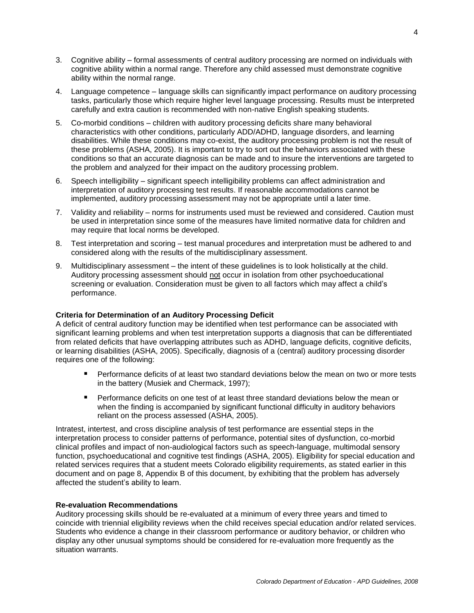- 3. Cognitive ability formal assessments of central auditory processing are normed on individuals with cognitive ability within a normal range. Therefore any child assessed must demonstrate cognitive ability within the normal range.
- 4. Language competence language skills can significantly impact performance on auditory processing tasks, particularly those which require higher level language processing. Results must be interpreted carefully and extra caution is recommended with non-native English speaking students.
- 5. Co-morbid conditions children with auditory processing deficits share many behavioral characteristics with other conditions, particularly ADD/ADHD, language disorders, and learning disabilities. While these conditions may co-exist, the auditory processing problem is not the result of these problems (ASHA, 2005). It is important to try to sort out the behaviors associated with these conditions so that an accurate diagnosis can be made and to insure the interventions are targeted to the problem and analyzed for their impact on the auditory processing problem.
- 6. Speech intelligibility significant speech intelligibility problems can affect administration and interpretation of auditory processing test results. If reasonable accommodations cannot be implemented, auditory processing assessment may not be appropriate until a later time.
- 7. Validity and reliability norms for instruments used must be reviewed and considered. Caution must be used in interpretation since some of the measures have limited normative data for children and may require that local norms be developed.
- 8. Test interpretation and scoring test manual procedures and interpretation must be adhered to and considered along with the results of the multidisciplinary assessment.
- 9. Multidisciplinary assessment the intent of these guidelines is to look holistically at the child. Auditory processing assessment should not occur in isolation from other psychoeducational screening or evaluation. Consideration must be given to all factors which may affect a child's performance.

#### **Criteria for Determination of an Auditory Processing Deficit**

A deficit of central auditory function may be identified when test performance can be associated with significant learning problems and when test interpretation supports a diagnosis that can be differentiated from related deficits that have overlapping attributes such as ADHD, language deficits, cognitive deficits, or learning disabilities (ASHA, 2005). Specifically, diagnosis of a (central) auditory processing disorder requires one of the following:

- Performance deficits of at least two standard deviations below the mean on two or more tests in the battery (Musiek and Chermack, 1997);
- Performance deficits on one test of at least three standard deviations below the mean or when the finding is accompanied by significant functional difficulty in auditory behaviors reliant on the process assessed (ASHA, 2005).

Intratest, intertest, and cross discipline analysis of test performance are essential steps in the interpretation process to consider patterns of performance, potential sites of dysfunction, co-morbid clinical profiles and impact of non-audiological factors such as speech-language, multimodal sensory function, psychoeducational and cognitive test findings (ASHA, 2005). Eligibility for special education and related services requires that a student meets Colorado eligibility requirements, as stated earlier in this document and on page 8, Appendix B of this document, by exhibiting that the problem has adversely affected the student's ability to learn.

#### **Re-evaluation Recommendations**

Auditory processing skills should be re-evaluated at a minimum of every three years and timed to coincide with triennial eligibility reviews when the child receives special education and/or related services. Students who evidence a change in their classroom performance or auditory behavior, or children who display any other unusual symptoms should be considered for re-evaluation more frequently as the situation warrants.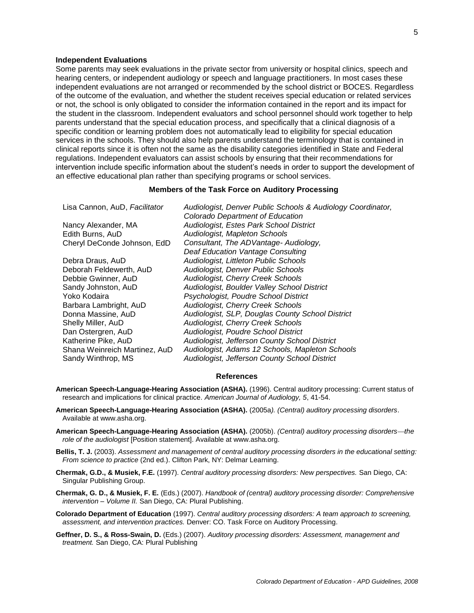#### **Independent Evaluations**

Some parents may seek evaluations in the private sector from university or hospital clinics, speech and hearing centers, or independent audiology or speech and language practitioners. In most cases these independent evaluations are not arranged or recommended by the school district or BOCES. Regardless of the outcome of the evaluation, and whether the student receives special education or related services or not, the school is only obligated to consider the information contained in the report and its impact for the student in the classroom. Independent evaluators and school personnel should work together to help parents understand that the special education process, and specifically that a clinical diagnosis of a specific condition or learning problem does not automatically lead to eligibility for special education services in the schools. They should also help parents understand the terminology that is contained in clinical reports since it is often not the same as the disability categories identified in State and Federal regulations. Independent evaluators can assist schools by ensuring that their recommendations for intervention include specific information about the student's needs in order to support the development of an effective educational plan rather than specifying programs or school services.

#### **Members of the Task Force on Auditory Processing**

| Audiologist, Denver Public Schools & Audiology Coordinator, |
|-------------------------------------------------------------|
| Colorado Department of Education                            |
| Audiologist, Estes Park School District                     |
| Audiologist, Mapleton Schools                               |
| Consultant, The ADVantage- Audiology,                       |
| Deaf Education Vantage Consulting                           |
| Audiologist, Littleton Public Schools                       |
| Audiologist, Denver Public Schools                          |
| Audiologist, Cherry Creek Schools                           |
| Audiologist, Boulder Valley School District                 |
| Psychologist, Poudre School District                        |
| Audiologist, Cherry Creek Schools                           |
| Audiologist, SLP, Douglas County School District            |
| Audiologist, Cherry Creek Schools                           |
| Audiologist, Poudre School District                         |
| Audiologist, Jefferson County School District               |
| Audiologist, Adams 12 Schools, Mapleton Schools             |
| Audiologist, Jefferson County School District               |
|                                                             |

#### **References**

- **American Speech-Language-Hearing Association (ASHA).** (1996). Central auditory processing: Current status of research and implications for clinical practice. *American Journal of Audiology, 5*, 41-54.
- **American Speech-Language-Hearing Association (ASHA).** (2005a*). (Central) auditory processing disorders*. Available at www.asha.org.
- **American Speech-Language-Hearing Association (ASHA).** (2005b). *(Central) auditory processing disordersthe role of the audiologist* [Position statement]. Available at www.asha.org.
- **Bellis, T. J.** (2003). *Assessment and management of central auditory processing disorders in the educational setting: From science to practice* (2nd ed.). Clifton Park, NY: Delmar Learning.
- **Chermak, G.D., & Musiek, F.E.** (1997). *Central auditory processing disorders: New perspectives.* San Diego, CA: Singular Publishing Group.
- **Chermak, G. D., & Musiek, F. E.** (Eds.) (2007). *Handbook of (central) auditory processing disorder: Comprehensive intervention – Volume II.* San Diego, CA: Plural Publishing.
- **Colorado Department of Education** (1997). *Central auditory processing disorders: A team approach to screening, assessment, and intervention practices.* Denver: CO. Task Force on Auditory Processing.
- **Geffner, D. S., & Ross-Swain, D.** (Eds.) (2007). *Auditory processing disorders: Assessment, management and treatment.* San Diego, CA: Plural Publishing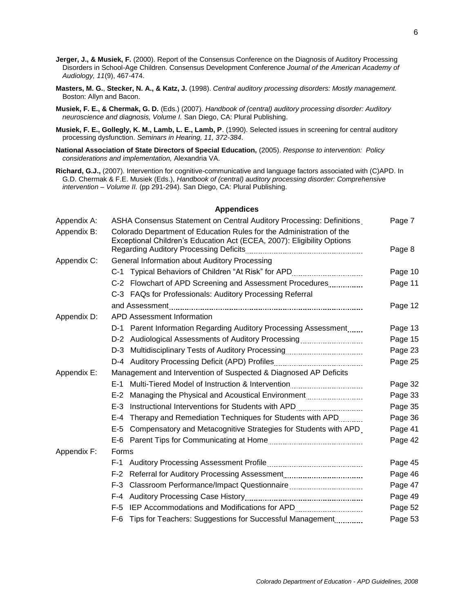- **Jerger, J., & Musiek, F.** (2000). Report of the Consensus Conference on the Diagnosis of Auditory Processing Disorders in School-Age Children. Consensus Development Conference *Journal of the American Academy of Audiology, 11*(9), 467-474.
- **Masters, M. G.**, **Stecker, N. A., & Katz, J.** (1998). *Central auditory processing disorders: Mostly management.* Boston: Allyn and Bacon.
- **Musiek, F. E., & Chermak, G. D.** (Eds.) (2007). *Handbook of (central) auditory processing disorder: Auditory neuroscience and diagnosis, Volume I.* San Diego, CA: Plural Publishing.
- **Musiek, F. E., Gollegly, K. M., Lamb, L. E., Lamb, P**. (1990). Selected issues in screening for central auditory processing dysfunction. *Seminars in Hearing, 11, 372-384*.
- **National Association of State Directors of Special Education,** (2005). *Response to intervention: Policy considerations and implementation,* Alexandria VA.
- **Richard, G.J.,** (2007). Intervention for cognitive-communicative and language factors associated with (C)APD. In G.D. Chermak & F.E. Musiek (Eds.), *Handbook of (central) auditory processing disorder: Comprehensive intervention – Volume II.* (pp 291-294). San Diego, CA: Plural Publishing.

### **Appendices**

| Appendix A: | ASHA Consensus Statement on Central Auditory Processing: Definitions<br>Page 7                                                                 |         |  |  |  |  |  |
|-------------|------------------------------------------------------------------------------------------------------------------------------------------------|---------|--|--|--|--|--|
| Appendix B: | Colorado Department of Education Rules for the Administration of the<br>Exceptional Children's Education Act (ECEA, 2007): Eligibility Options |         |  |  |  |  |  |
|             |                                                                                                                                                | Page 8  |  |  |  |  |  |
| Appendix C: | General Information about Auditory Processing                                                                                                  |         |  |  |  |  |  |
|             |                                                                                                                                                | Page 10 |  |  |  |  |  |
|             | C-2 Flowchart of APD Screening and Assessment Procedures                                                                                       | Page 11 |  |  |  |  |  |
|             | C-3 FAQs for Professionals: Auditory Processing Referral                                                                                       |         |  |  |  |  |  |
|             |                                                                                                                                                | Page 12 |  |  |  |  |  |
| Appendix D: | APD Assessment Information                                                                                                                     |         |  |  |  |  |  |
|             | D-1 Parent Information Regarding Auditory Processing Assessment                                                                                | Page 13 |  |  |  |  |  |
|             | D-2 Audiological Assessments of Auditory Processing                                                                                            | Page 15 |  |  |  |  |  |
|             |                                                                                                                                                | Page 23 |  |  |  |  |  |
|             |                                                                                                                                                | Page 25 |  |  |  |  |  |
| Appendix E: | Management and Intervention of Suspected & Diagnosed AP Deficits                                                                               |         |  |  |  |  |  |
|             |                                                                                                                                                | Page 32 |  |  |  |  |  |
|             | Managing the Physical and Acoustical Environment<br>E-2                                                                                        | Page 33 |  |  |  |  |  |
|             | E-3 Instructional Interventions for Students with APD                                                                                          | Page 35 |  |  |  |  |  |
|             | E-4 Therapy and Remediation Techniques for Students with APD                                                                                   | Page 36 |  |  |  |  |  |
|             | Compensatory and Metacognitive Strategies for Students with APD<br>E-5                                                                         | Page 41 |  |  |  |  |  |
|             |                                                                                                                                                | Page 42 |  |  |  |  |  |
| Appendix F: | Forms                                                                                                                                          |         |  |  |  |  |  |
|             |                                                                                                                                                | Page 45 |  |  |  |  |  |
|             | F-2 Referral for Auditory Processing Assessment                                                                                                | Page 46 |  |  |  |  |  |
|             | F-3 Classroom Performance/Impact Questionnaire                                                                                                 | Page 47 |  |  |  |  |  |
|             |                                                                                                                                                | Page 49 |  |  |  |  |  |
|             | F-5 IEP Accommodations and Modifications for APD                                                                                               | Page 52 |  |  |  |  |  |
|             | Tips for Teachers: Suggestions for Successful Management<br>F-6                                                                                | Page 53 |  |  |  |  |  |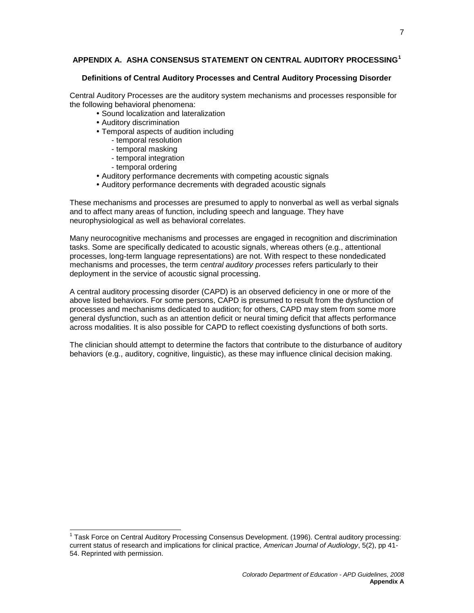## **APPENDIX A. ASHA CONSENSUS STATEMENT ON CENTRAL AUDITORY PROCESSING<sup>1</sup>**

#### **Definitions of Central Auditory Processes and Central Auditory Processing Disorder**

Central Auditory Processes are the auditory system mechanisms and processes responsible for the following behavioral phenomena:

- Sound localization and lateralization
- Auditory discrimination
- Temporal aspects of audition including
	- temporal resolution
	- temporal masking
	- temporal integration
	- temporal ordering

l

- Auditory performance decrements with competing acoustic signals
- Auditory performance decrements with degraded acoustic signals

These mechanisms and processes are presumed to apply to nonverbal as well as verbal signals and to affect many areas of function, including speech and language. They have neurophysiological as well as behavioral correlates.

Many neurocognitive mechanisms and processes are engaged in recognition and discrimination tasks. Some are specifically dedicated to acoustic signals, whereas others (e.g., attentional processes, long-term language representations) are not. With respect to these nondedicated mechanisms and processes, the term *central auditory processes* refers particularly to their deployment in the service of acoustic signal processing.

A central auditory processing disorder (CAPD) is an observed deficiency in one or more of the above listed behaviors. For some persons, CAPD is presumed to result from the dysfunction of processes and mechanisms dedicated to audition; for others, CAPD may stem from some more general dysfunction, such as an attention deficit or neural timing deficit that affects performance across modalities. It is also possible for CAPD to reflect coexisting dysfunctions of both sorts.

The clinician should attempt to determine the factors that contribute to the disturbance of auditory behaviors (e.g., auditory, cognitive, linguistic), as these may influence clinical decision making.

<sup>&</sup>lt;sup>1</sup> Task Force on Central Auditory Processing Consensus Development. (1996). Central auditory processing: current status of research and implications for clinical practice*, American Journal of Audiology*, 5(2), pp 41- 54. Reprinted with permission.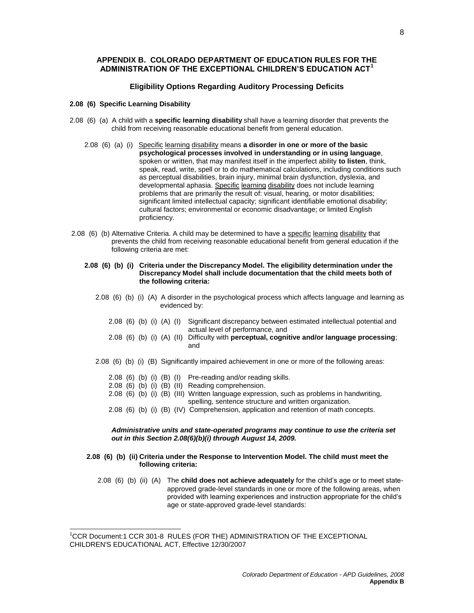#### **APPENDIX B. COLORADO DEPARTMENT OF EDUCATION RULES FOR THE ADMINISTRATION OF THE EXCEPTIONAL CHILDREN'S EDUCATION ACT<sup>1</sup>**

#### **Eligibility Options Regarding Auditory Processing Deficits**

#### **2.08 (6) Specific Learning Disability**

l

- 2.08 (6) (a) A child with a **specific learning disability** shall have a learning disorder that prevents the child from receiving reasonable educational benefit from general education.
	- 2.08 (6) (a) (i) Specific learning disability means **a disorder in one or more of the basic psychological processes involved in understanding or in using language**, spoken or written, that may manifest itself in the imperfect ability **to listen**, think, speak, read, write, spell or to do mathematical calculations, including conditions such as perceptual disabilities, brain injury, minimal brain dysfunction, dyslexia, and developmental aphasia. Specific learning disability does not include learning problems that are primarily the result of: visual, hearing, or motor disabilities; significant limited intellectual capacity; significant identifiable emotional disability; cultural factors; environmental or economic disadvantage; or limited English proficiency.
- 2.08 (6) (b) Alternative Criteria. A child may be determined to have a specific learning disability that prevents the child from receiving reasonable educational benefit from general education if the following criteria are met:

#### **2.08 (6) (b) (i) Criteria under the Discrepancy Model. The eligibility determination under the Discrepancy Model shall include documentation that the child meets both of the following criteria:**

2.08 (6) (b) (i) (A) A disorder in the psychological process which affects language and learning as evidenced by:

|  |  |  | 2.08 (6) (b) (i) (A) (I) Significant discrepancy between estimated intellectual potential and |
|--|--|--|-----------------------------------------------------------------------------------------------|
|  |  |  | actual level of performance, and                                                              |
|  |  |  | 2.08 (6) (b) (i) (A) (II) Difficulty with perceptual, cognitive and/or language processing;   |

- and
- 2.08 (6) (b) (i) (B) Significantly impaired achievement in one or more of the following areas:

|  |  |  | 2.08 (6) (b) (i) (B) (l) Pre-reading and/or reading skills.                              |
|--|--|--|------------------------------------------------------------------------------------------|
|  |  |  | 2.08 (6) (b) (i) (B) (II) Reading comprehension.                                         |
|  |  |  | 2.08 (6) (b) (i) (B) (III) Written language expression, such as problems in handwriting, |
|  |  |  | spelling, sentence structure and written organization.                                   |

2.08 (6) (b) (i) (B) (IV) Comprehension, application and retention of math concepts.

#### *Administrative units and state-operated programs may continue to use the criteria set out in this Section 2.08(6)(b)(i) through August 14, 2009.*

#### **2.08 (6) (b) (ii) Criteria under the Response to Intervention Model. The child must meet the following criteria:**

2.08 (6) (b) (ii) (A) The **child does not achieve adequately** for the child's age or to meet stateapproved grade-level standards in one or more of the following areas, when provided with learning experiences and instruction appropriate for the child's age or state-approved grade-level standards:

<sup>1</sup>CCR Document:1 CCR 301-8 RULES (FOR THE) ADMINISTRATION OF THE EXCEPTIONAL CHILDREN'S EDUCATIONAL ACT, Effective 12/30/2007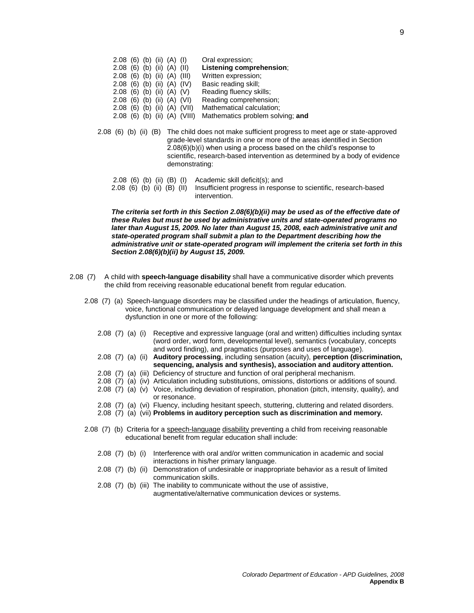| Oral expression:                 |
|----------------------------------|
| Listening comprehension;         |
| Written expression;              |
| Basic reading skill;             |
| Reading fluency skills;          |
| Reading comprehension;           |
| Mathematical calculation;        |
| Mathematics problem solving; and |
|                                  |

- 2.08 (6) (b) (ii) (B) The child does not make sufficient progress to meet age or state-approved grade-level standards in one or more of the areas identified in Section 2.08(6)(b)(i) when using a process based on the child's response to scientific, research-based intervention as determined by a body of evidence demonstrating:
	- 2.08 (6) (b) (ii) (B) (I) Academic skill deficit(s); and
	- 2.08 (6) (b) (ii) (B) (II) Insufficient progress in response to scientific, research-based intervention.

*The criteria set forth in this Section 2.08(6)(b)(ii) may be used as of the effective date of these Rules but must be used by administrative units and state-operated programs no later than August 15, 2009. No later than August 15, 2008, each administrative unit and state-operated program shall submit a plan to the Department describing how the administrative unit or state-operated program will implement the criteria set forth in this Section 2.08(6)(b)(ii) by August 15, 2009.*

- 2.08 (7) A child with **speech-language disability** shall have a communicative disorder which prevents the child from receiving reasonable educational benefit from regular education.
	- 2.08 (7) (a) Speech-language disorders may be classified under the headings of articulation, fluency, voice, functional communication or delayed language development and shall mean a dysfunction in one or more of the following:
		- 2.08 (7) (a) (i) Receptive and expressive language (oral and written) difficulties including syntax (word order, word form, developmental level), semantics (vocabulary, concepts and word finding), and pragmatics (purposes and uses of language).
		- 2.08 (7) (a) (ii) **Auditory processing**, including sensation (acuity), **perception (discrimination, sequencing, analysis and synthesis), association and auditory attention.**
		- 2.08 (7) (a) (iii) Deficiency of structure and function of oral peripheral mechanism.
		- 2.08 (7) (a) (iv) Articulation including substitutions, omissions, distortions or additions of sound.
		- 2.08 (7) (a) (v) Voice, including deviation of respiration, phonation (pitch, intensity, quality), and or resonance.
		- 2.08 (7) (a) (vi) Fluency, including hesitant speech, stuttering, cluttering and related disorders.
		- 2.08 (7) (a) (vii) **Problems in auditory perception such as discrimination and memory.**
	- 2.08 (7) (b) Criteria for a speech-language disability preventing a child from receiving reasonable educational benefit from regular education shall include:
		- 2.08 (7) (b) (i) Interference with oral and/or written communication in academic and social interactions in his/her primary language.
		- 2.08 (7) (b) (ii) Demonstration of undesirable or inappropriate behavior as a result of limited communication skills.
		- 2.08 (7) (b) (iii) The inability to communicate without the use of assistive, augmentative/alternative communication devices or systems.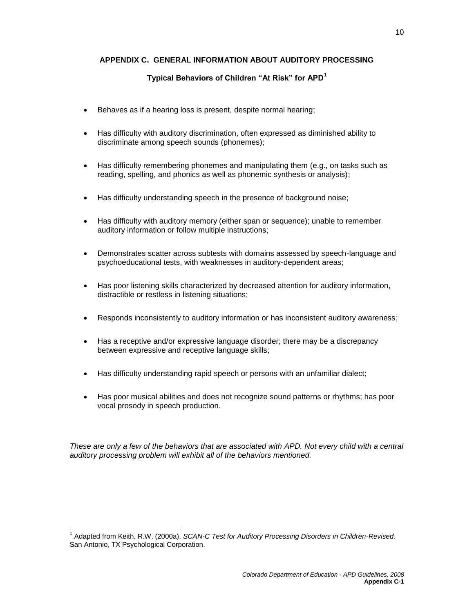## **APPENDIX C. GENERAL INFORMATION ABOUT AUDITORY PROCESSING**

## **Typical Behaviors of Children "At Risk" for APD<sup>1</sup>**

- Behaves as if a hearing loss is present, despite normal hearing;
- Has difficulty with auditory discrimination, often expressed as diminished ability to discriminate among speech sounds (phonemes);
- Has difficulty remembering phonemes and manipulating them (e.g., on tasks such as reading, spelling, and phonics as well as phonemic synthesis or analysis);
- Has difficulty understanding speech in the presence of background noise;
- Has difficulty with auditory memory (either span or sequence); unable to remember auditory information or follow multiple instructions;
- Demonstrates scatter across subtests with domains assessed by speech-language and psychoeducational tests, with weaknesses in auditory-dependent areas;
- Has poor listening skills characterized by decreased attention for auditory information, distractible or restless in listening situations;
- Responds inconsistently to auditory information or has inconsistent auditory awareness;
- Has a receptive and/or expressive language disorder; there may be a discrepancy between expressive and receptive language skills;
- Has difficulty understanding rapid speech or persons with an unfamiliar dialect;
- Has poor musical abilities and does not recognize sound patterns or rhythms; has poor vocal prosody in speech production.

*These are only a few of the behaviors that are associated with APD. Not every child with a central auditory processing problem will exhibit all of the behaviors mentioned.* 

 1 Adapted from Keith, R.W. (2000a). *SCAN-C Test for Auditory Processing Disorders in Children-Revised.* San Antonio, TX Psychological Corporation.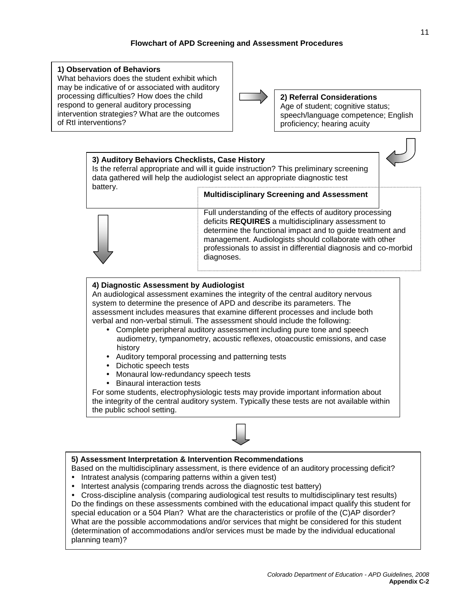### **1) Observation of Behaviors**

What behaviors does the student exhibit which may be indicative of or associated with auditory processing difficulties? How does the child respond to general auditory processing intervention strategies? What are the outcomes of RtI interventions?



**2) Referral Considerations** Age of student; cognitive status; speech/language competence; English proficiency; hearing acuity

| 3) Auditory Behaviors Checklists, Case History<br>Is the referral appropriate and will it guide instruction? This preliminary screening<br>data gathered will help the audiologist select an appropriate diagnostic test |                                                                                                                                                                                                                                                                                                                          |  |  |  |
|--------------------------------------------------------------------------------------------------------------------------------------------------------------------------------------------------------------------------|--------------------------------------------------------------------------------------------------------------------------------------------------------------------------------------------------------------------------------------------------------------------------------------------------------------------------|--|--|--|
| battery.                                                                                                                                                                                                                 | <b>Multidisciplinary Screening and Assessment</b>                                                                                                                                                                                                                                                                        |  |  |  |
|                                                                                                                                                                                                                          | Full understanding of the effects of auditory processing<br>deficits REQUIRES a multidisciplinary assessment to<br>determine the functional impact and to guide treatment and<br>management. Audiologists should collaborate with other<br>professionals to assist in differential diagnosis and co-morbid<br>diagnoses. |  |  |  |

### **4) Diagnostic Assessment by Audiologist**

An audiological assessment examines the integrity of the central auditory nervous system to determine the presence of APD and describe its parameters. The assessment includes measures that examine different processes and include both verbal and non-verbal stimuli. The assessment should include the following:

- Complete peripheral auditory assessment including pure tone and speech audiometry, tympanometry, acoustic reflexes, otoacoustic emissions, and case history
- Auditory temporal processing and patterning tests
- Dichotic speech tests
- Monaural low-redundancy speech tests
- Binaural interaction tests

For some students, electrophysiologic tests may provide important information about the integrity of the central auditory system. Typically these tests are not available within the public school setting.



## **5) Assessment Interpretation & Intervention Recommendations**

Based on the multidisciplinary assessment, is there evidence of an auditory processing deficit?

- Intratest analysis (comparing patterns within a given test)
- Intertest analysis (comparing trends across the diagnostic test battery)

 Cross-discipline analysis (comparing audiological test results to multidisciplinary test results) Do the findings on these assessments combined with the educational impact qualify this student for special education or a 504 Plan? What are the characteristics or profile of the (C)AP disorder? What are the possible accommodations and/or services that might be considered for this student (determination of accommodations and/or services must be made by the individual educational planning team)?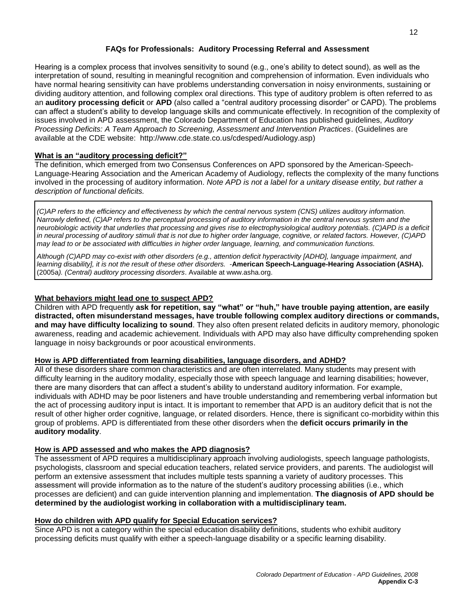#### **FAQs for Professionals: Auditory Processing Referral and Assessment**

Hearing is a complex process that involves sensitivity to sound (e.g., one's ability to detect sound), as well as the interpretation of sound, resulting in meaningful recognition and comprehension of information. Even individuals who have normal hearing sensitivity can have problems understanding conversation in noisy environments, sustaining or dividing auditory attention, and following complex oral directions. This type of auditory problem is often referred to as an **auditory processing deficit** or **APD** (also called a "central auditory processing disorder" or CAPD). The problems can affect a student's ability to develop language skills and communicate effectively. In recognition of the complexity of issues involved in APD assessment, the Colorado Department of Education has published guidelines, *Auditory Processing Deficits: A Team Approach to Screening, Assessment and Intervention Practices*. (Guidelines are available at the CDE website: http://www.cde.state.co.us/cdesped/Audiology.asp)

#### **What is an "auditory processing deficit?"**

The definition, which emerged from two Consensus Conferences on APD sponsored by the American-Speech-Language-Hearing Association and the American Academy of Audiology, reflects the complexity of the many functions involved in the processing of auditory information. *Note APD is not a label for a unitary disease entity, but rather a description of functional deficits.*

*(C)AP refers to the efficiency and effectiveness by which the central nervous system (CNS) utilizes auditory information. Narrowly defined, (C)AP refers to the perceptual processing of auditory information in the central nervous system and the neurobiologic activity that underlies that processing and gives rise to electrophysiological auditory potentials. (C)APD is a deficit in neural processing of auditory stimuli that is not due to higher order language, cognitive, or related factors. However, (C)APD may lead to or be associated with difficulties in higher order language, learning, and communication functions.*

*Although (C)APD may co-exist with other disorders (e.g., attention deficit hyperactivity [ADHD], language impairment, and learning disability], it is not the result of these other disorders.* -**American Speech-Language-Hearing Association (ASHA).** (2005a*). (Central) auditory processing disorders*. Available at www.asha.org.

#### **What behaviors might lead one to suspect APD?**

Children with APD frequently **ask for repetition, say "what" or "huh," have trouble paying attention, are easily distracted, often misunderstand messages, have trouble following complex auditory directions or commands, and may have difficulty localizing to sound**. They also often present related deficits in auditory memory, phonologic awareness, reading and academic achievement. Individuals with APD may also have difficulty comprehending spoken language in noisy backgrounds or poor acoustical environments.

#### **How is APD differentiated from learning disabilities, language disorders, and ADHD?**

All of these disorders share common characteristics and are often interrelated. Many students may present with difficulty learning in the auditory modality, especially those with speech language and learning disabilities; however, there are many disorders that can affect a student's ability to understand auditory information. For example, individuals with ADHD may be poor listeners and have trouble understanding and remembering verbal information but the act of processing auditory input is intact. It is important to remember that APD is an auditory deficit that is not the result of other higher order cognitive, language, or related disorders. Hence, there is significant co-morbidity within this group of problems. APD is differentiated from these other disorders when the **deficit occurs primarily in the auditory modality**.

#### **How is APD assessed and who makes the APD diagnosis?**

The assessment of APD requires a multidisciplinary approach involving audiologists, speech language pathologists, psychologists, classroom and special education teachers, related service providers, and parents. The audiologist will perform an extensive assessment that includes multiple tests spanning a variety of auditory processes. This assessment will provide information as to the nature of the student's auditory processing abilities (i.e., which processes are deficient) and can guide intervention planning and implementation. **The diagnosis of APD should be determined by the audiologist working in collaboration with a multidisciplinary team.**

### **How do children with APD qualify for Special Education services?**

Since APD is not a category within the special education disability definitions, students who exhibit auditory processing deficits must qualify with either a speech-language disability or a specific learning disability.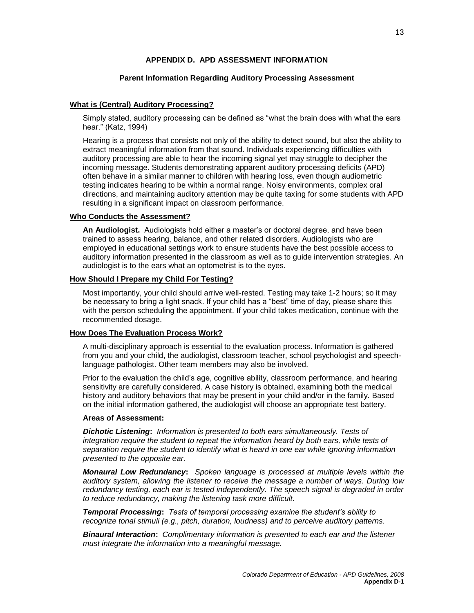## **APPENDIX D. APD ASSESSMENT INFORMATION**

#### **Parent Information Regarding Auditory Processing Assessment**

#### **What is (Central) Auditory Processing?**

Simply stated, auditory processing can be defined as "what the brain does with what the ears hear." (Katz, 1994)

Hearing is a process that consists not only of the ability to detect sound, but also the ability to extract meaningful information from that sound. Individuals experiencing difficulties with auditory processing are able to hear the incoming signal yet may struggle to decipher the incoming message. Students demonstrating apparent auditory processing deficits (APD) often behave in a similar manner to children with hearing loss, even though audiometric testing indicates hearing to be within a normal range. Noisy environments, complex oral directions, and maintaining auditory attention may be quite taxing for some students with APD resulting in a significant impact on classroom performance.

#### **Who Conducts the Assessment?**

**An Audiologist.** Audiologists hold either a master's or doctoral degree, and have been trained to assess hearing, balance, and other related disorders. Audiologists who are employed in educational settings work to ensure students have the best possible access to auditory information presented in the classroom as well as to guide intervention strategies. An audiologist is to the ears what an optometrist is to the eyes.

### **How Should I Prepare my Child For Testing?**

Most importantly, your child should arrive well-rested. Testing may take 1-2 hours; so it may be necessary to bring a light snack. If your child has a "best" time of day, please share this with the person scheduling the appointment. If your child takes medication, continue with the recommended dosage.

#### **How Does The Evaluation Process Work?**

A multi-disciplinary approach is essential to the evaluation process. Information is gathered from you and your child, the audiologist, classroom teacher, school psychologist and speechlanguage pathologist. Other team members may also be involved.

Prior to the evaluation the child's age, cognitive ability, classroom performance, and hearing sensitivity are carefully considered. A case history is obtained, examining both the medical history and auditory behaviors that may be present in your child and/or in the family. Based on the initial information gathered, the audiologist will choose an appropriate test battery.

#### **Areas of Assessment:**

*Dichotic Listening***:** *Information is presented to both ears simultaneously. Tests of integration require the student to repeat the information heard by both ears, while tests of separation require the student to identify what is heard in one ear while ignoring information presented to the opposite ear.*

*Monaural Low Redundancy***:** *Spoken language is processed at multiple levels within the auditory system, allowing the listener to receive the message a number of ways. During low redundancy testing, each ear is tested independently. The speech signal is degraded in order to reduce redundancy, making the listening task more difficult.*

*Temporal Processing***:** *Tests of temporal processing examine the student's ability to recognize tonal stimuli (e.g., pitch, duration, loudness) and to perceive auditory patterns.*

*Binaural Interaction***:** *Complimentary information is presented to each ear and the listener must integrate the information into a meaningful message.*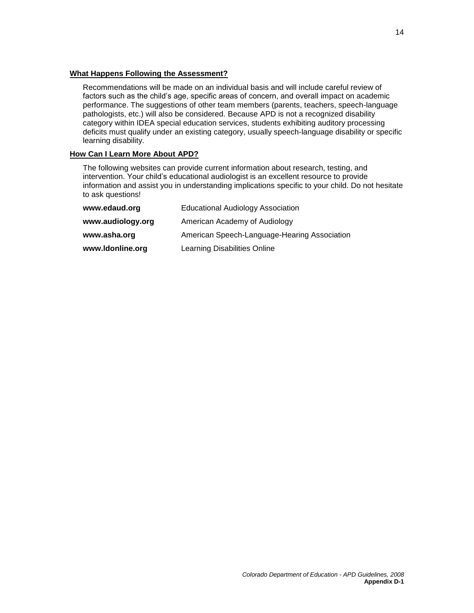#### **What Happens Following the Assessment?**

Recommendations will be made on an individual basis and will include careful review of factors such as the child's age, specific areas of concern, and overall impact on academic performance. The suggestions of other team members (parents, teachers, speech-language pathologists, etc.) will also be considered. Because APD is not a recognized disability category within IDEA special education services, students exhibiting auditory processing deficits must qualify under an existing category, usually speech-language disability or specific learning disability.

#### **How Can I Learn More About APD?**

The following websites can provide current information about research, testing, and intervention. Your child's educational audiologist is an excellent resource to provide information and assist you in understanding implications specific to your child. Do not hesitate to ask questions!

| www.edaud.org     | <b>Educational Audiology Association</b>     |
|-------------------|----------------------------------------------|
| www.audiology.org | American Academy of Audiology                |
| www.asha.org      | American Speech-Language-Hearing Association |
| www.Idonline.org  | Learning Disabilities Online                 |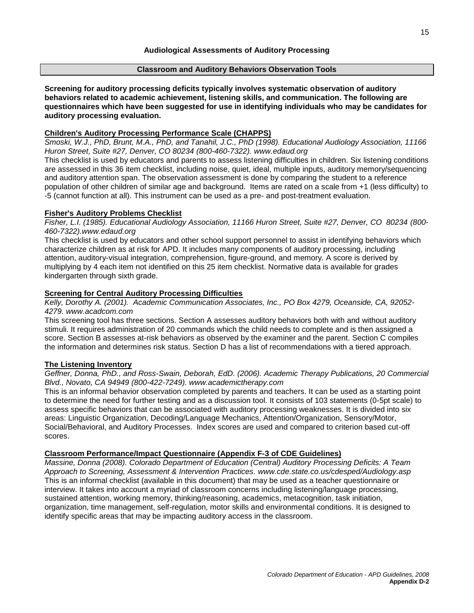#### **Classroom and Auditory Behaviors Observation Tools**

**Screening for auditory processing deficits typically involves systematic observation of auditory behaviors related to academic achievement, listening skills, and communication. The following are questionnaires which have been suggested for use in identifying individuals who may be candidates for auditory processing evaluation.** 

#### **Children's Auditory Processing Performance Scale (CHAPPS)**

*Smoski, W.J., PhD, Brunt, M.A., PhD, and Tanahil, J.C., PhD (1998). Educational Audiology Association, 11166 Huron Street, Suite #27, Denver, CO 80234 (800-460-7322). www.edaud.org*

This checklist is used by educators and parents to assess listening difficulties in children. Six listening conditions are assessed in this 36 item checklist, including noise, quiet, ideal, multiple inputs, auditory memory/sequencing and auditory attention span. The observation assessment is done by comparing the student to a reference population of other children of similar age and background. Items are rated on a scale from +1 (less difficulty) to -5 (cannot function at all). This instrument can be used as a pre- and post-treatment evaluation.

### **Fisher's Auditory Problems Checklist**

*Fisher, L.I. (1985). Educational Audiology Association, 11166 Huron Street, Suite #27, Denver, CO 80234 (800- 460-7322).www.edaud.org*

This checklist is used by educators and other school support personnel to assist in identifying behaviors which characterize children as at risk for APD. It includes many components of auditory processing, including attention, auditory-visual integration, comprehension, figure-ground, and memory. A score is derived by multiplying by 4 each item not identified on this 25 item checklist. Normative data is available for grades kindergarten through sixth grade.

### **Screening for Central Auditory Processing Difficulties**

*Kelly, Dorothy A. (2001). Academic Communication Associates, Inc., PO Box 4279, Oceanside, CA, 92052- 4279. www.acadcom.com*

This screening tool has three sections. Section A assesses auditory behaviors both with and without auditory stimuli. It requires administration of 20 commands which the child needs to complete and is then assigned a score. Section B assesses at-risk behaviors as observed by the examiner and the parent. Section C compiles the information and determines risk status. Section D has a list of recommendations with a tiered approach.

#### **The Listening Inventory**

*Geffner, Donna, PhD., and Ross-Swain, Deborah, EdD. (2006). Academic Therapy Publications, 20 Commercial Blvd., Novato, CA 94949 (800-422-7249). www.academictherapy.com*

This is an informal behavior observation completed by parents and teachers. It can be used as a starting point to determine the need for further testing and as a discussion tool. It consists of 103 statements (0-5pt scale) to assess specific behaviors that can be associated with auditory processing weaknesses. It is divided into six areas: Linguistic Organization, Decoding/Language Mechanics, Attention/Organization, Sensory/Motor, Social/Behavioral, and Auditory Processes. Index scores are used and compared to criterion based cut-off scores.

#### **Classroom Performance/Impact Questionnaire (Appendix F-3 of CDE Guidelines)**

*Massine, Donna (2008). Colorado Department of Education (Central) Auditory Processing Deficits: A Team Approach to Screening, Assessment & Intervention Practices. www.cde.state.co.us/cdesped/Audiology.asp* This is an informal checklist (available in this document) that may be used as a teacher questionnaire or interview. It takes into account a myriad of classroom concerns including listening/language processing, sustained attention, working memory, thinking/reasoning, academics, metacognition, task initiation, organization, time management, self-regulation, motor skills and environmental conditions. It is designed to identify specific areas that may be impacting auditory access in the classroom.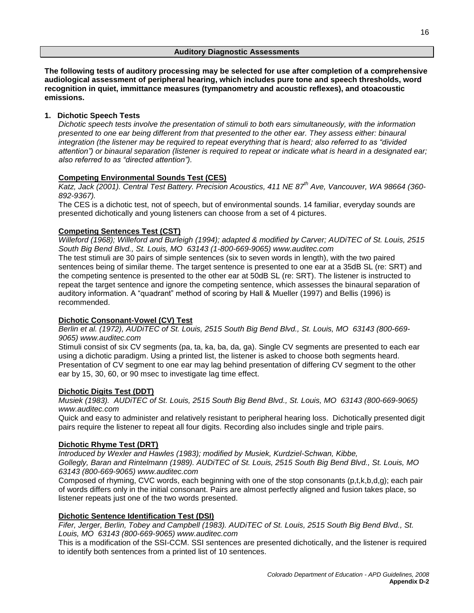**The following tests of auditory processing may be selected for use after completion of a comprehensive audiological assessment of peripheral hearing, which includes pure tone and speech thresholds, word recognition in quiet, immittance measures (tympanometry and acoustic reflexes), and otoacoustic emissions.**

## **1. Dichotic Speech Tests**

*Dichotic speech tests involve the presentation of stimuli to both ears simultaneously, with the information presented to one ear being different from that presented to the other ear. They assess either: binaural integration (the listener may be required to repeat everything that is heard; also referred to as "divided attention") or binaural separation (listener is required to repeat or indicate what is heard in a designated ear; also referred to as "directed attention").*

### **Competing Environmental Sounds Test (CES)**

*Katz, Jack (2001). Central Test Battery. Precision Acoustics, 411 NE 87th Ave, Vancouver, WA 98664 (360- 892-9367).*

The CES is a dichotic test, not of speech, but of environmental sounds. 14 familiar, everyday sounds are presented dichotically and young listeners can choose from a set of 4 pictures.

### **Competing Sentences Test (CST)**

*Willeford (1968); Willeford and Burleigh (1994); adapted & modified by Carver; AUDiTEC of St. Louis, 2515 South Big Bend Blvd., St. Louis, MO 63143 (1-800-669-9065) www.auditec.com*

The test stimuli are 30 pairs of simple sentences (six to seven words in length), with the two paired sentences being of similar theme. The target sentence is presented to one ear at a 35dB SL (re: SRT) and the competing sentence is presented to the other ear at 50dB SL (re: SRT). The listener is instructed to repeat the target sentence and ignore the competing sentence, which assesses the binaural separation of auditory information. A "quadrant" method of scoring by Hall & Mueller (1997) and Bellis (1996) is recommended.

## **Dichotic Consonant-Vowel (CV) Test**

*Berlin et al. (1972), AUDiTEC of St. Louis, 2515 South Big Bend Blvd., St. Louis, MO 63143 (800-669- 9065) www.auditec.com*

Stimuli consist of six CV segments (pa, ta, ka, ba, da, ga). Single CV segments are presented to each ear using a dichotic paradigm. Using a printed list, the listener is asked to choose both segments heard. Presentation of CV segment to one ear may lag behind presentation of differing CV segment to the other ear by 15, 30, 60, or 90 msec to investigate lag time effect.

## **Dichotic Digits Test (DDT)**

*Musiek (1983). AUDiTEC of St. Louis, 2515 South Big Bend Blvd., St. Louis, MO 63143 (800-669-9065) www.auditec.com*

Quick and easy to administer and relatively resistant to peripheral hearing loss. Dichotically presented digit pairs require the listener to repeat all four digits. Recording also includes single and triple pairs.

#### **Dichotic Rhyme Test (DRT)**

*Introduced by Wexler and Hawles (1983); modified by Musiek, Kurdziel-Schwan, Kibbe, Gollegly, Baran and Rintelmann (1989). AUDiTEC of St. Louis, 2515 South Big Bend Blvd., St. Louis, MO 63143 (800-669-9065) www.auditec.com*

Composed of rhyming, CVC words, each beginning with one of the stop consonants (p,t,k,b,d,g); each pair of words differs only in the initial consonant. Pairs are almost perfectly aligned and fusion takes place, so listener repeats just one of the two words presented.

#### **Dichotic Sentence Identification Test (DSI)**

*Fifer, Jerger, Berlin, Tobey and Campbell (1983). AUDiTEC of St. Louis, 2515 South Big Bend Blvd., St. Louis, MO 63143 (800-669-9065) www.auditec.com*

This is a modification of the SSI-CCM. SSI sentences are presented dichotically, and the listener is required to identify both sentences from a printed list of 10 sentences.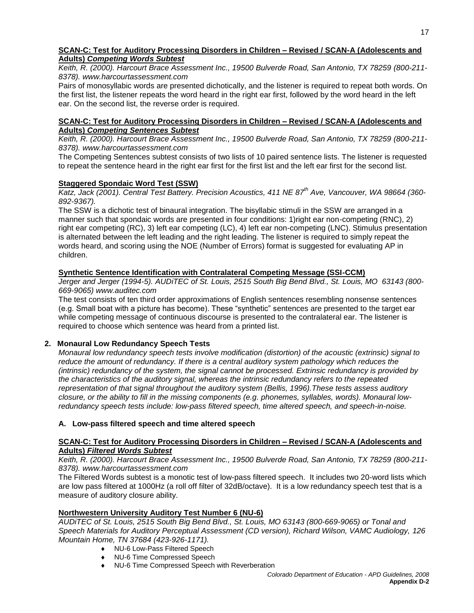### **SCAN-C: Test for Auditory Processing Disorders in Children – Revised / SCAN-A (Adolescents and Adults)** *Competing Words Subtest*

*Keith, R. (2000). Harcourt Brace Assessment Inc., 19500 Bulverde Road, San Antonio, TX 78259 (800-211- 8378). www.harcourtassessment.com*

Pairs of monosyllabic words are presented dichotically, and the listener is required to repeat both words. On the first list, the listener repeats the word heard in the right ear first, followed by the word heard in the left ear. On the second list, the reverse order is required.

### **SCAN-C: Test for Auditory Processing Disorders in Children – Revised / SCAN-A (Adolescents and Adults)** *Competing Sentences Subtest*

*Keith, R. (2000). Harcourt Brace Assessment Inc., 19500 Bulverde Road, San Antonio, TX 78259 (800-211- 8378). www.harcourtassessment.com*

The Competing Sentences subtest consists of two lists of 10 paired sentence lists. The listener is requested to repeat the sentence heard in the right ear first for the first list and the left ear first for the second list.

## **Staggered Spondaic Word Test (SSW)**

*Katz, Jack (2001). Central Test Battery. Precision Acoustics, 411 NE 87th Ave, Vancouver, WA 98664 (360- 892-9367).*

The SSW is a dichotic test of binaural integration. The bisyllabic stimuli in the SSW are arranged in a manner such that spondaic words are presented in four conditions: 1)right ear non-competing (RNC), 2) right ear competing (RC), 3) left ear competing (LC), 4) left ear non-competing (LNC). Stimulus presentation is alternated between the left leading and the right leading. The listener is required to simply repeat the words heard, and scoring using the NOE (Number of Errors) format is suggested for evaluating AP in children.

## **Synthetic Sentence Identification with Contralateral Competing Message (SSI-CCM)**

*Jerger and Jerger (1994-5). AUDiTEC of St. Louis, 2515 South Big Bend Blvd., St. Louis, MO 63143 (800- 669-9065) www.auditec.com*

The test consists of ten third order approximations of English sentences resembling nonsense sentences (e.g. Small boat with a picture has become). These "synthetic" sentences are presented to the target ear while competing message of continuous discourse is presented to the contralateral ear. The listener is required to choose which sentence was heard from a printed list.

## **2. Monaural Low Redundancy Speech Tests**

*Monaural low redundancy speech tests involve modification (distortion) of the acoustic (extrinsic) signal to reduce the amount of redundancy. If there is a central auditory system pathology which reduces the (intrinsic) redundancy of the system, the signal cannot be processed. Extrinsic redundancy is provided by the characteristics of the auditory signal, whereas the intrinsic redundancy refers to the repeated representation of that signal throughout the auditory system (Bellis, 1996).These tests assess auditory closure, or the ability to fill in the missing components (e.g. phonemes, syllables, words). Monaural lowredundancy speech tests include: low-pass filtered speech, time altered speech, and speech-in-noise.*

## **A. Low-pass filtered speech and time altered speech**

### **SCAN-C: Test for Auditory Processing Disorders in Children – Revised / SCAN-A (Adolescents and Adults)** *Filtered Words Subtest*

*Keith, R. (2000). Harcourt Brace Assessment Inc., 19500 Bulverde Road, San Antonio, TX 78259 (800-211- 8378). www.harcourtassessment.com*

The Filtered Words subtest is a monotic test of low-pass filtered speech. It includes two 20-word lists which are low pass filtered at 1000Hz (a roll off filter of 32dB/octave). It is a low redundancy speech test that is a measure of auditory closure ability.

## **Northwestern University Auditory Test Number 6 (NU-6)**

*AUDiTEC of St. Louis, 2515 South Big Bend Blvd., St. Louis, MO 63143 (800-669-9065) or Tonal and Speech Materials for Auditory Perceptual Assessment (CD version), Richard Wilson, VAMC Audiology, 126 Mountain Home, TN 37684 (423-926-1171).* 

- ◆ NU-6 Low-Pass Filtered Speech
- NU-6 Time Compressed Speech
- NU-6 Time Compressed Speech with Reverberation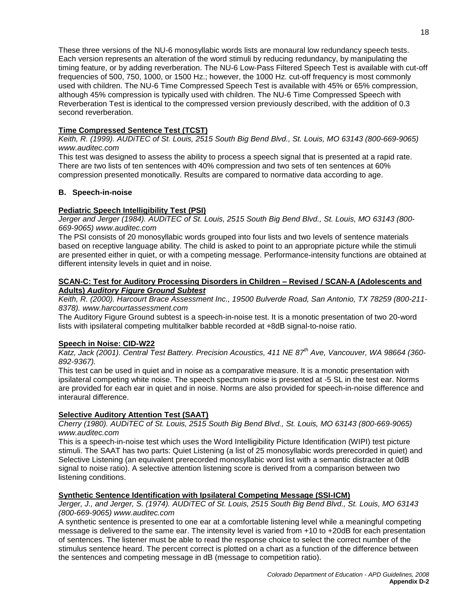These three versions of the NU-6 monosyllabic words lists are monaural low redundancy speech tests. Each version represents an alteration of the word stimuli by reducing redundancy, by manipulating the timing feature, or by adding reverberation. The NU-6 Low-Pass Filtered Speech Test is available with cut-off frequencies of 500, 750, 1000, or 1500 Hz.; however, the 1000 Hz. cut-off frequency is most commonly used with children. The NU-6 Time Compressed Speech Test is available with 45% or 65% compression, although 45% compression is typically used with children. The NU-6 Time Compressed Speech with Reverberation Test is identical to the compressed version previously described, with the addition of 0.3 second reverberation.

## **Time Compressed Sentence Test (TCST)**

*Keith, R. (1999). AUDiTEC of St. Louis, 2515 South Big Bend Blvd., St. Louis, MO 63143 (800-669-9065) www.auditec.com*

This test was designed to assess the ability to process a speech signal that is presented at a rapid rate. There are two lists of ten sentences with 40% compression and two sets of ten sentences at 60% compression presented monotically. Results are compared to normative data according to age.

### **B. Speech-in-noise**

## **Pediatric Speech Intelligibility Test (PSI)**

*Jerger and Jerger (1984). AUDiTEC of St. Louis, 2515 South Big Bend Blvd., St. Louis, MO 63143 (800- 669-9065) www.auditec.com*

The PSI consists of 20 monosyllabic words grouped into four lists and two levels of sentence materials based on receptive language ability. The child is asked to point to an appropriate picture while the stimuli are presented either in quiet, or with a competing message. Performance-intensity functions are obtained at different intensity levels in quiet and in noise.

#### **SCAN-C: Test for Auditory Processing Disorders in Children – Revised / SCAN-A (Adolescents and Adults)** *Auditory Figure Ground Subtest*

*Keith, R. (2000). Harcourt Brace Assessment Inc., 19500 Bulverde Road, San Antonio, TX 78259 (800-211- 8378). www.harcourtassessment.com*

The Auditory Figure Ground subtest is a speech-in-noise test. It is a monotic presentation of two 20-word lists with ipsilateral competing multitalker babble recorded at +8dB signal-to-noise ratio.

#### **Speech in Noise: CID-W22**

*Katz, Jack (2001). Central Test Battery. Precision Acoustics, 411 NE 87th Ave, Vancouver, WA 98664 (360- 892-9367).*

This test can be used in quiet and in noise as a comparative measure. It is a monotic presentation with ipsilateral competing white noise. The speech spectrum noise is presented at -5 SL in the test ear. Norms are provided for each ear in quiet and in noise. Norms are also provided for speech-in-noise difference and interaural difference.

## **Selective Auditory Attention Test (SAAT)**

*Cherry (1980). AUDiTEC of St. Louis, 2515 South Big Bend Blvd., St. Louis, MO 63143 (800-669-9065) www.auditec.com*

This is a speech-in-noise test which uses the Word Intelligibility Picture Identification (WIPI) test picture stimuli. The SAAT has two parts: Quiet Listening (a list of 25 monosyllabic words prerecorded in quiet) and Selective Listening (an equivalent prerecorded monosyllabic word list with a semantic distracter at 0dB signal to noise ratio). A selective attention listening score is derived from a comparison between two listening conditions.

#### **Synthetic Sentence Identification with Ipsilateral Competing Message (SSI-ICM)**

*Jerger, J., and Jerger, S. (1974). AUDiTEC of St. Louis, 2515 South Big Bend Blvd., St. Louis, MO 63143 (800-669-9065) www.auditec.com*

A synthetic sentence is presented to one ear at a comfortable listening level while a meaningful competing message is delivered to the same ear. The intensity level is varied from +10 to +20dB for each presentation of sentences. The listener must be able to read the response choice to select the correct number of the stimulus sentence heard. The percent correct is plotted on a chart as a function of the difference between the sentences and competing message in dB (message to competition ratio).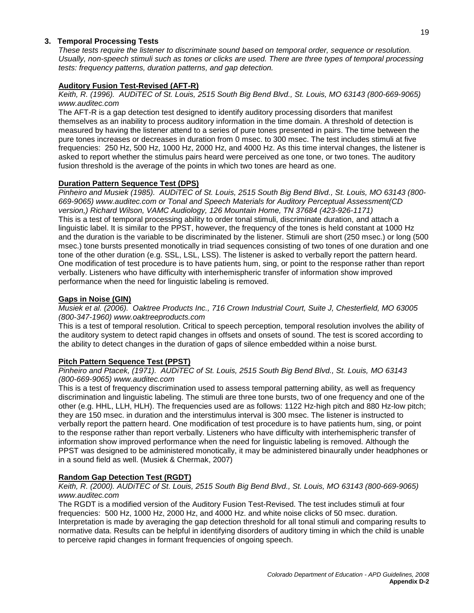### **3. Temporal Processing Tests**

*These tests require the listener to discriminate sound based on temporal order, sequence or resolution. Usually, non-speech stimuli such as tones or clicks are used. There are three types of temporal processing tests: frequency patterns, duration patterns, and gap detection.*

### **Auditory Fusion Test-Revised (AFT-R)**

*Keith, R. (1996). AUDiTEC of St. Louis, 2515 South Big Bend Blvd., St. Louis, MO 63143 (800-669-9065) www.auditec.com*

The AFT-R is a gap detection test designed to identify auditory processing disorders that manifest themselves as an inability to process auditory information in the time domain. A threshold of detection is measured by having the listener attend to a series of pure tones presented in pairs. The time between the pure tones increases or decreases in duration from 0 msec. to 300 msec. The test includes stimuli at five frequencies: 250 Hz, 500 Hz, 1000 Hz, 2000 Hz, and 4000 Hz. As this time interval changes, the listener is asked to report whether the stimulus pairs heard were perceived as one tone, or two tones. The auditory fusion threshold is the average of the points in which two tones are heard as one.

### **Duration Pattern Sequence Test (DPS)**

*Pinheiro and Musiek (1985). AUDiTEC of St. Louis, 2515 South Big Bend Blvd., St. Louis, MO 63143 (800- 669-9065) www.auditec.com or Tonal and Speech Materials for Auditory Perceptual Assessment(CD version,) Richard Wilson, VAMC Audiology, 126 Mountain Home, TN 37684 (423-926-1171)* This is a test of temporal processing ability to order tonal stimuli, discriminate duration, and attach a linguistic label. It is similar to the PPST, however, the frequency of the tones is held constant at 1000 Hz and the duration is the variable to be discriminated by the listener. Stimuli are short (250 msec.) or long (500 msec.) tone bursts presented monotically in triad sequences consisting of two tones of one duration and one tone of the other duration (e.g. SSL, LSL, LSS). The listener is asked to verbally report the pattern heard. One modification of test procedure is to have patients hum, sing, or point to the response rather than report verbally. Listeners who have difficulty with interhemispheric transfer of information show improved performance when the need for linguistic labeling is removed.

#### **Gaps in Noise (GIN)**

*Musiek et al. (2006). Oaktree Products Inc., 716 Crown Industrial Court, Suite J, Chesterfield, MO 63005 (800-347-1960) www.oaktreeproducts.com*

This is a test of temporal resolution. Critical to speech perception, temporal resolution involves the ability of the auditory system to detect rapid changes in offsets and onsets of sound. The test is scored according to the ability to detect changes in the duration of gaps of silence embedded within a noise burst.

#### **Pitch Pattern Sequence Test (PPST)**

#### *Pinheiro and Ptacek, (1971). AUDiTEC of St. Louis, 2515 South Big Bend Blvd., St. Louis, MO 63143 (800-669-9065) www.auditec.com*

This is a test of frequency discrimination used to assess temporal patterning ability, as well as frequency discrimination and linguistic labeling. The stimuli are three tone bursts, two of one frequency and one of the other (e.g. HHL, LLH, HLH). The frequencies used are as follows: 1122 Hz-high pitch and 880 Hz-low pitch; they are 150 msec. in duration and the interstimulus interval is 300 msec. The listener is instructed to verbally report the pattern heard. One modification of test procedure is to have patients hum, sing, or point to the response rather than report verbally. Listeners who have difficulty with interhemispheric transfer of information show improved performance when the need for linguistic labeling is removed. Although the PPST was designed to be administered monotically, it may be administered binaurally under headphones or in a sound field as well. (Musiek & Chermak, 2007)

#### **Random Gap Detection Test (RGDT)**

#### *Keith, R. (2000). AUDiTEC of St. Louis, 2515 South Big Bend Blvd., St. Louis, MO 63143 (800-669-9065) www.auditec.com*

The RGDT is a modified version of the Auditory Fusion Test-Revised. The test includes stimuli at four frequencies: 500 Hz, 1000 Hz, 2000 Hz, and 4000 Hz. and white noise clicks of 50 msec. duration. Interpretation is made by averaging the gap detection threshold for all tonal stimuli and comparing results to normative data. Results can be helpful in identifying disorders of auditory timing in which the child is unable to perceive rapid changes in formant frequencies of ongoing speech.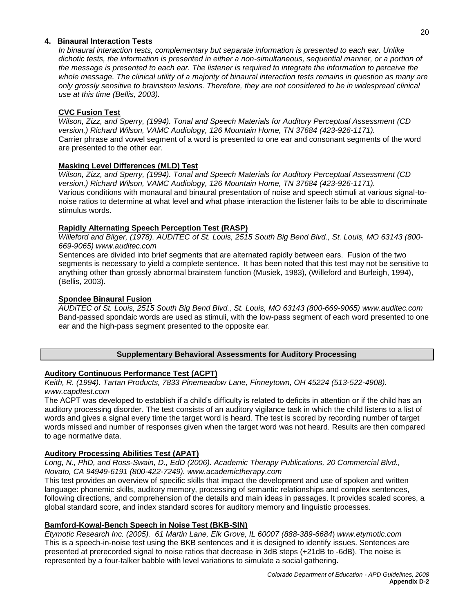### **4. Binaural Interaction Tests**

*In binaural interaction tests, complementary but separate information is presented to each ear. Unlike dichotic tests, the information is presented in either a non-simultaneous, sequential manner, or a portion of the message is presented to each ear. The listener is required to integrate the information to perceive the whole message. The clinical utility of a majority of binaural interaction tests remains in question as many are only grossly sensitive to brainstem lesions. Therefore, they are not considered to be in widespread clinical use at this time (Bellis, 2003).*

### **CVC Fusion Test**

*Wilson, Zizz, and Sperry, (1994). Tonal and Speech Materials for Auditory Perceptual Assessment (CD version,) Richard Wilson, VAMC Audiology, 126 Mountain Home, TN 37684 (423-926-1171).* Carrier phrase and vowel segment of a word is presented to one ear and consonant segments of the word are presented to the other ear.

### **Masking Level Differences (MLD) Test**

*Wilson, Zizz, and Sperry, (1994). Tonal and Speech Materials for Auditory Perceptual Assessment (CD version,) Richard Wilson, VAMC Audiology, 126 Mountain Home, TN 37684 (423-926-1171).* Various conditions with monaural and binaural presentation of noise and speech stimuli at various signal-tonoise ratios to determine at what level and what phase interaction the listener fails to be able to discriminate stimulus words.

## **Rapidly Alternating Speech Perception Test (RASP)**

*Willeford and Bilger, (1978). AUDiTEC of St. Louis, 2515 South Big Bend Blvd., St. Louis, MO 63143 (800- 669-9065) www.auditec.com*

Sentences are divided into brief segments that are alternated rapidly between ears. Fusion of the two segments is necessary to yield a complete sentence. It has been noted that this test may not be sensitive to anything other than grossly abnormal brainstem function (Musiek, 1983), (Willeford and Burleigh, 1994), (Bellis, 2003).

### **Spondee Binaural Fusion**

*AUDiTEC of St. Louis, 2515 South Big Bend Blvd., St. Louis, MO 63143 (800-669-9065) www.auditec.com* Band-passed spondaic words are used as stimuli, with the low-pass segment of each word presented to one ear and the high-pass segment presented to the opposite ear.

## **Supplementary Behavioral Assessments for Auditory Processing**

## **Auditory Continuous Performance Test (ACPT)**

*Keith, R. (1994). Tartan Products, 7833 Pinemeadow Lane, Finneytown, OH 45224 (513-522-4908). www.capdtest.com*

The ACPT was developed to establish if a child's difficulty is related to deficits in attention or if the child has an auditory processing disorder. The test consists of an auditory vigilance task in which the child listens to a list of words and gives a signal every time the target word is heard. The test is scored by recording number of target words missed and number of responses given when the target word was not heard. Results are then compared to age normative data.

#### **Auditory Processing Abilities Test (APAT)**

*Long, N., PhD, and Ross-Swain, D., EdD (2006). Academic Therapy Publications, 20 Commercial Blvd., Novato, CA 94949-6191 (800-422-7249). www.academictherapy.com*

This test provides an overview of specific skills that impact the development and use of spoken and written language: phonemic skills, auditory memory, processing of semantic relationships and complex sentences, following directions, and comprehension of the details and main ideas in passages. It provides scaled scores, a global standard score, and index standard scores for auditory memory and linguistic processes.

#### **Bamford-Kowal-Bench Speech in Noise Test (BKB-SIN)**

*Etymotic Research Inc. (2005). 61 Martin Lane, Elk Grove, IL 60007 (888-389-6684*) *www.etymotic.com* This is a speech-in-noise test using the BKB sentences and it is designed to identify issues. Sentences are presented at prerecorded signal to noise ratios that decrease in 3dB steps (+21dB to -6dB). The noise is represented by a four-talker babble with level variations to simulate a social gathering.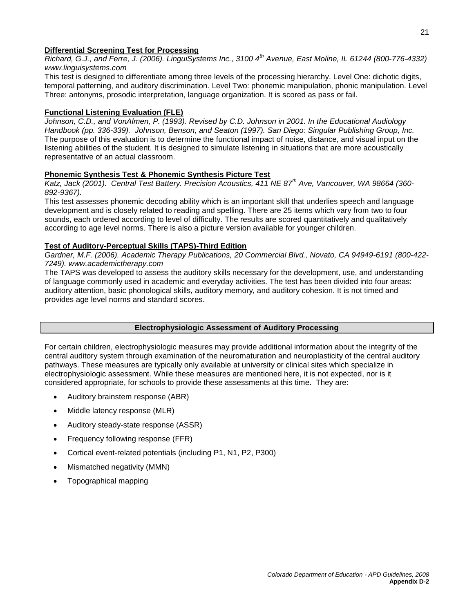### **Differential Screening Test for Processing**

*Richard, G.J., and Ferre, J. (2006). LinguiSystems Inc., 3100 4th Avenue, East Moline, IL 61244 (800-776-4332) www.linguisystems.com*

This test is designed to differentiate among three levels of the processing hierarchy. Level One: dichotic digits, temporal patterning, and auditory discrimination. Level Two: phonemic manipulation, phonic manipulation. Level Three: antonyms, prosodic interpretation, language organization. It is scored as pass or fail.

### **Functional Listening Evaluation (FLE)**

*Johnson, C.D., and VonAlmen, P. (1993). Revised by C.D. Johnson in 2001. In the Educational Audiology Handbook (pp. 336-339). Johnson, Benson, and Seaton (1997). San Diego: Singular Publishing Group, Inc.* The purpose of this evaluation is to determine the functional impact of noise, distance, and visual input on the listening abilities of the student. It is designed to simulate listening in situations that are more acoustically representative of an actual classroom.

#### **Phonemic Synthesis Test & Phonemic Synthesis Picture Test**

*Katz, Jack (2001). Central Test Battery. Precision Acoustics, 411 NE 87th Ave, Vancouver, WA 98664 (360- 892-9367).*

This test assesses phonemic decoding ability which is an important skill that underlies speech and language development and is closely related to reading and spelling. There are 25 items which vary from two to four sounds, each ordered according to level of difficulty. The results are scored quantitatively and qualitatively according to age level norms. There is also a picture version available for younger children.

#### **Test of Auditory-Perceptual Skills (TAPS)-Third Edition**

*Gardner, M.F. (2006). Academic Therapy Publications, 20 Commercial Blvd., Novato, CA 94949-6191 (800-422- 7249). www.academictherapy.com*

The TAPS was developed to assess the auditory skills necessary for the development, use, and understanding of language commonly used in academic and everyday activities. The test has been divided into four areas: auditory attention, basic phonological skills, auditory memory, and auditory cohesion. It is not timed and provides age level norms and standard scores.

#### **Electrophysiologic Assessment of Auditory Processing**

For certain children, electrophysiologic measures may provide additional information about the integrity of the central auditory system through examination of the neuromaturation and neuroplasticity of the central auditory pathways. These measures are typically only available at university or clinical sites which specialize in electrophysiologic assessment. While these measures are mentioned here, it is not expected, nor is it considered appropriate, for schools to provide these assessments at this time. They are:

- Auditory brainstem response (ABR)
- Middle latency response (MLR)
- Auditory steady-state response (ASSR)
- Frequency following response (FFR)
- Cortical event-related potentials (including P1, N1, P2, P300)
- Mismatched negativity (MMN)
- Topographical mapping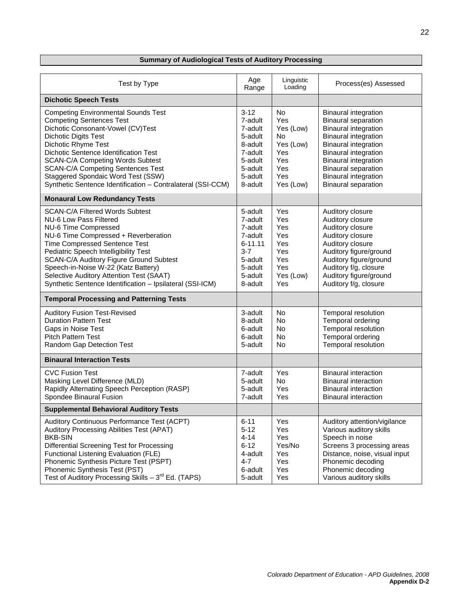### **Summary of Audiological Tests of Auditory Processing**

| Test by Type                                                                                                                                                                                                                                                                                                                                                                                                        | Age<br>Range                                                                                                   | Linguistic<br>Loading                                                                          | Process(es) Assessed                                                                                                                                                                                                                                    |
|---------------------------------------------------------------------------------------------------------------------------------------------------------------------------------------------------------------------------------------------------------------------------------------------------------------------------------------------------------------------------------------------------------------------|----------------------------------------------------------------------------------------------------------------|------------------------------------------------------------------------------------------------|---------------------------------------------------------------------------------------------------------------------------------------------------------------------------------------------------------------------------------------------------------|
| <b>Dichotic Speech Tests</b>                                                                                                                                                                                                                                                                                                                                                                                        |                                                                                                                |                                                                                                |                                                                                                                                                                                                                                                         |
| <b>Competing Environmental Sounds Test</b><br><b>Competing Sentences Test</b><br>Dichotic Consonant-Vowel (CV)Test<br>Dichotic Digits Test<br>Dichotic Rhyme Test<br><b>Dichotic Sentence Identification Test</b><br><b>SCAN-C/A Competing Words Subtest</b><br><b>SCAN-C/A Competing Sentences Test</b><br>Staggered Spondaic Word Test (SSW)<br>Synthetic Sentence Identification - Contralateral (SSI-CCM)       | $3 - 12$<br>7-adult<br>7-adult<br>5-adult<br>8-adult<br>7-adult<br>5-adult<br>5-adult<br>5-adult<br>8-adult    | N <sub>o</sub><br>Yes<br>Yes (Low)<br>No<br>Yes (Low)<br>Yes<br>Yes<br>Yes<br>Yes<br>Yes (Low) | Binaural integration<br>Binaural separation<br><b>Binaural integration</b><br>Binaural integration<br>Binaural integration<br>Binaural integration<br>Binaural integration<br><b>Binaural separation</b><br>Binaural integration<br>Binaural separation |
| <b>Monaural Low Redundancy Tests</b>                                                                                                                                                                                                                                                                                                                                                                                |                                                                                                                |                                                                                                |                                                                                                                                                                                                                                                         |
| <b>SCAN-C/A Filtered Words Subtest</b><br>NU-6 Low Pass Filtered<br><b>NU-6 Time Compressed</b><br>NU-6 Time Compressed + Reverberation<br><b>Time Compressed Sentence Test</b><br>Pediatric Speech Intelligibility Test<br>SCAN-C/A Auditory Figure Ground Subtest<br>Speech-in-Noise W-22 (Katz Battery)<br>Selective Auditory Attention Test (SAAT)<br>Synthetic Sentence Identification - Ipsilateral (SSI-ICM) | 5-adult<br>7-adult<br>7-adult<br>7-adult<br>$6 - 11.11$<br>$3 - 7$<br>5-adult<br>5-adult<br>5-adult<br>8-adult | Yes<br>Yes<br>Yes<br>Yes<br>Yes<br>Yes<br>Yes<br>Yes<br>Yes (Low)<br>Yes                       | Auditory closure<br>Auditory closure<br>Auditory closure<br>Auditory closure<br>Auditory closure<br>Auditory figure/ground<br>Auditory figure/ground<br>Auditory f/g, closure<br>Auditory figure/ground<br>Auditory f/g, closure                        |
| <b>Temporal Processing and Patterning Tests</b>                                                                                                                                                                                                                                                                                                                                                                     |                                                                                                                |                                                                                                |                                                                                                                                                                                                                                                         |
| <b>Auditory Fusion Test-Revised</b><br><b>Duration Pattern Test</b><br>Gaps in Noise Test<br><b>Pitch Pattern Test</b><br>Random Gap Detection Test                                                                                                                                                                                                                                                                 | 3-adult<br>8-adult<br>6-adult<br>6-adult<br>5-adult                                                            | <b>No</b><br>No<br>No<br>No<br>No                                                              | Temporal resolution<br>Temporal ordering<br>Temporal resolution<br>Temporal ordering<br>Temporal resolution                                                                                                                                             |
| <b>Binaural Interaction Tests</b>                                                                                                                                                                                                                                                                                                                                                                                   |                                                                                                                |                                                                                                |                                                                                                                                                                                                                                                         |
| CVC Fusion Test<br>Masking Level Difference (MLD)<br>Rapidly Alternating Speech Perception (RASP)<br>Spondee Binaural Fusion                                                                                                                                                                                                                                                                                        | 7-adult<br>5-adult<br>5-adult<br>7-adult                                                                       | Yes<br>No.<br>Yes<br>Yes                                                                       | <b>Binaural interaction</b><br><b>Binaural interaction</b><br><b>Binaural interaction</b><br><b>Binaural interaction</b>                                                                                                                                |
| <b>Supplemental Behavioral Auditory Tests</b>                                                                                                                                                                                                                                                                                                                                                                       |                                                                                                                |                                                                                                |                                                                                                                                                                                                                                                         |
| Auditory Continuous Performance Test (ACPT)<br>Auditory Processing Abilities Test (APAT)<br><b>BKB-SIN</b><br>Differential Screening Test for Processing<br>Functional Listening Evaluation (FLE)<br>Phonemic Synthesis Picture Test (PSPT)<br>Phonemic Synthesis Test (PST)<br>Test of Auditory Processing Skills $-3^{rd}$ Ed. (TAPS)                                                                             | $6 - 11$<br>$5 - 12$<br>$4 - 14$<br>$6 - 12$<br>4-adult<br>$4 - 7$<br>6-adult<br>5-adult                       | Yes<br>Yes<br>Yes<br>Yes/No<br>Yes<br>Yes<br>Yes<br>Yes                                        | Auditory attention/vigilance<br>Various auditory skills<br>Speech in noise<br>Screens 3 processing areas<br>Distance, noise, visual input<br>Phonemic decoding<br>Phonemic decoding<br>Various auditory skills                                          |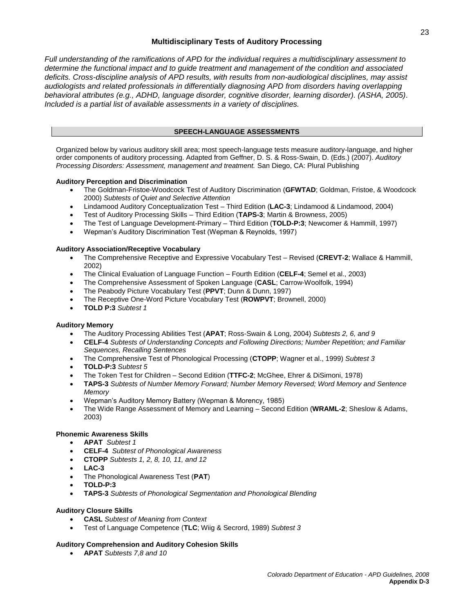### **Multidisciplinary Tests of Auditory Processing**

*Full understanding of the ramifications of APD for the individual requires a multidisciplinary assessment to determine the functional impact and to guide treatment and management of the condition and associated deficits. Cross-discipline analysis of APD results, with results from non-audiological disciplines, may assist audiologists and related professionals in differentially diagnosing APD from disorders having overlapping behavioral attributes (e.g., ADHD, language disorder, cognitive disorder, learning disorder). (ASHA, 2005). Included is a partial list of available assessments in a variety of disciplines.*

#### **SPEECH-LANGUAGE ASSESSMENTS**

Organized below by various auditory skill area; most speech-language tests measure auditory-language, and higher order components of auditory processing. Adapted from Geffner, D. S. & Ross-Swain, D. (Eds.) (2007). *Auditory Processing Disorders: Assessment, management and treatment.* San Diego, CA: Plural Publishing

#### **Auditory Perception and Discrimination**

- The Goldman-Fristoe-Woodcock Test of Auditory Discrimination (**GFWTAD**; Goldman, Fristoe, & Woodcock 2000) *Subtests of Quiet and Selective Attention*
- Lindamood Auditory Conceptualization Test Third Edition (**LAC-3**; Lindamood & Lindamood, 2004)
- Test of Auditory Processing Skills Third Edition (**TAPS-3**; Martin & Browness, 2005)
- The Test of Language Development-Primary Third Edition (**TOLD-P:3**; Newcomer & Hammill, 1997)
- Wepman's Auditory Discrimination Test (Wepman & Reynolds, 1997)

#### **Auditory Association/Receptive Vocabulary**

- The Comprehensive Receptive and Expressive Vocabulary Test Revised (**CREVT-2**; Wallace & Hammill, 2002)
- The Clinical Evaluation of Language Function Fourth Edition (**CELF-4**; Semel et al., 2003)
- The Comprehensive Assessment of Spoken Language (**CASL**; Carrow-Woolfolk, 1994)
- The Peabody Picture Vocabulary Test (**PPVT**; Dunn & Dunn, 1997)
- The Receptive One-Word Picture Vocabulary Test (**ROWPVT**; Brownell, 2000)
- **TOLD P:3** *Subtest 1*

#### **Auditory Memory**

- The Auditory Processing Abilities Test (**APAT**; Ross-Swain & Long, 2004) *Subtests 2, 6, and 9*
- **CELF-4** *Subtests of Understanding Concepts and Following Directions; Number Repetition; and Familiar Sequences, Recalling Sentences*
- The Comprehensive Test of Phonological Processing (**CTOPP**; Wagner et al., 1999) *Subtest 3*
- **TOLD-P:3** *Subtest 5*
- The Token Test for Children Second Edition (**TTFC-2**; McGhee, Ehrer & DiSimoni, 1978)
- **TAPS-3** *Subtests of Number Memory Forward; Number Memory Reversed; Word Memory and Sentence Memory*
- Wepman's Auditory Memory Battery (Wepman & Morency, 1985)
- The Wide Range Assessment of Memory and Learning Second Edition (**WRAML-2**; Sheslow & Adams, 2003)

#### **Phonemic Awareness Skills**

- **APAT** *Subtest 1*
- **CELF-4** *Subtest of Phonological Awareness*
- **CTOPP** *Subtests 1, 2, 8, 10, 11, and 12*
- **LAC-3**
- The Phonological Awareness Test (**PAT**)
- **TOLD-P:3**
- **TAPS-3** *Subtests of Phonological Segmentation and Phonological Blending*

#### **Auditory Closure Skills**

- **CASL** *Subtest of Meaning from Context*
- Test of Language Competence (**TLC**; Wiig & Secrord, 1989) *Subtest 3*

#### **Auditory Comprehension and Auditory Cohesion Skills**

**APAT** *Subtests 7,8 and 10*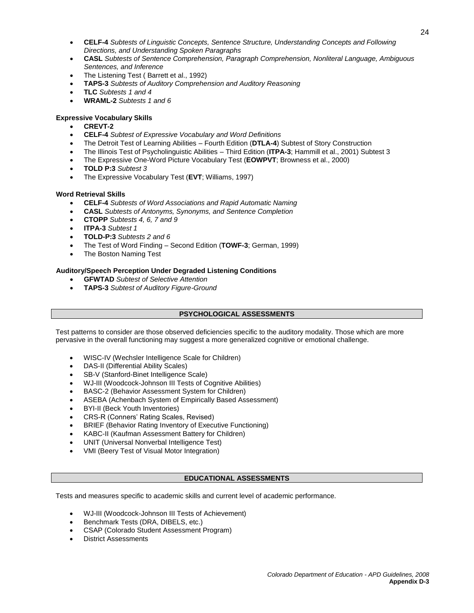- **CELF-4** *Subtests of Linguistic Concepts, Sentence Structure, Understanding Concepts and Following Directions, and Understanding Spoken Paragraphs*
- **CASL** *Subtests of Sentence Comprehension, Paragraph Comprehension, Nonliteral Language, Ambiguous Sentences, and Inference*
- The Listening Test ( Barrett et al., 1992)
- **TAPS-3** *Subtests of Auditory Comprehension and Auditory Reasoning*
- **TLC** *Subtests 1 and 4*
- **WRAML-2** *Subtests 1 and 6*

#### **Expressive Vocabulary Skills**

- **CREVT-2**
- **CELF-4** *Subtest of Expressive Vocabulary and Word Definitions*
- The Detroit Test of Learning Abilities Fourth Edition (**DTLA-4**) Subtest of Story Construction
- The Illinois Test of Psycholinguistic Abilities Third Edition (**ITPA-3**; Hammill et al., 2001) Subtest 3
- The Expressive One-Word Picture Vocabulary Test (**EOWPVT**; Browness et al., 2000)
- **TOLD P:3** *Subtest 3*
- The Expressive Vocabulary Test (**EVT**; Williams, 1997)

#### **Word Retrieval Skills**

- **CELF-4** *Subtests of Word Associations and Rapid Automatic Naming*
- **CASL** *Subtests of Antonyms, Synonyms, and Sentence Completion*
- **CTOPP** *Subtests 4, 6, 7 and 9*
- **ITPA-3** *Subtest 1*
- **TOLD-P:3** *Subtests 2 and 6*
- The Test of Word Finding Second Edition (**TOWF-3**; German, 1999)
- The Boston Naming Test

#### **Auditory/Speech Perception Under Degraded Listening Conditions**

- **GFWTAD** *Subtest of Selective Attention*
- **TAPS-3** *Subtest of Auditory Figure-Ground*

#### **PSYCHOLOGICAL ASSESSMENTS**

Test patterns to consider are those observed deficiencies specific to the auditory modality. Those which are more pervasive in the overall functioning may suggest a more generalized cognitive or emotional challenge.

- WISC-IV (Wechsler Intelligence Scale for Children)
- DAS-II (Differential Ability Scales)
- SB-V (Stanford-Binet Intelligence Scale)
- WJ-III (Woodcock-Johnson III Tests of Cognitive Abilities)
- BASC-2 (Behavior Assessment System for Children)
- ASEBA (Achenbach System of Empirically Based Assessment)
- BYI-II (Beck Youth Inventories)
- CRS-R (Conners' Rating Scales, Revised)
- BRIEF (Behavior Rating Inventory of Executive Functioning)
- KABC-II (Kaufman Assessment Battery for Children)
- UNIT (Universal Nonverbal Intelligence Test)
- VMI (Beery Test of Visual Motor Integration)

#### **EDUCATIONAL ASSESSMENTS**

Tests and measures specific to academic skills and current level of academic performance.

- WJ-III (Woodcock-Johnson III Tests of Achievement)
- Benchmark Tests (DRA, DIBELS, etc.)
- CSAP (Colorado Student Assessment Program)
- District Assessments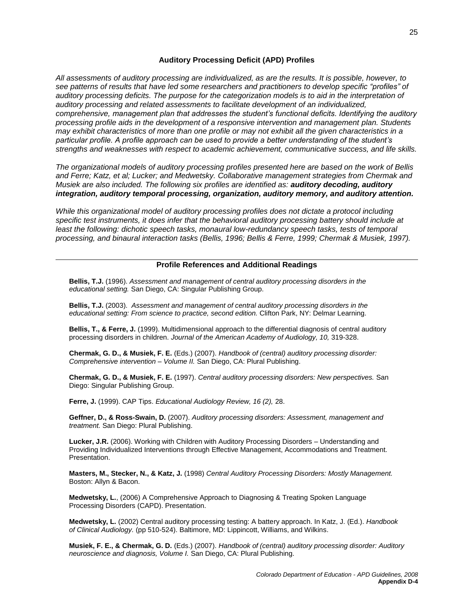#### **Auditory Processing Deficit (APD) Profiles**

*All assessments of auditory processing are individualized, as are the results. It is possible, however, to see patterns of results that have led some researchers and practitioners to develop specific "profiles" of auditory processing deficits. The purpose for the categorization models is to aid in the interpretation of auditory processing and related assessments to facilitate development of an individualized, comprehensive, management plan that addresses the student's functional deficits. Identifying the auditory processing profile aids in the development of a responsive intervention and management plan. Students may exhibit characteristics of more than one profile or may not exhibit all the given characteristics in a particular profile. A profile approach can be used to provide a better understanding of the student's strengths and weaknesses with respect to academic achievement, communicative success, and life skills.*

*The organizational models of auditory processing profiles presented here are based on the work of Bellis and Ferre; Katz, et al; Lucker; and Medwetsky. Collaborative management strategies from Chermak and Musiek are also included. The following six profiles are identified as: auditory decoding, auditory integration, auditory temporal processing, organization, auditory memory, and auditory attention.*

*While this organizational model of auditory processing profiles does not dictate a protocol including specific test instruments, it does infer that the behavioral auditory processing battery should include at*  least the following: dichotic speech tasks, monaural low-redundancy speech tasks, tests of temporal *processing, and binaural interaction tasks (Bellis, 1996; Bellis & Ferre, 1999; Chermak & Musiek, 1997).*

#### **Profile References and Additional Readings**

**Bellis, T.J.** (1996). *Assessment and management of central auditory processing disorders in the educational setting.* San Diego, CA: Singular Publishing Group.

**Bellis, T.J.** (2003). *Assessment and management of central auditory processing disorders in the educational setting: From science to practice, second edition.* Clifton Park, NY: Delmar Learning.

**Bellis, T., & Ferre, J.** (1999). Multidimensional approach to the differential diagnosis of central auditory processing disorders in children. *Journal of the American Academy of Audiology, 10,* 319-328.

**Chermak, G. D., & Musiek, F. E.** (Eds.) (2007). *Handbook of (central) auditory processing disorder: Comprehensive intervention – Volume II.* San Diego, CA: Plural Publishing.

**Chermak, G. D., & Musiek, F. E.** (1997). *Central auditory processing disorders: New perspectives.* San Diego: Singular Publishing Group.

**Ferre, J.** (1999). CAP Tips. *Educational Audiology Review, 16 (2),* 28.

**Geffner, D., & Ross-Swain, D.** (2007). *Auditory processing disorders: Assessment, management and treatment.* San Diego: Plural Publishing.

**Lucker, J.R.** (2006). Working with Children with Auditory Processing Disorders – Understanding and Providing Individualized Interventions through Effective Management, Accommodations and Treatment. Presentation.

**Masters, M., Stecker, N., & Katz, J.** (1998) *Central Auditory Processing Disorders: Mostly Management.* Boston: Allyn & Bacon.

**Medwetsky, L.**, (2006) A Comprehensive Approach to Diagnosing & Treating Spoken Language Processing Disorders (CAPD). Presentation.

**Medwetsky, L.** (2002) Central auditory processing testing: A battery approach. In Katz, J. (Ed.). *Handbook of Clinical Audiology.* (pp 510-524). Baltimore, MD: Lippincott, Williams, and Wilkins.

**Musiek, F. E., & Chermak, G. D.** (Eds.) (2007). *Handbook of (central) auditory processing disorder: Auditory neuroscience and diagnosis, Volume I.* San Diego, CA: Plural Publishing.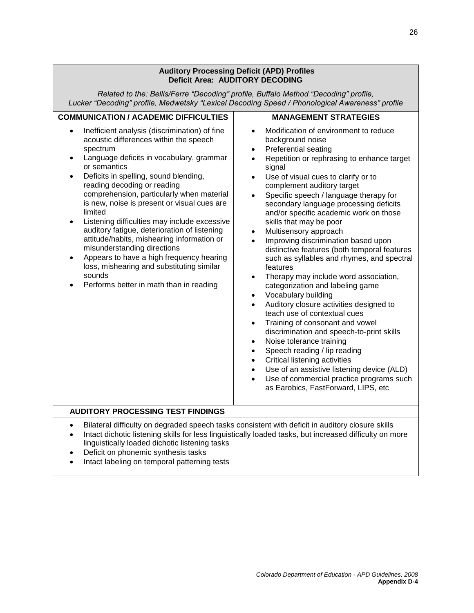| <b>Auditory Processing Deficit (APD) Profiles</b><br><b>Deficit Area: AUDITORY DECODING</b>                                                                                                                                                                                                                                                                                                                                                                                                                                                                                                                                                                                                                                   |                                                                                                                                                                                                                                                                                                                                                                                                                                                                                                                                                                                                                                                                                                                                                                                                                                                                                                                                                                                                                                                                                                                                                                                                                                                                |  |  |  |  |
|-------------------------------------------------------------------------------------------------------------------------------------------------------------------------------------------------------------------------------------------------------------------------------------------------------------------------------------------------------------------------------------------------------------------------------------------------------------------------------------------------------------------------------------------------------------------------------------------------------------------------------------------------------------------------------------------------------------------------------|----------------------------------------------------------------------------------------------------------------------------------------------------------------------------------------------------------------------------------------------------------------------------------------------------------------------------------------------------------------------------------------------------------------------------------------------------------------------------------------------------------------------------------------------------------------------------------------------------------------------------------------------------------------------------------------------------------------------------------------------------------------------------------------------------------------------------------------------------------------------------------------------------------------------------------------------------------------------------------------------------------------------------------------------------------------------------------------------------------------------------------------------------------------------------------------------------------------------------------------------------------------|--|--|--|--|
| Related to the: Bellis/Ferre "Decoding" profile, Buffalo Method "Decoding" profile,<br>Lucker "Decoding" profile, Medwetsky "Lexical Decoding Speed / Phonological Awareness" profile                                                                                                                                                                                                                                                                                                                                                                                                                                                                                                                                         |                                                                                                                                                                                                                                                                                                                                                                                                                                                                                                                                                                                                                                                                                                                                                                                                                                                                                                                                                                                                                                                                                                                                                                                                                                                                |  |  |  |  |
| <b>COMMUNICATION / ACADEMIC DIFFICULTIES</b>                                                                                                                                                                                                                                                                                                                                                                                                                                                                                                                                                                                                                                                                                  | <b>MANAGEMENT STRATEGIES</b>                                                                                                                                                                                                                                                                                                                                                                                                                                                                                                                                                                                                                                                                                                                                                                                                                                                                                                                                                                                                                                                                                                                                                                                                                                   |  |  |  |  |
| Inefficient analysis (discrimination) of fine<br>$\bullet$<br>acoustic differences within the speech<br>spectrum<br>Language deficits in vocabulary, grammar<br>or semantics<br>Deficits in spelling, sound blending,<br>$\bullet$<br>reading decoding or reading<br>comprehension, particularly when material<br>is new, noise is present or visual cues are<br>limited<br>Listening difficulties may include excessive<br>$\bullet$<br>auditory fatigue, deterioration of listening<br>attitude/habits, mishearing information or<br>misunderstanding directions<br>Appears to have a high frequency hearing<br>$\bullet$<br>loss, mishearing and substituting similar<br>sounds<br>Performs better in math than in reading | Modification of environment to reduce<br>$\bullet$<br>background noise<br>Preferential seating<br>$\bullet$<br>Repetition or rephrasing to enhance target<br>$\bullet$<br>signal<br>Use of visual cues to clarify or to<br>$\bullet$<br>complement auditory target<br>Specific speech / language therapy for<br>$\bullet$<br>secondary language processing deficits<br>and/or specific academic work on those<br>skills that may be poor<br>Multisensory approach<br>$\bullet$<br>Improving discrimination based upon<br>$\bullet$<br>distinctive features (both temporal features<br>such as syllables and rhymes, and spectral<br>features<br>Therapy may include word association,<br>$\bullet$<br>categorization and labeling game<br>Vocabulary building<br>$\bullet$<br>Auditory closure activities designed to<br>$\bullet$<br>teach use of contextual cues<br>Training of consonant and vowel<br>$\bullet$<br>discrimination and speech-to-print skills<br>Noise tolerance training<br>$\bullet$<br>Speech reading / lip reading<br>$\bullet$<br>Critical listening activities<br>$\bullet$<br>Use of an assistive listening device (ALD)<br>$\bullet$<br>Use of commercial practice programs such<br>$\bullet$<br>as Earobics, FastForward, LIPS, etc |  |  |  |  |
| <b>AUDITORY PROCESSING TEST FINDINGS</b><br>Bilateral difficulty on degraded speech tasks consistent with deficit in auditory closure skills<br>$\bullet$<br>Intact dichotic listening skills for less linguistically loaded tasks, but increased difficulty on more                                                                                                                                                                                                                                                                                                                                                                                                                                                          |                                                                                                                                                                                                                                                                                                                                                                                                                                                                                                                                                                                                                                                                                                                                                                                                                                                                                                                                                                                                                                                                                                                                                                                                                                                                |  |  |  |  |
| linguistically loaded dichotic listening tasks<br>Deficit on phonomic cynthonic tooks                                                                                                                                                                                                                                                                                                                                                                                                                                                                                                                                                                                                                                         |                                                                                                                                                                                                                                                                                                                                                                                                                                                                                                                                                                                                                                                                                                                                                                                                                                                                                                                                                                                                                                                                                                                                                                                                                                                                |  |  |  |  |

- Deficit on phonemic synthesis tasks
- Intact labeling on temporal patterning tests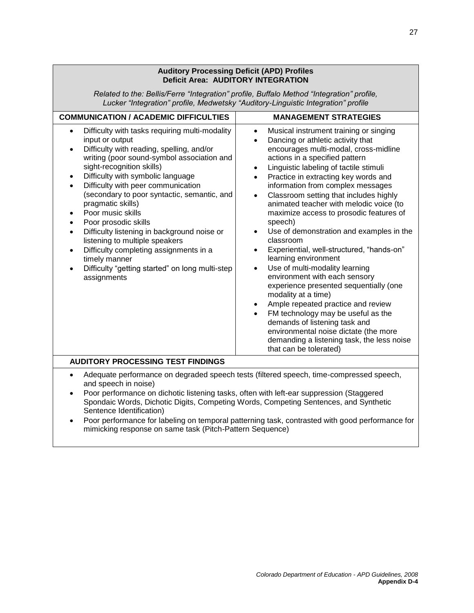| <b>Auditory Processing Deficit (APD) Profiles</b><br><b>Deficit Area: AUDITORY INTEGRATION</b>                                                                                                                                                                                                                                                                                                                                                                                                                                                                                                                                                                                                              |                                                                                                                                                                                                                                                                                                                                                                                                                                                                                                                                                                                                                                                                                                                                                                                                                                                                                                                                                                                                                                               |  |  |  |  |
|-------------------------------------------------------------------------------------------------------------------------------------------------------------------------------------------------------------------------------------------------------------------------------------------------------------------------------------------------------------------------------------------------------------------------------------------------------------------------------------------------------------------------------------------------------------------------------------------------------------------------------------------------------------------------------------------------------------|-----------------------------------------------------------------------------------------------------------------------------------------------------------------------------------------------------------------------------------------------------------------------------------------------------------------------------------------------------------------------------------------------------------------------------------------------------------------------------------------------------------------------------------------------------------------------------------------------------------------------------------------------------------------------------------------------------------------------------------------------------------------------------------------------------------------------------------------------------------------------------------------------------------------------------------------------------------------------------------------------------------------------------------------------|--|--|--|--|
| Related to the: Bellis/Ferre "Integration" profile, Buffalo Method "Integration" profile,<br>Lucker "Integration" profile, Medwetsky "Auditory-Linguistic Integration" profile                                                                                                                                                                                                                                                                                                                                                                                                                                                                                                                              |                                                                                                                                                                                                                                                                                                                                                                                                                                                                                                                                                                                                                                                                                                                                                                                                                                                                                                                                                                                                                                               |  |  |  |  |
| <b>COMMUNICATION / ACADEMIC DIFFICULTIES</b>                                                                                                                                                                                                                                                                                                                                                                                                                                                                                                                                                                                                                                                                | <b>MANAGEMENT STRATEGIES</b>                                                                                                                                                                                                                                                                                                                                                                                                                                                                                                                                                                                                                                                                                                                                                                                                                                                                                                                                                                                                                  |  |  |  |  |
| Difficulty with tasks requiring multi-modality<br>$\bullet$<br>input or output<br>Difficulty with reading, spelling, and/or<br>$\bullet$<br>writing (poor sound-symbol association and<br>sight-recognition skills)<br>Difficulty with symbolic language<br>$\bullet$<br>Difficulty with peer communication<br>$\bullet$<br>(secondary to poor syntactic, semantic, and<br>pragmatic skills)<br>Poor music skills<br>$\bullet$<br>Poor prosodic skills<br>$\bullet$<br>Difficulty listening in background noise or<br>listening to multiple speakers<br>Difficulty completing assignments in a<br>$\bullet$<br>timely manner<br>Difficulty "getting started" on long multi-step<br>$\bullet$<br>assignments | Musical instrument training or singing<br>$\bullet$<br>Dancing or athletic activity that<br>$\bullet$<br>encourages multi-modal, cross-midline<br>actions in a specified pattern<br>Linguistic labeling of tactile stimuli<br>$\bullet$<br>Practice in extracting key words and<br>$\bullet$<br>information from complex messages<br>Classroom setting that includes highly<br>$\bullet$<br>animated teacher with melodic voice (to<br>maximize access to prosodic features of<br>speech)<br>Use of demonstration and examples in the<br>$\bullet$<br>classroom<br>Experiential, well-structured, "hands-on"<br>$\bullet$<br>learning environment<br>Use of multi-modality learning<br>$\bullet$<br>environment with each sensory<br>experience presented sequentially (one<br>modality at a time)<br>Ample repeated practice and review<br>$\bullet$<br>FM technology may be useful as the<br>demands of listening task and<br>environmental noise dictate (the more<br>demanding a listening task, the less noise<br>that can be tolerated) |  |  |  |  |
| <b>AUDITORY PROCESSING TEST FINDINGS</b>                                                                                                                                                                                                                                                                                                                                                                                                                                                                                                                                                                                                                                                                    |                                                                                                                                                                                                                                                                                                                                                                                                                                                                                                                                                                                                                                                                                                                                                                                                                                                                                                                                                                                                                                               |  |  |  |  |
| Adequate performance on degraded speech tests (filtered speech, time-compressed speech,<br>$\bullet$<br>and speech in noise)<br>Poor performance on dichotic listening tasks, often with left-ear suppression (Staggered<br>$\bullet$<br>Spondaic Words, Dichotic Digits, Competing Words, Competing Sentences, and Synthetic<br>Sentence Identification)<br>Poor performance for labeling on temporal patterning task, contrasted with good performance for                                                                                                                                                                                                                                                |                                                                                                                                                                                                                                                                                                                                                                                                                                                                                                                                                                                                                                                                                                                                                                                                                                                                                                                                                                                                                                               |  |  |  |  |

mimicking response on same task (Pitch-Pattern Sequence)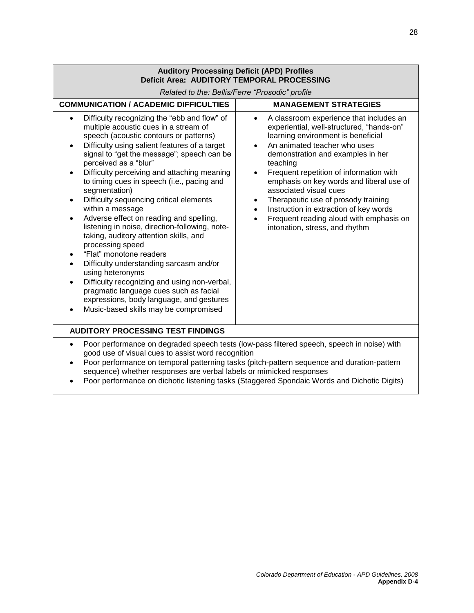| <b>Auditory Processing Deficit (APD) Profiles</b><br><b>Deficit Area: AUDITORY TEMPORAL PROCESSING</b>                                                                                                                                                                                                                                                                                                                                                                                                                                                                                                                                                                                                                                                                                                                                                                                             |                                                                                                                                                                                                                                                                                                                                                                                                                                                                                                                                                                  |  |  |  |  |  |  |
|----------------------------------------------------------------------------------------------------------------------------------------------------------------------------------------------------------------------------------------------------------------------------------------------------------------------------------------------------------------------------------------------------------------------------------------------------------------------------------------------------------------------------------------------------------------------------------------------------------------------------------------------------------------------------------------------------------------------------------------------------------------------------------------------------------------------------------------------------------------------------------------------------|------------------------------------------------------------------------------------------------------------------------------------------------------------------------------------------------------------------------------------------------------------------------------------------------------------------------------------------------------------------------------------------------------------------------------------------------------------------------------------------------------------------------------------------------------------------|--|--|--|--|--|--|
| Related to the: Bellis/Ferre "Prosodic" profile                                                                                                                                                                                                                                                                                                                                                                                                                                                                                                                                                                                                                                                                                                                                                                                                                                                    |                                                                                                                                                                                                                                                                                                                                                                                                                                                                                                                                                                  |  |  |  |  |  |  |
| <b>COMMUNICATION / ACADEMIC DIFFICULTIES</b>                                                                                                                                                                                                                                                                                                                                                                                                                                                                                                                                                                                                                                                                                                                                                                                                                                                       | <b>MANAGEMENT STRATEGIES</b>                                                                                                                                                                                                                                                                                                                                                                                                                                                                                                                                     |  |  |  |  |  |  |
| Difficulty recognizing the "ebb and flow" of<br>multiple acoustic cues in a stream of<br>speech (acoustic contours or patterns)<br>Difficulty using salient features of a target<br>signal to "get the message"; speech can be<br>perceived as a "blur"<br>Difficulty perceiving and attaching meaning<br>$\bullet$<br>to timing cues in speech (i.e., pacing and<br>segmentation)<br>Difficulty sequencing critical elements<br>$\bullet$<br>within a message<br>Adverse effect on reading and spelling,<br>listening in noise, direction-following, note-<br>taking, auditory attention skills, and<br>processing speed<br>"Flat" monotone readers<br>Difficulty understanding sarcasm and/or<br>using heteronyms<br>Difficulty recognizing and using non-verbal,<br>pragmatic language cues such as facial<br>expressions, body language, and gestures<br>Music-based skills may be compromised | A classroom experience that includes an<br>$\bullet$<br>experiential, well-structured, "hands-on"<br>learning environment is beneficial<br>An animated teacher who uses<br>$\bullet$<br>demonstration and examples in her<br>teaching<br>Frequent repetition of information with<br>$\bullet$<br>emphasis on key words and liberal use of<br>associated visual cues<br>Therapeutic use of prosody training<br>٠<br>Instruction in extraction of key words<br>$\bullet$<br>Frequent reading aloud with emphasis on<br>$\bullet$<br>intonation, stress, and rhythm |  |  |  |  |  |  |
| <b>AUDITORY PROCESSING TEST FINDINGS</b>                                                                                                                                                                                                                                                                                                                                                                                                                                                                                                                                                                                                                                                                                                                                                                                                                                                           |                                                                                                                                                                                                                                                                                                                                                                                                                                                                                                                                                                  |  |  |  |  |  |  |
| Poor performance on degraded speech tests (low-pass filtered speech, speech in noise) with<br>$\bullet$<br>good use of visual cues to assist word recognition<br>Poor performance on temporal patterning tasks (pitch-pattern sequence and duration-pattern<br>sequence) whether responses are verbal labels or mimicked responses<br>Poor performance on dichotic listening tasks (Staggered Spondaic Words and Dichotic Digits)                                                                                                                                                                                                                                                                                                                                                                                                                                                                  |                                                                                                                                                                                                                                                                                                                                                                                                                                                                                                                                                                  |  |  |  |  |  |  |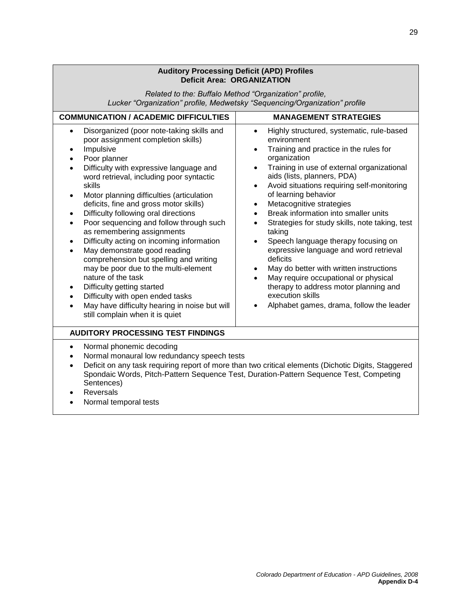| <b>Auditory Processing Deficit (APD) Profiles</b><br><b>Deficit Area: ORGANIZATION</b>                                                                                                                                                                                                                                                                                                                                                                                                                                                                                                                                                                                                                                                                                                                                                                                                     |                                                                                                                                                                                                                                                                                                                                                                                                                                                                                                                                                                                                                                                                                                                                                                                                                     |  |  |  |  |
|--------------------------------------------------------------------------------------------------------------------------------------------------------------------------------------------------------------------------------------------------------------------------------------------------------------------------------------------------------------------------------------------------------------------------------------------------------------------------------------------------------------------------------------------------------------------------------------------------------------------------------------------------------------------------------------------------------------------------------------------------------------------------------------------------------------------------------------------------------------------------------------------|---------------------------------------------------------------------------------------------------------------------------------------------------------------------------------------------------------------------------------------------------------------------------------------------------------------------------------------------------------------------------------------------------------------------------------------------------------------------------------------------------------------------------------------------------------------------------------------------------------------------------------------------------------------------------------------------------------------------------------------------------------------------------------------------------------------------|--|--|--|--|
| Related to the: Buffalo Method "Organization" profile,<br>Lucker "Organization" profile, Medwetsky "Sequencing/Organization" profile                                                                                                                                                                                                                                                                                                                                                                                                                                                                                                                                                                                                                                                                                                                                                       |                                                                                                                                                                                                                                                                                                                                                                                                                                                                                                                                                                                                                                                                                                                                                                                                                     |  |  |  |  |
| <b>COMMUNICATION / ACADEMIC DIFFICULTIES</b>                                                                                                                                                                                                                                                                                                                                                                                                                                                                                                                                                                                                                                                                                                                                                                                                                                               | <b>MANAGEMENT STRATEGIES</b>                                                                                                                                                                                                                                                                                                                                                                                                                                                                                                                                                                                                                                                                                                                                                                                        |  |  |  |  |
| Disorganized (poor note-taking skills and<br>$\bullet$<br>poor assignment completion skills)<br>Impulsive<br>$\bullet$<br>Poor planner<br>$\bullet$<br>Difficulty with expressive language and<br>$\bullet$<br>word retrieval, including poor syntactic<br>skills<br>Motor planning difficulties (articulation<br>$\bullet$<br>deficits, fine and gross motor skills)<br>Difficulty following oral directions<br>$\bullet$<br>Poor sequencing and follow through such<br>$\bullet$<br>as remembering assignments<br>Difficulty acting on incoming information<br>$\bullet$<br>May demonstrate good reading<br>٠<br>comprehension but spelling and writing<br>may be poor due to the multi-element<br>nature of the task<br>Difficulty getting started<br>$\bullet$<br>Difficulty with open ended tasks<br>May have difficulty hearing in noise but will<br>still complain when it is quiet | Highly structured, systematic, rule-based<br>$\bullet$<br>environment<br>Training and practice in the rules for<br>$\bullet$<br>organization<br>Training in use of external organizational<br>$\bullet$<br>aids (lists, planners, PDA)<br>Avoid situations requiring self-monitoring<br>$\bullet$<br>of learning behavior<br>Metacognitive strategies<br>$\bullet$<br>Break information into smaller units<br>$\bullet$<br>Strategies for study skills, note taking, test<br>$\bullet$<br>taking<br>Speech language therapy focusing on<br>$\bullet$<br>expressive language and word retrieval<br>deficits<br>May do better with written instructions<br>May require occupational or physical<br>$\bullet$<br>therapy to address motor planning and<br>execution skills<br>Alphabet games, drama, follow the leader |  |  |  |  |
| <b>AUDITORY PROCESSING TEST FINDINGS</b>                                                                                                                                                                                                                                                                                                                                                                                                                                                                                                                                                                                                                                                                                                                                                                                                                                                   |                                                                                                                                                                                                                                                                                                                                                                                                                                                                                                                                                                                                                                                                                                                                                                                                                     |  |  |  |  |
| Normal phonemic decoding<br>$\bullet$<br>Normal monaural low redundancy speech tests<br>$\bullet$<br>$\bullet$<br>Sentences)<br><b>Reversals</b><br>Normal temporal tests                                                                                                                                                                                                                                                                                                                                                                                                                                                                                                                                                                                                                                                                                                                  | Deficit on any task requiring report of more than two critical elements (Dichotic Digits, Staggered<br>Spondaic Words, Pitch-Pattern Sequence Test, Duration-Pattern Sequence Test, Competing                                                                                                                                                                                                                                                                                                                                                                                                                                                                                                                                                                                                                       |  |  |  |  |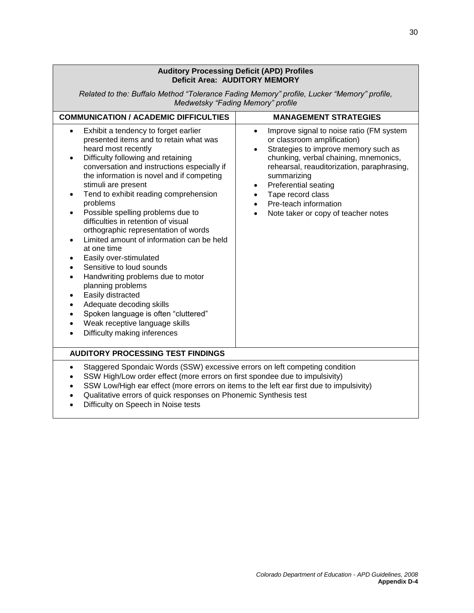| <b>Auditory Processing Deficit (APD) Profiles</b><br><b>Deficit Area: AUDITORY MEMORY</b>                                                                                                                                                                                                                                                                                                                                                                                                                                                                                                                                                                                                                                                                                                                                                                                                   |                                                                                                                                                                                                                                                                                                                                                                                                                  |  |
|---------------------------------------------------------------------------------------------------------------------------------------------------------------------------------------------------------------------------------------------------------------------------------------------------------------------------------------------------------------------------------------------------------------------------------------------------------------------------------------------------------------------------------------------------------------------------------------------------------------------------------------------------------------------------------------------------------------------------------------------------------------------------------------------------------------------------------------------------------------------------------------------|------------------------------------------------------------------------------------------------------------------------------------------------------------------------------------------------------------------------------------------------------------------------------------------------------------------------------------------------------------------------------------------------------------------|--|
| Related to the: Buffalo Method "Tolerance Fading Memory" profile, Lucker "Memory" profile,<br>Medwetsky "Fading Memory" profile                                                                                                                                                                                                                                                                                                                                                                                                                                                                                                                                                                                                                                                                                                                                                             |                                                                                                                                                                                                                                                                                                                                                                                                                  |  |
| <b>COMMUNICATION / ACADEMIC DIFFICULTIES</b>                                                                                                                                                                                                                                                                                                                                                                                                                                                                                                                                                                                                                                                                                                                                                                                                                                                | <b>MANAGEMENT STRATEGIES</b>                                                                                                                                                                                                                                                                                                                                                                                     |  |
| Exhibit a tendency to forget earlier<br>$\bullet$<br>presented items and to retain what was<br>heard most recently<br>Difficulty following and retaining<br>conversation and instructions especially if<br>the information is novel and if competing<br>stimuli are present<br>Tend to exhibit reading comprehension<br>$\bullet$<br>problems<br>Possible spelling problems due to<br>$\bullet$<br>difficulties in retention of visual<br>orthographic representation of words<br>Limited amount of information can be held<br>$\bullet$<br>at one time<br>Easily over-stimulated<br>٠<br>Sensitive to loud sounds<br>Handwriting problems due to motor<br>planning problems<br>Easily distracted<br>$\bullet$<br>Adequate decoding skills<br>$\bullet$<br>Spoken language is often "cluttered"<br>$\bullet$<br>Weak receptive language skills<br>$\bullet$<br>Difficulty making inferences | Improve signal to noise ratio (FM system<br>$\bullet$<br>or classroom amplification)<br>Strategies to improve memory such as<br>$\bullet$<br>chunking, verbal chaining, mnemonics,<br>rehearsal, reauditorization, paraphrasing,<br>summarizing<br>Preferential seating<br>$\bullet$<br>Tape record class<br>$\bullet$<br>Pre-teach information<br>$\bullet$<br>Note taker or copy of teacher notes<br>$\bullet$ |  |
| <b>AUDITORY PROCESSING TEST FINDINGS</b>                                                                                                                                                                                                                                                                                                                                                                                                                                                                                                                                                                                                                                                                                                                                                                                                                                                    |                                                                                                                                                                                                                                                                                                                                                                                                                  |  |
| Staggered Spondaic Words (SSW) excessive errors on left competing condition<br>$\bullet$<br>SSW High/Low order effect (more errors on first spondee due to impulsivity)<br>٠<br>SSW Low/High ear effect (more errors on items to the left ear first due to impulsivity)<br>$\bullet$<br>Qualitative errors of quick responses on Phonemic Synthesis test<br>$\bullet$<br>Difficulty on Speech in Noise tests                                                                                                                                                                                                                                                                                                                                                                                                                                                                                |                                                                                                                                                                                                                                                                                                                                                                                                                  |  |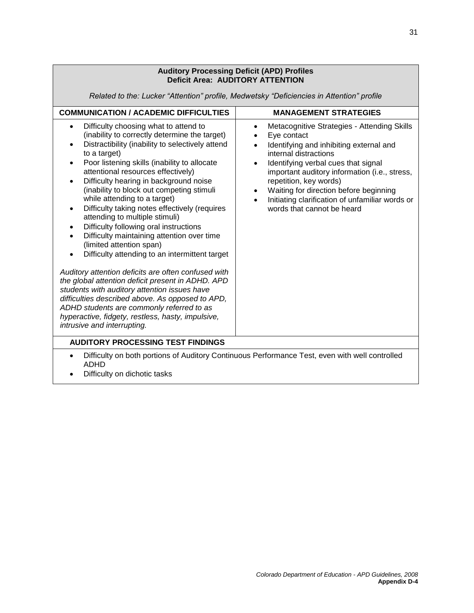#### **Auditory Processing Deficit (APD) Profiles Deficit Area: AUDITORY ATTENTION** *Related to the: Lucker "Attention" profile, Medwetsky "Deficiencies in Attention" profile* **COMMUNICATION / ACADEMIC DIFFICULTIES MANAGEMENT STRATEGIES** Difficulty choosing what to attend to (inability to correctly determine the target) Distractibility (inability to selectively attend to a target) Poor listening skills (inability to allocate attentional resources effectively) Difficulty hearing in background noise (inability to block out competing stimuli while attending to a target) Difficulty taking notes effectively (requires attending to multiple stimuli) Difficulty following oral instructions Difficulty maintaining attention over time (limited attention span) Difficulty attending to an intermittent target *Auditory attention deficits are often confused with the global attention deficit present in ADHD. APD students with auditory attention issues have difficulties described above. As opposed to APD, ADHD students are commonly referred to as hyperactive, fidgety, restless, hasty, impulsive, intrusive and interrupting.*  • Metacognitive Strategies - Attending Skills Eye contact Identifying and inhibiting external and internal distractions Identifying verbal cues that signal important auditory information (i.e., stress, repetition, key words) Waiting for direction before beginning Initiating clarification of unfamiliar words or words that cannot be heard **AUDITORY PROCESSING TEST FINDINGS** Difficulty on both portions of Auditory Continuous Performance Test, even with well controlled ADHD

• Difficulty on dichotic tasks

31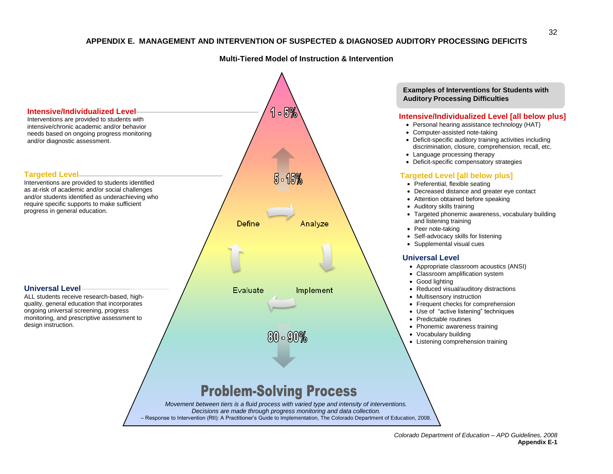## **APPENDIX E. MANAGEMENT AND INTERVENTION OF SUSPECTED & DIAGNOSED AUDITORY PROCESSING DEFICITS**

#### **Multi-Tiered Model of Instruction & Intervention**

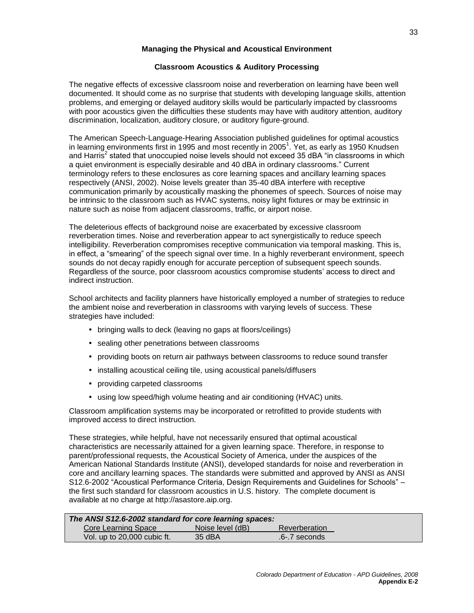### **Managing the Physical and Acoustical Environment**

#### **Classroom Acoustics & Auditory Processing**

The negative effects of excessive classroom noise and reverberation on learning have been well documented. It should come as no surprise that students with developing language skills, attention problems, and emerging or delayed auditory skills would be particularly impacted by classrooms with poor acoustics given the difficulties these students may have with auditory attention, auditory discrimination, localization, auditory closure, or auditory figure-ground.

The American Speech-Language-Hearing Association published guidelines for optimal acoustics in learning environments first in 1995 and most recently in 2005<sup>1</sup>. Yet, as early as 1950 Knudsen and Harris<sup>2</sup> stated that unoccupied noise levels should not exceed 35 dBA "in classrooms in which a quiet environment is especially desirable and 40 dBA in ordinary classrooms." Current terminology refers to these enclosures as core learning spaces and ancillary learning spaces respectively (ANSI, 2002). Noise levels greater than 35-40 dBA interfere with receptive communication primarily by acoustically masking the phonemes of speech. Sources of noise may be intrinsic to the classroom such as HVAC systems, noisy light fixtures or may be extrinsic in nature such as noise from adjacent classrooms, traffic, or airport noise.

The deleterious effects of background noise are exacerbated by excessive classroom reverberation times. Noise and reverberation appear to act synergistically to reduce speech intelligibility. Reverberation compromises receptive communication via temporal masking. This is, in effect, a "smearing" of the speech signal over time. In a highly reverberant environment, speech sounds do not decay rapidly enough for accurate perception of subsequent speech sounds. Regardless of the source, poor classroom acoustics compromise students' access to direct and indirect instruction.

School architects and facility planners have historically employed a number of strategies to reduce the ambient noise and reverberation in classrooms with varying levels of success. These strategies have included:

- bringing walls to deck (leaving no gaps at floors/ceilings)
- sealing other penetrations between classrooms
- providing boots on return air pathways between classrooms to reduce sound transfer
- installing acoustical ceiling tile, using acoustical panels/diffusers
- providing carpeted classrooms
- using low speed/high volume heating and air conditioning (HVAC) units.

Classroom amplification systems may be incorporated or retrofitted to provide students with improved access to direct instruction.

These strategies, while helpful, have not necessarily ensured that optimal acoustical characteristics are necessarily attained for a given learning space. Therefore, in response to parent/professional requests, the Acoustical Society of America, under the auspices of the American National Standards Institute (ANSI), developed standards for noise and reverberation in core and ancillary learning spaces. The standards were submitted and approved by ANSI as ANSI S12.6-2002 "Acoustical Performance Criteria, Design Requirements and Guidelines for Schools" – the first such standard for classroom acoustics in U.S. history. The complete document is available at no charge at http://asastore.aip.org.

| The ANSI S12.6-2002 standard for core learning spaces: |                    |               |
|--------------------------------------------------------|--------------------|---------------|
| Core Learning Space                                    | Noise level (dB) ∖ | Reverberation |
| Vol. up to 20,000 cubic ft.                            | 35 dBA             | .6-.7 seconds |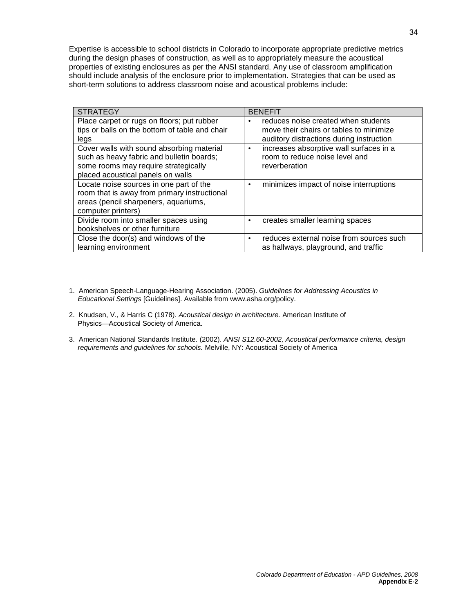Expertise is accessible to school districts in Colorado to incorporate appropriate predictive metrics during the design phases of construction, as well as to appropriately measure the acoustical properties of existing enclosures as per the ANSI standard. Any use of classroom amplification should include analysis of the enclosure prior to implementation. Strategies that can be used as short-term solutions to address classroom noise and acoustical problems include:

| <b>STRATEGY</b>                                | <b>BENEFIT</b>                           |
|------------------------------------------------|------------------------------------------|
| Place carpet or rugs on floors; put rubber     | reduces noise created when students      |
| tips or balls on the bottom of table and chair | move their chairs or tables to minimize  |
| legs                                           | auditory distractions during instruction |
| Cover walls with sound absorbing material      | increases absorptive wall surfaces in a  |
| such as heavy fabric and bulletin boards;      | room to reduce noise level and           |
| some rooms may require strategically           | reverberation                            |
| placed acoustical panels on walls              |                                          |
| Locate noise sources in one part of the        | minimizes impact of noise interruptions  |
| room that is away from primary instructional   |                                          |
| areas (pencil sharpeners, aquariums,           |                                          |
| computer printers)                             |                                          |
| Divide room into smaller spaces using          | creates smaller learning spaces          |
| bookshelves or other furniture                 |                                          |
| Close the door(s) and windows of the           | reduces external noise from sources such |
| learning environment                           | as hallways, playground, and traffic     |

- 1. American Speech-Language-Hearing Association. (2005). *Guidelines for Addressing Acoustics in Educational Settings* [Guidelines]. Available from www.asha.org/policy.
- 2. Knudsen, V., & Harris C (1978). *Acoustical design in architecture.* American Institute of Physics-Acoustical Society of America.
- 3. American National Standards Institute. (2002). *ANSI S12.60-2002, Acoustical performance criteria, design requirements and guidelines for schools.* Melville, NY: Acoustical Society of America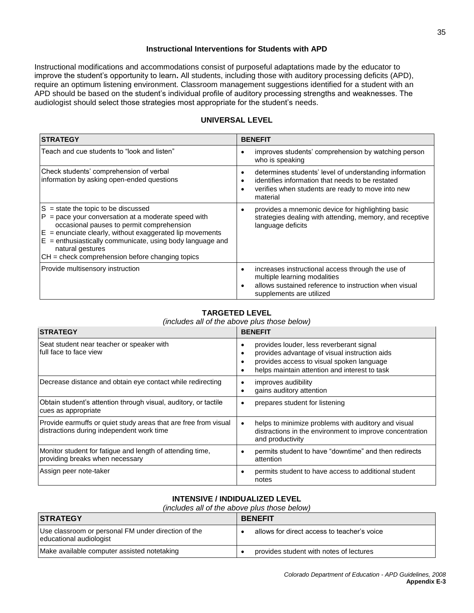### **Instructional Interventions for Students with APD**

Instructional modifications and accommodations consist of purposeful adaptations made by the educator to improve the student's opportunity to learn**.** All students, including those with auditory processing deficits (APD), require an optimum listening environment. Classroom management suggestions identified for a student with an APD should be based on the student's individual profile of auditory processing strengths and weaknesses. The audiologist should select those strategies most appropriate for the student's needs.

## **UNIVERSAL LEVEL**

| ISTRATEGY                                                                                                                                                                                                                                                                                                                                             | <b>BENEFIT</b>                                                                                                                                                               |
|-------------------------------------------------------------------------------------------------------------------------------------------------------------------------------------------------------------------------------------------------------------------------------------------------------------------------------------------------------|------------------------------------------------------------------------------------------------------------------------------------------------------------------------------|
| Teach and cue students to "look and listen"                                                                                                                                                                                                                                                                                                           | improves students' comprehension by watching person<br>who is speaking                                                                                                       |
| Check students' comprehension of verbal<br>information by asking open-ended questions                                                                                                                                                                                                                                                                 | determines students' level of understanding information<br>identifies information that needs to be restated<br>verifies when students are ready to move into new<br>material |
| $ S $ = state the topic to be discussed<br>$ P $ = pace your conversation at a moderate speed with<br>occasional pauses to permit comprehension<br>$E$ = enunciate clearly, without exaggerated lip movements<br>$E$ = enthusiastically communicate, using body language and<br>natural gestures<br>$CH =$ check comprehension before changing topics | provides a mnemonic device for highlighting basic<br>strategies dealing with attending, memory, and receptive<br>language deficits                                           |
| Provide multisensory instruction                                                                                                                                                                                                                                                                                                                      | increases instructional access through the use of<br>٠<br>multiple learning modalities<br>allows sustained reference to instruction when visual<br>supplements are utilized  |

## **TARGETED LEVEL**

| (includes all of the above plus those below) |
|----------------------------------------------|
|----------------------------------------------|

| <b>STRATEGY</b>                                                                                              | <b>BENEFIT</b>                                                                                                                                                                                            |
|--------------------------------------------------------------------------------------------------------------|-----------------------------------------------------------------------------------------------------------------------------------------------------------------------------------------------------------|
| Seat student near teacher or speaker with<br>full face to face view                                          | provides louder, less reverberant signal<br>$\bullet$<br>provides advantage of visual instruction aids<br>provides access to visual spoken language<br>helps maintain attention and interest to task<br>٠ |
| Decrease distance and obtain eye contact while redirecting                                                   | improves audibility<br>$\bullet$<br>gains auditory attention                                                                                                                                              |
| Obtain student's attention through visual, auditory, or tactile<br>cues as appropriate                       | prepares student for listening<br>$\bullet$                                                                                                                                                               |
| Provide earmuffs or quiet study areas that are free from visual<br>distractions during independent work time | helps to minimize problems with auditory and visual<br>$\bullet$<br>distractions in the environment to improve concentration<br>and productivity                                                          |
| Monitor student for fatigue and length of attending time,<br>providing breaks when necessary                 | permits student to have "downtime" and then redirects<br>attention                                                                                                                                        |
| Assign peer note-taker                                                                                       | permits student to have access to additional student<br>$\bullet$<br>notes                                                                                                                                |

## **INTENSIVE / INDIDUALIZED LEVEL**

*(includes all of the above plus those below)*

| <b>STRATEGY</b>                                                                | <b>BENEFIT</b>                              |
|--------------------------------------------------------------------------------|---------------------------------------------|
| Use classroom or personal FM under direction of the<br>educational audiologist | allows for direct access to teacher's voice |
| Make available computer assisted notetaking                                    | provides student with notes of lectures     |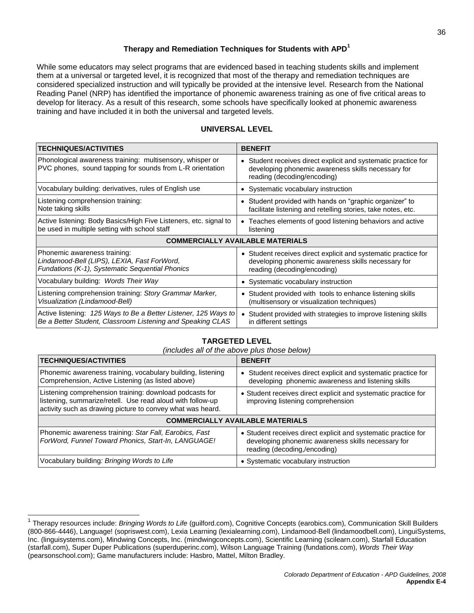## **Therapy and Remediation Techniques for Students with APD<sup>1</sup>**

While some educators may select programs that are evidenced based in teaching students skills and implement them at a universal or targeted level, it is recognized that most of the therapy and remediation techniques are considered specialized instruction and will typically be provided at the intensive level. Research from the National Reading Panel (NRP) has identified the importance of phonemic awareness training as one of five critical areas to develop for literacy. As a result of this research, some schools have specifically looked at phonemic awareness training and have included it in both the universal and targeted levels.

### **UNIVERSAL LEVEL**

| <b>TECHNIQUES/ACTIVITIES</b>                                                                                           | <b>BENEFIT</b>                                                                                                                                      |  |
|------------------------------------------------------------------------------------------------------------------------|-----------------------------------------------------------------------------------------------------------------------------------------------------|--|
| Phonological awareness training: multisensory, whisper or<br>PVC phones, sound tapping for sounds from L-R orientation | • Student receives direct explicit and systematic practice for<br>developing phonemic awareness skills necessary for<br>reading (decoding/encoding) |  |
| Vocabulary building: derivatives, rules of English use                                                                 | • Systematic vocabulary instruction                                                                                                                 |  |
| Listening comprehension training:                                                                                      | • Student provided with hands on "graphic organizer" to                                                                                             |  |
| Note taking skills                                                                                                     | facilitate listening and retelling stories, take notes, etc.                                                                                        |  |
| Active listening: Body Basics/High Five Listeners, etc. signal to                                                      | • Teaches elements of good listening behaviors and active                                                                                           |  |
| be used in multiple setting with school staff                                                                          | listening                                                                                                                                           |  |
| <b>COMMERCIALLY AVAILABLE MATERIALS</b>                                                                                |                                                                                                                                                     |  |
| Phonemic awareness training:                                                                                           | • Student receives direct explicit and systematic practice for                                                                                      |  |
| Lindamood-Bell (LIPS), LEXIA, Fast ForWord,                                                                            | developing phonemic awareness skills necessary for                                                                                                  |  |
| Fundations (K-1), Systematic Sequential Phonics                                                                        | reading (decoding/encoding)                                                                                                                         |  |
| Vocabulary building: Words Their Way                                                                                   | • Systematic vocabulary instruction                                                                                                                 |  |
| Listening comprehension training: Story Grammar Marker,                                                                | • Student provided with tools to enhance listening skills                                                                                           |  |
| Visualization (Lindamood-Bell)                                                                                         | (multisensory or visualization techniques)                                                                                                          |  |
| Active listening: 125 Ways to Be a Better Listener, 125 Ways to                                                        | • Student provided with strategies to improve listening skills                                                                                      |  |
| Be a Better Student, Classroom Listening and Speaking CLAS                                                             | in different settings                                                                                                                               |  |

#### **TARGETED LEVEL** *(includes all of the above plus those below)*

| <b>TECHNIQUES/ACTIVITIES</b>                                                                                                                                                        | <b>BENEFIT</b>                                                                                                                                       |  |
|-------------------------------------------------------------------------------------------------------------------------------------------------------------------------------------|------------------------------------------------------------------------------------------------------------------------------------------------------|--|
| Phonemic awareness training, vocabulary building, listening<br>Comprehension, Active Listening (as listed above)                                                                    | • Student receives direct explicit and systematic practice for<br>developing phonemic awareness and listening skills                                 |  |
| Listening comprehension training: download podcasts for<br>listening, summarize/retell. Use read aloud with follow-up<br>activity such as drawing picture to convey what was heard. | • Student receives direct explicit and systematic practice for<br>improving listening comprehension                                                  |  |
| <b>COMMERCIALLY AVAILABLE MATERIALS</b>                                                                                                                                             |                                                                                                                                                      |  |
| Phonemic awareness training: Star Fall, Earobics, Fast<br>ForWord, Funnel Toward Phonics, Start-In, LANGUAGE!                                                                       | • Student receives direct explicit and systematic practice for<br>developing phonemic awareness skills necessary for<br>reading (decoding,/encoding) |  |
| Vocabulary building: Bringing Words to Life                                                                                                                                         | • Systematic vocabulary instruction                                                                                                                  |  |

l

<sup>&</sup>lt;sup>1</sup> Therapy resources include: *Bringing Words to Life* (guilford.com), Cognitive Concepts (earobics.com), Communication Skill Builders (800-866-4446), Language! (sopriswest.com), Lexia Learning (lexialearning.com), Lindamood-Bell (lindamoodbell.com), LinguiSystems, Inc. (linguisystems.com), Mindwing Concepts, Inc. (mindwingconcepts.com), Scientific Learning (scilearn.com), Starfall Education (starfall.com), Super Duper Publications (superduperinc.com), Wilson Language Training (fundations.com), *Words Their Way* (pearsonschool.com); Game manufacturers include: Hasbro, Mattel, Milton Bradley.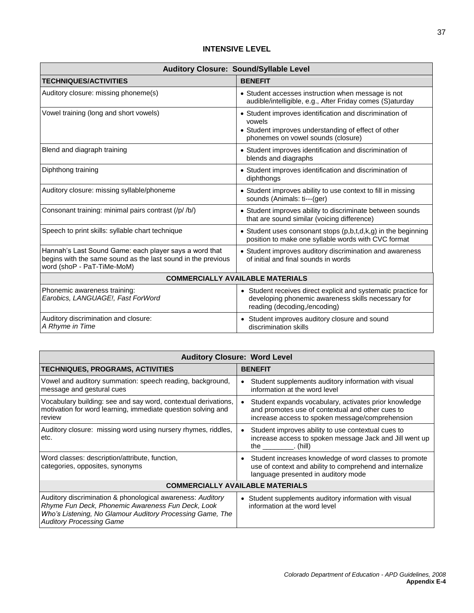## **INTENSIVE LEVEL**

| Auditory Closure: Sound/Syllable Level                                                                                                               |                                                                                                                                                                |  |
|------------------------------------------------------------------------------------------------------------------------------------------------------|----------------------------------------------------------------------------------------------------------------------------------------------------------------|--|
| <b>TECHNIQUES/ACTIVITIES</b>                                                                                                                         | <b>BENEFIT</b>                                                                                                                                                 |  |
| Auditory closure: missing phoneme(s)                                                                                                                 | • Student accesses instruction when message is not<br>audible/intelligible, e.g., After Friday comes (S)aturday                                                |  |
| Vowel training (long and short vowels)                                                                                                               | • Student improves identification and discrimination of<br>vowels<br>• Student improves understanding of effect of other<br>phonemes on vowel sounds (closure) |  |
| Blend and diagraph training                                                                                                                          | • Student improves identification and discrimination of<br>blends and diagraphs                                                                                |  |
| Diphthong training                                                                                                                                   | • Student improves identification and discrimination of<br>diphthongs                                                                                          |  |
| Auditory closure: missing syllable/phoneme                                                                                                           | • Student improves ability to use context to fill in missing<br>sounds (Animals: ti---(ger)                                                                    |  |
| Consonant training: minimal pairs contrast (/p//b/)                                                                                                  | • Student improves ability to discriminate between sounds<br>that are sound similar (voicing difference)                                                       |  |
| Speech to print skills: syllable chart technique                                                                                                     | • Student uses consonant stops (p,b,t,d,k,g) in the beginning<br>position to make one syllable words with CVC format                                           |  |
| Hannah's Last Sound Game: each player says a word that<br>begins with the same sound as the last sound in the previous<br>word (shoP - PaT-TiMe-MoM) | • Student improves auditory discrimination and awareness<br>of initial and final sounds in words                                                               |  |
| <b>COMMERCIALLY AVAILABLE MATERIALS</b>                                                                                                              |                                                                                                                                                                |  |
| Phonemic awareness training:<br>Earobics, LANGUAGE!, Fast ForWord                                                                                    | • Student receives direct explicit and systematic practice for<br>developing phonemic awareness skills necessary for<br>reading (decoding,/encoding)           |  |
| Auditory discrimination and closure:<br>A Rhyme in Time                                                                                              | • Student improves auditory closure and sound<br>discrimination skills                                                                                         |  |

| <b>Auditory Closure: Word Level</b>                                                                                                                                                                             |                                                                                                                                                                           |  |
|-----------------------------------------------------------------------------------------------------------------------------------------------------------------------------------------------------------------|---------------------------------------------------------------------------------------------------------------------------------------------------------------------------|--|
| <b>TECHNIQUES, PROGRAMS, ACTIVITIES</b>                                                                                                                                                                         | <b>BENEFIT</b>                                                                                                                                                            |  |
| Vowel and auditory summation: speech reading, background,<br>message and gestural cues                                                                                                                          | Student supplements auditory information with visual<br>information at the word level                                                                                     |  |
| Vocabulary building: see and say word, contextual derivations,<br>motivation for word learning, immediate question solving and<br>review                                                                        | Student expands vocabulary, activates prior knowledge<br>$\bullet$<br>and promotes use of contextual and other cues to<br>increase access to spoken message/comprehension |  |
| Auditory closure: missing word using nursery rhymes, riddles,<br>etc.                                                                                                                                           | Student improves ability to use contextual cues to<br>$\bullet$<br>increase access to spoken message Jack and Jill went up<br>the $\qquad \qquad$ (hill)                  |  |
| Word classes: description/attribute, function,<br>categories, opposites, synonyms                                                                                                                               | • Student increases knowledge of word classes to promote<br>use of context and ability to comprehend and internalize<br>language presented in auditory mode               |  |
| <b>COMMERCIALLY AVAILABLE MATERIALS</b>                                                                                                                                                                         |                                                                                                                                                                           |  |
| Auditory discrimination & phonological awareness: Auditory<br>Rhyme Fun Deck, Phonemic Awareness Fun Deck, Look<br>Who's Listening, No Glamour Auditory Processing Game, The<br><b>Auditory Processing Game</b> | • Student supplements auditory information with visual<br>information at the word level                                                                                   |  |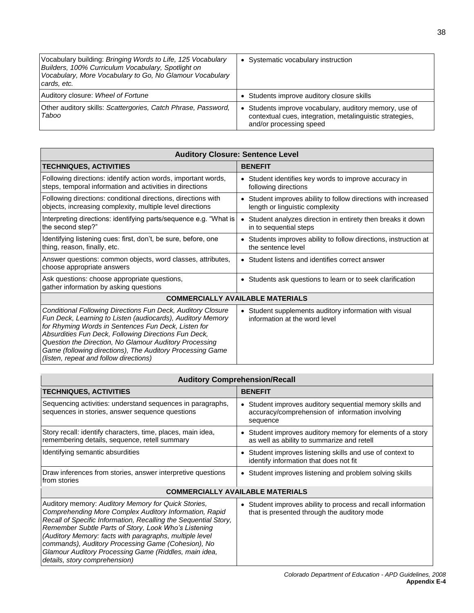| Vocabulary building: Bringing Words to Life, 125 Vocabulary<br>Builders, 100% Curriculum Vocabulary, Spotlight on<br>Vocabulary, More Vocabulary to Go, No Glamour Vocabulary<br>cards, etc. | • Systematic vocabulary instruction                                                                                                           |
|----------------------------------------------------------------------------------------------------------------------------------------------------------------------------------------------|-----------------------------------------------------------------------------------------------------------------------------------------------|
| Auditory closure: Wheel of Fortune                                                                                                                                                           | • Students improve auditory closure skills                                                                                                    |
| Other auditory skills: Scattergories, Catch Phrase, Password,<br>Taboo                                                                                                                       | • Students improve vocabulary, auditory memory, use of<br>contextual cues, integration, metalinguistic strategies,<br>and/or processing speed |

| <b>Auditory Closure: Sentence Level</b>                                                                                                                                                                                                                                                                                                                                                                   |                                                                                                   |
|-----------------------------------------------------------------------------------------------------------------------------------------------------------------------------------------------------------------------------------------------------------------------------------------------------------------------------------------------------------------------------------------------------------|---------------------------------------------------------------------------------------------------|
| <b>TECHNIQUES, ACTIVITIES</b>                                                                                                                                                                                                                                                                                                                                                                             | <b>BENEFIT</b>                                                                                    |
| Following directions: identify action words, important words,<br>steps, temporal information and activities in directions                                                                                                                                                                                                                                                                                 | • Student identifies key words to improve accuracy in<br>following directions                     |
| Following directions: conditional directions, directions with<br>objects, increasing complexity, multiple level directions                                                                                                                                                                                                                                                                                | • Student improves ability to follow directions with increased<br>length or linguistic complexity |
| Interpreting directions: identifying parts/sequence e.g. "What is<br>the second step?"                                                                                                                                                                                                                                                                                                                    | Student analyzes direction in entirety then breaks it down<br>in to sequential steps              |
| Identifying listening cues: first, don't, be sure, before, one<br>thing, reason, finally, etc.                                                                                                                                                                                                                                                                                                            | • Students improves ability to follow directions, instruction at<br>the sentence level            |
| Answer questions: common objects, word classes, attributes,<br>choose appropriate answers                                                                                                                                                                                                                                                                                                                 | • Student listens and identifies correct answer                                                   |
| Ask questions: choose appropriate questions,<br>gather information by asking questions                                                                                                                                                                                                                                                                                                                    | • Students ask questions to learn or to seek clarification                                        |
| <b>COMMERCIALLY AVAILABLE MATERIALS</b>                                                                                                                                                                                                                                                                                                                                                                   |                                                                                                   |
| Conditional Following Directions Fun Deck, Auditory Closure<br>Fun Deck, Learning to Listen (audiocards), Auditory Memory<br>for Rhyming Words in Sentences Fun Deck, Listen for<br>Absurdities Fun Deck, Following Directions Fun Deck,<br>Question the Direction, No Glamour Auditory Processing<br>Game (following directions), The Auditory Processing Game<br>(listen, repeat and follow directions) | • Student supplements auditory information with visual<br>information at the word level           |

| <b>Auditory Comprehension/Recall</b>                                                                                                                                                                                                                                                                                                                                                                                                                |                                                                                                                         |  |
|-----------------------------------------------------------------------------------------------------------------------------------------------------------------------------------------------------------------------------------------------------------------------------------------------------------------------------------------------------------------------------------------------------------------------------------------------------|-------------------------------------------------------------------------------------------------------------------------|--|
| <b>TECHNIQUES, ACTIVITIES</b>                                                                                                                                                                                                                                                                                                                                                                                                                       | <b>BENEFIT</b>                                                                                                          |  |
| Sequencing activities: understand sequences in paragraphs,<br>sequences in stories, answer sequence questions                                                                                                                                                                                                                                                                                                                                       | • Student improves auditory sequential memory skills and<br>accuracy/comprehension of information involving<br>sequence |  |
| Story recall: identify characters, time, places, main idea,<br>remembering details, sequence, retell summary                                                                                                                                                                                                                                                                                                                                        | • Student improves auditory memory for elements of a story<br>as well as ability to summarize and retell                |  |
| Identifying semantic absurdities                                                                                                                                                                                                                                                                                                                                                                                                                    | • Student improves listening skills and use of context to<br>identify information that does not fit                     |  |
| Draw inferences from stories, answer interpretive questions<br>from stories                                                                                                                                                                                                                                                                                                                                                                         | • Student improves listening and problem solving skills                                                                 |  |
| <b>COMMERCIALLY AVAILABLE MATERIALS</b>                                                                                                                                                                                                                                                                                                                                                                                                             |                                                                                                                         |  |
| Auditory memory: Auditory Memory for Quick Stories,<br>Comprehending More Complex Auditory Information, Rapid<br>Recall of Specific Information, Recalling the Sequential Story,<br>Remember Subtle Parts of Story, Look Who's Listening<br>(Auditory Memory: facts with paragraphs, multiple level<br>commands), Auditory Processing Game (Cohesion), No<br>Glamour Auditory Processing Game (Riddles, main idea,<br>details, story comprehension) | • Student improves ability to process and recall information<br>that is presented through the auditory mode             |  |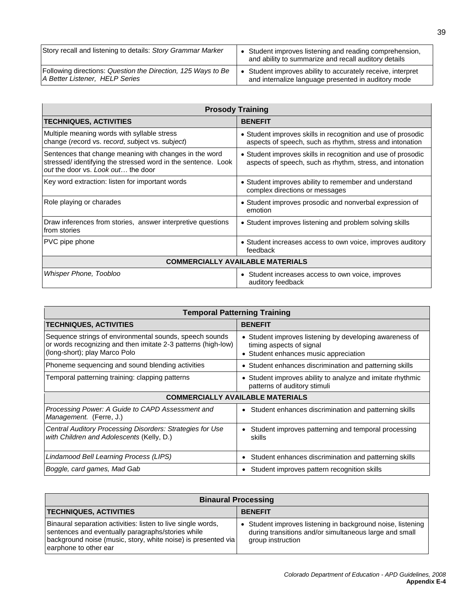| Story recall and listening to details: Story Grammar Marker  | Student improves listening and reading comprehension,<br>and ability to summarize and recall auditory details |
|--------------------------------------------------------------|---------------------------------------------------------------------------------------------------------------|
| Following directions: Question the Direction, 125 Ways to Be | Student improves ability to accurately receive, interpret                                                     |
| A Better Listener, HELP Series                               | and internalize language presented in auditory mode                                                           |

| <b>Prosody Training</b>                                                                                                                                       |                                                                                                                           |
|---------------------------------------------------------------------------------------------------------------------------------------------------------------|---------------------------------------------------------------------------------------------------------------------------|
| <b>TECHNIQUES, ACTIVITIES</b>                                                                                                                                 | <b>BENEFIT</b>                                                                                                            |
| Multiple meaning words with syllable stress<br>change (record vs. record, subject vs. subject)                                                                | • Student improves skills in recognition and use of prosodic<br>aspects of speech, such as rhythm, stress and intonation  |
| Sentences that change meaning with changes in the word<br>stressed/ identifying the stressed word in the sentence. Look<br>out the door vs. Look out the door | • Student improves skills in recognition and use of prosodic<br>aspects of speech, such as rhythm, stress, and intonation |
| Key word extraction: listen for important words                                                                                                               | • Student improves ability to remember and understand<br>complex directions or messages                                   |
| Role playing or charades                                                                                                                                      | • Student improves prosodic and nonverbal expression of<br>emotion                                                        |
| Draw inferences from stories, answer interpretive questions<br>from stories                                                                                   | • Student improves listening and problem solving skills                                                                   |
| <b>PVC</b> pipe phone                                                                                                                                         | • Student increases access to own voice, improves auditory<br>feedback                                                    |
| <b>COMMERCIALLY AVAILABLE MATERIALS</b>                                                                                                                       |                                                                                                                           |
| Whisper Phone, Toobloo                                                                                                                                        | • Student increases access to own voice, improves<br>auditory feedback                                                    |

| <b>Temporal Patterning Training</b>                                                                                                                       |                                                                                                                              |
|-----------------------------------------------------------------------------------------------------------------------------------------------------------|------------------------------------------------------------------------------------------------------------------------------|
| <b>TECHNIQUES, ACTIVITIES</b>                                                                                                                             | <b>BENEFIT</b>                                                                                                               |
| Sequence strings of environmental sounds, speech sounds<br>or words recognizing and then imitate 2-3 patterns (high-low)<br>(long-short); play Marco Polo | • Student improves listening by developing awareness of<br>timing aspects of signal<br>• Student enhances music appreciation |
| Phoneme sequencing and sound blending activities                                                                                                          | • Student enhances discrimination and patterning skills                                                                      |
| Temporal patterning training: clapping patterns                                                                                                           | • Student improves ability to analyze and imitate rhythmic<br>patterns of auditory stimuli                                   |
| <b>COMMERCIALLY AVAILABLE MATERIALS</b>                                                                                                                   |                                                                                                                              |
| Processing Power: A Guide to CAPD Assessment and<br>Management. (Ferre, J.)                                                                               | • Student enhances discrimination and patterning skills                                                                      |
| Central Auditory Processing Disorders: Strategies for Use<br>with Children and Adolescents (Kelly, D.)                                                    | Student improves patterning and temporal processing<br>skills                                                                |
| Lindamood Bell Learning Process (LIPS)                                                                                                                    | Student enhances discrimination and patterning skills                                                                        |
| Boggle, card games, Mad Gab                                                                                                                               | Student improves pattern recognition skills                                                                                  |

| <b>Binaural Processing</b>                                                                                                                                                                                  |                                                                                                                                          |
|-------------------------------------------------------------------------------------------------------------------------------------------------------------------------------------------------------------|------------------------------------------------------------------------------------------------------------------------------------------|
| <b>TECHNIQUES, ACTIVITIES</b>                                                                                                                                                                               | <b>BENEFIT</b>                                                                                                                           |
| Binaural separation activities: listen to live single words,<br>sentences and eventually paragraphs/stories while<br>background noise (music, story, white noise) is presented via<br>earphone to other ear | Student improves listening in background noise, listening<br>during transitions and/or simultaneous large and small<br>group instruction |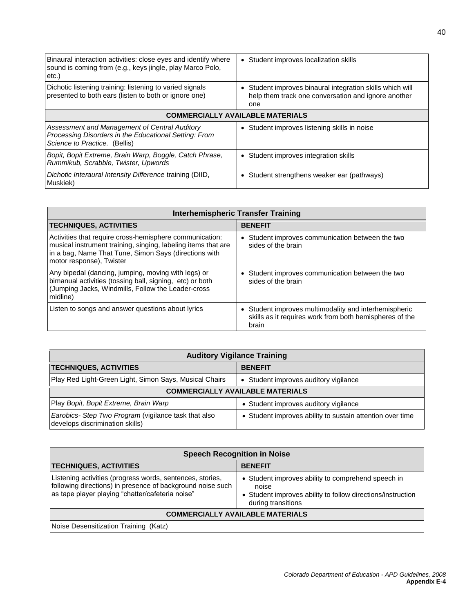| Binaural interaction activities: close eyes and identify where<br>sound is coming from (e.g., keys jingle, play Marco Polo,<br>etc.)    | • Student improves localization skills                                                                                  |  |
|-----------------------------------------------------------------------------------------------------------------------------------------|-------------------------------------------------------------------------------------------------------------------------|--|
| Dichotic listening training: listening to varied signals<br>presented to both ears (listen to both or ignore one)                       | • Student improves binaural integration skills which will<br>help them track one conversation and ignore another<br>one |  |
| <b>COMMERCIALLY AVAILABLE MATERIALS</b>                                                                                                 |                                                                                                                         |  |
| Assessment and Management of Central Auditory<br>Processing Disorders in the Educational Setting: From<br>Science to Practice. (Bellis) | • Student improves listening skills in noise                                                                            |  |
| Bopit, Bopit Extreme, Brain Warp, Boggle, Catch Phrase,<br>Rummikub, Scrabble, Twister, Upwords                                         | • Student improves integration skills                                                                                   |  |
| Dichotic Interaural Intensity Difference training (DIID,<br>Muskiek)                                                                    | Student strengthens weaker ear (pathways)<br>$\bullet$                                                                  |  |

| <b>Interhemispheric Transfer Training</b>                                                                                                                                                                     |                                                                                                                           |
|---------------------------------------------------------------------------------------------------------------------------------------------------------------------------------------------------------------|---------------------------------------------------------------------------------------------------------------------------|
| <b>TECHNIQUES, ACTIVITIES</b>                                                                                                                                                                                 | <b>BENEFIT</b>                                                                                                            |
| Activities that require cross-hemisphere communication:<br>musical instrument training, singing, labeling items that are<br>in a bag, Name That Tune, Simon Says (directions with<br>motor response), Twister | Student improves communication between the two<br>$\bullet$<br>sides of the brain                                         |
| Any bipedal (dancing, jumping, moving with legs) or<br>bimanual activities (tossing ball, signing, etc) or both<br>(Jumping Jacks, Windmills, Follow the Leader-cross<br>midline)                             | Student improves communication between the two<br>sides of the brain                                                      |
| Listen to songs and answer questions about lyrics                                                                                                                                                             | • Student improves multimodality and interhemispheric<br>skills as it requires work from both hemispheres of the<br>brain |

| <b>Auditory Vigilance Training</b>                                                      |                                                           |  |
|-----------------------------------------------------------------------------------------|-----------------------------------------------------------|--|
| <b>TECHNIQUES, ACTIVITIES</b>                                                           | <b>BENEFIT</b>                                            |  |
| Play Red Light-Green Light, Simon Says, Musical Chairs                                  | • Student improves auditory vigilance                     |  |
| <b>COMMERCIALLY AVAILABLE MATERIALS</b>                                                 |                                                           |  |
| Play Bopit, Bopit Extreme, Brain Warp                                                   | • Student improves auditory vigilance                     |  |
| Earobics- Step Two Program (vigilance task that also<br>develops discrimination skills) | • Student improves ability to sustain attention over time |  |

| <b>Speech Recognition in Noise</b>                                                                                                                                          |                                                                                                                                                  |
|-----------------------------------------------------------------------------------------------------------------------------------------------------------------------------|--------------------------------------------------------------------------------------------------------------------------------------------------|
| <b>TECHNIQUES, ACTIVITIES</b>                                                                                                                                               | <b>BENEFIT</b>                                                                                                                                   |
| Listening activities (progress words, sentences, stories,<br>following directions) in presence of background noise such<br>as tape player playing "chatter/cafeteria noise" | • Student improves ability to comprehend speech in<br>noise<br>• Student improves ability to follow directions/instruction<br>during transitions |
| <b>COMMERCIALLY AVAILABLE MATERIALS</b>                                                                                                                                     |                                                                                                                                                  |
| Noise Desensitization Training (Katz)                                                                                                                                       |                                                                                                                                                  |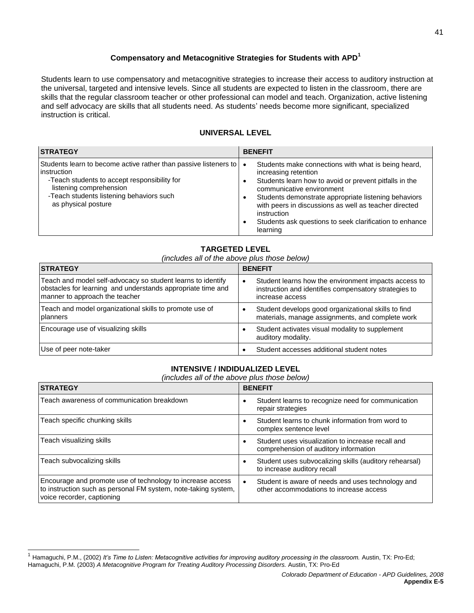## **Compensatory and Metacognitive Strategies for Students with APD<sup>1</sup>**

Students learn to use compensatory and metacognitive strategies to increase their access to auditory instruction at the universal, targeted and intensive levels. Since all students are expected to listen in the classroom, there are skills that the regular classroom teacher or other professional can model and teach. Organization, active listening and self advocacy are skills that all students need. As students' needs become more significant, specialized instruction is critical.

## **UNIVERSAL LEVEL**

| <b>STRATEGY</b>                                                                                                                                                                                                                          | <b>BENEFIT</b>                                                                                                                                                                                                                                                                                                                                                            |
|------------------------------------------------------------------------------------------------------------------------------------------------------------------------------------------------------------------------------------------|---------------------------------------------------------------------------------------------------------------------------------------------------------------------------------------------------------------------------------------------------------------------------------------------------------------------------------------------------------------------------|
| Students learn to become active rather than passive listeners to $\bullet$<br>linstruction<br>-Teach students to accept responsibility for<br>listening comprehension<br>-Teach students listening behaviors such<br>as physical posture | Students make connections with what is being heard,<br>increasing retention<br>Students learn how to avoid or prevent pitfalls in the<br>communicative environment<br>Students demonstrate appropriate listening behaviors<br>with peers in discussions as well as teacher directed<br>instruction<br>Students ask questions to seek clarification to enhance<br>learning |

## **TARGETED LEVEL**

*(includes all of the above plus those below)*

| <b>STRATEGY</b>                                                                                                                                              | <b>BENEFIT</b>                                                                                                                   |
|--------------------------------------------------------------------------------------------------------------------------------------------------------------|----------------------------------------------------------------------------------------------------------------------------------|
| Teach and model self-advocacy so student learns to identify<br>obstacles for learning and understands appropriate time and<br>manner to approach the teacher | Student learns how the environment impacts access to<br>instruction and identifies compensatory strategies to<br>increase access |
| Teach and model organizational skills to promote use of<br>planners                                                                                          | Student develops good organizational skills to find<br>materials, manage assignments, and complete work                          |
| Encourage use of visualizing skills                                                                                                                          | Student activates visual modality to supplement<br>auditory modality.                                                            |
| Use of peer note-taker                                                                                                                                       | Student accesses additional student notes                                                                                        |

## **INTENSIVE / INDIDUALIZED LEVEL**

*(includes all of the above plus those below)*

| <b>STRATEGY</b>                                                                                                                                            | <b>BENEFIT</b>                                                                               |
|------------------------------------------------------------------------------------------------------------------------------------------------------------|----------------------------------------------------------------------------------------------|
| Teach awareness of communication breakdown                                                                                                                 | Student learns to recognize need for communication<br>repair strategies                      |
| Teach specific chunking skills                                                                                                                             | Student learns to chunk information from word to<br>complex sentence level                   |
| Teach visualizing skills                                                                                                                                   | Student uses visualization to increase recall and<br>comprehension of auditory information   |
| Teach subvocalizing skills                                                                                                                                 | Student uses subvocalizing skills (auditory rehearsal)<br>to increase auditory recall        |
| Encourage and promote use of technology to increase access<br>to instruction such as personal FM system, note-taking system,<br>voice recorder, captioning | Student is aware of needs and uses technology and<br>other accommodations to increase access |

 1 Hamaguchi, P.M., (2002) *It's Time to Listen: Metacognitive activities for improving auditory processing in the classroom.* Austin, TX: Pro-Ed; Hamaguchi, P.M. (2003) *A Metacognitive Program for Treating Auditory Processing Disorders.* Austin, TX: Pro-Ed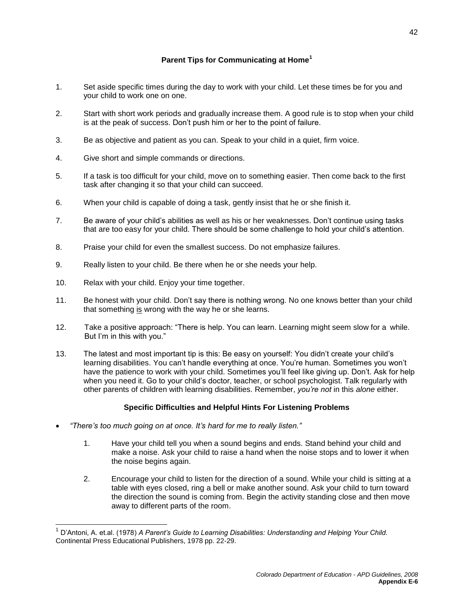## **Parent Tips for Communicating at Home<sup>1</sup>**

- 1. Set aside specific times during the day to work with your child. Let these times be for you and your child to work one on one.
- 2. Start with short work periods and gradually increase them. A good rule is to stop when your child is at the peak of success. Don't push him or her to the point of failure.
- 3. Be as objective and patient as you can. Speak to your child in a quiet, firm voice.
- 4. Give short and simple commands or directions.
- 5. If a task is too difficult for your child, move on to something easier. Then come back to the first task after changing it so that your child can succeed.
- 6. When your child is capable of doing a task, gently insist that he or she finish it.
- 7. Be aware of your child's abilities as well as his or her weaknesses. Don't continue using tasks that are too easy for your child. There should be some challenge to hold your child's attention.
- 8. Praise your child for even the smallest success. Do not emphasize failures.
- 9. Really listen to your child. Be there when he or she needs your help.
- 10. Relax with your child. Enjoy your time together.

l

- 11. Be honest with your child. Don't say there is nothing wrong. No one knows better than your child that something is wrong with the way he or she learns.
- 12. Take a positive approach: "There is help. You can learn. Learning might seem slow for a while. But I'm in this with you."
- 13. The latest and most important tip is this: Be easy on yourself: You didn't create your child's learning disabilities. You can't handle everything at once. You're human. Sometimes you won't have the patience to work with your child. Sometimes you'll feel like giving up. Don't. Ask for help when you need it. Go to your child's doctor, teacher, or school psychologist. Talk regularly with other parents of children with learning disabilities. Remember, *you're not* in this *alone* either.

#### **Specific Difficulties and Helpful Hints For Listening Problems**

- *"There's too much going on at once. It's hard for me to really listen."*
	- 1. Have your child tell you when a sound begins and ends. Stand behind your child and make a noise. Ask your child to raise a hand when the noise stops and to lower it when the noise begins again.
	- 2. Encourage your child to listen for the direction of a sound. While your child is sitting at a table with eyes closed, ring a bell or make another sound. Ask your child to turn toward the direction the sound is coming from. Begin the activity standing close and then move away to different parts of the room.

<sup>&</sup>lt;sup>1</sup> D'Antoni, A. et.al. (1978) *A Parent's Guide to Learning Disabilities: Understanding and Helping Your Child.* Continental Press Educational Publishers, 1978 pp. 22-29.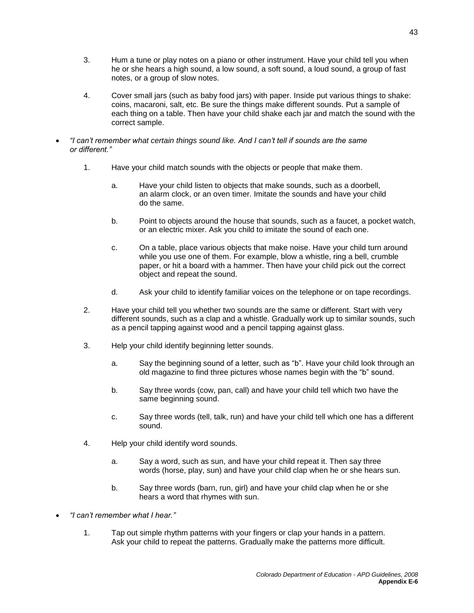- 3. Hum a tune or play notes on a piano or other instrument. Have your child tell you when he or she hears a high sound, a low sound, a soft sound, a loud sound, a group of fast notes, or a group of slow notes.
- 4. Cover small jars (such as baby food jars) with paper. Inside put various things to shake: coins, macaroni, salt, etc. Be sure the things make different sounds. Put a sample of each thing on a table. Then have your child shake each jar and match the sound with the correct sample.
- *"I can't remember what certain things sound like. And I can't tell if sounds are the same or different."*
	- 1. Have your child match sounds with the objects or people that make them.
		- a. Have your child listen to objects that make sounds, such as a doorbell, an alarm clock, or an oven timer. Imitate the sounds and have your child do the same.
		- b. Point to objects around the house that sounds, such as a faucet, a pocket watch, or an electric mixer. Ask you child to imitate the sound of each one.
		- c. On a table, place various objects that make noise. Have your child turn around while you use one of them. For example, blow a whistle, ring a bell, crumble paper, or hit a board with a hammer. Then have your child pick out the correct object and repeat the sound.
		- d. Ask your child to identify familiar voices on the telephone or on tape recordings.
	- 2. Have your child tell you whether two sounds are the same or different. Start with very different sounds, such as a clap and a whistle. Gradually work up to similar sounds, such as a pencil tapping against wood and a pencil tapping against glass.
	- 3. Help your child identify beginning letter sounds.
		- a. Say the beginning sound of a letter, such as "b". Have your child look through an old magazine to find three pictures whose names begin with the "b" sound.
		- b. Say three words (cow, pan, call) and have your child tell which two have the same beginning sound.
		- c. Say three words (tell, talk, run) and have your child tell which one has a different sound.
	- 4. Help your child identify word sounds.
		- a. Say a word, such as sun, and have your child repeat it. Then say three words (horse, play, sun) and have your child clap when he or she hears sun.
		- b. Say three words (barn, run, girl) and have your child clap when he or she hears a word that rhymes with sun.
- *"I can't remember what I hear."*
	- 1. Tap out simple rhythm patterns with your fingers or clap your hands in a pattern. Ask your child to repeat the patterns. Gradually make the patterns more difficult.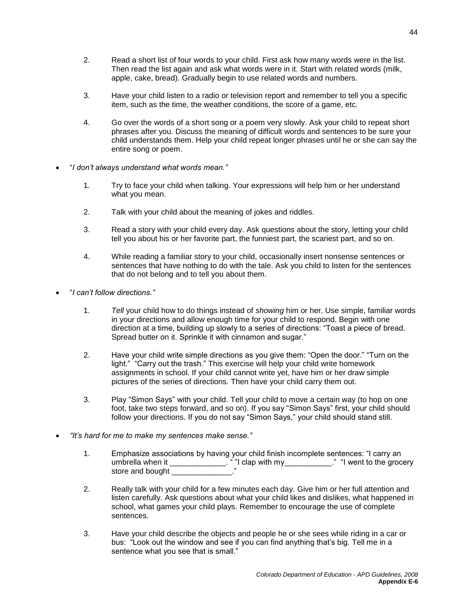- 2. Read a short list of four words to your child. First ask how many words were in the list. Then read the list again and ask what words were in it. Start with related words (milk, apple, cake, bread). Gradually begin to use related words and numbers.
- 3. Have your child listen to a radio or television report and remember to tell you a specific item, such as the time, the weather conditions, the score of a game, etc.
- 4. Go over the words of a short song or a poem very slowly. Ask your child to repeat short phrases after you. Discuss the meaning of difficult words and sentences to be sure your child understands them. Help your child repeat longer phrases until he or she can say the entire song or poem.
- "*I don't always understand what words mean."*
	- 1. Try to face your child when talking. Your expressions will help him or her understand what you mean.
	- 2. Talk with your child about the meaning of jokes and riddles.
	- 3. Read a story with your child every day. Ask questions about the story, letting your child tell you about his or her favorite part, the funniest part, the scariest part, and so on.
	- 4. While reading a familiar story to your child, occasionally insert nonsense sentences or sentences that have nothing to do with the tale. Ask you child to listen for the sentences that do not belong and to tell you about them.
- "*I can't follow directions."*
	- 1. *Tell* your child how to do things instead of *showing* him or her. Use simple, familiar words in your directions and allow enough time for your child to respond. Begin with one direction at a time, building up slowly to a series of directions: "Toast a piece of bread. Spread butter on it. Sprinkle it with cinnamon and sugar."
	- 2. Have your child write simple directions as you give them: "Open the door." "Turn on the light." "Carry out the trash." This exercise will help your child write homework assignments in school. If your child cannot write yet, have him or her draw simple pictures of the series of directions. Then have your child carry them out.
	- 3. Play "Simon Says" with your child. Tell your child to move a certain way (to hop on one foot, take two steps forward, and so on). If you say "Simon Says" first, your child should follow your directions. If you do not say "Simon Says," your child should stand still.
- *"It's hard for me to make my sentences make sense."*
	- 1. Emphasize associations by having your child finish incomplete sentences: "I carry an umbrella when it \_\_\_\_\_\_\_\_\_\_\_\_\_\_. ""I clap with my\_\_\_\_\_\_\_\_\_\_\_." "I went to the grocery store and bought
	- 2. Really talk with your child for a few minutes each day. Give him or her full attention and listen carefully. Ask questions about what your child likes and dislikes, what happened in school, what games your child plays. Remember to encourage the use of complete sentences.
	- 3. Have your child describe the objects and people he or she sees while riding in a car or bus: "Look out the window and see if you can find anything that's big. Tell me in a sentence what you see that is small."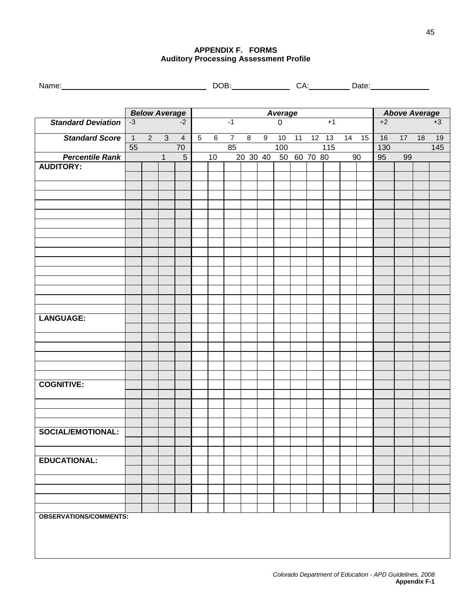## **APPENDIX F. FORMS Auditory Processing Assessment Profile**

| Name: DOB: CA: Date: Date:                                                                                                                                           |  |  |  |  |  |  |  |  |  |  |                        |  |  |  |  |  |
|----------------------------------------------------------------------------------------------------------------------------------------------------------------------|--|--|--|--|--|--|--|--|--|--|------------------------|--|--|--|--|--|
|                                                                                                                                                                      |  |  |  |  |  |  |  |  |  |  | Above Average<br>+2 +3 |  |  |  |  |  |
|                                                                                                                                                                      |  |  |  |  |  |  |  |  |  |  |                        |  |  |  |  |  |
| <b>Standard Score</b> 1 2 3 4 5 6 7 8 9 10 11 12 13 14 15 16 17 18 19<br>55 70 85 100 115 130 130 145<br><b>Percentile Rank</b> 1 5 10 20 30 40 50 60 70 80 90 95 99 |  |  |  |  |  |  |  |  |  |  |                        |  |  |  |  |  |
| <b>Percentile Rank</b>                                                                                                                                               |  |  |  |  |  |  |  |  |  |  |                        |  |  |  |  |  |
| <b>AUDITORY:</b>                                                                                                                                                     |  |  |  |  |  |  |  |  |  |  |                        |  |  |  |  |  |
|                                                                                                                                                                      |  |  |  |  |  |  |  |  |  |  |                        |  |  |  |  |  |
|                                                                                                                                                                      |  |  |  |  |  |  |  |  |  |  |                        |  |  |  |  |  |
|                                                                                                                                                                      |  |  |  |  |  |  |  |  |  |  |                        |  |  |  |  |  |
|                                                                                                                                                                      |  |  |  |  |  |  |  |  |  |  |                        |  |  |  |  |  |
|                                                                                                                                                                      |  |  |  |  |  |  |  |  |  |  |                        |  |  |  |  |  |
|                                                                                                                                                                      |  |  |  |  |  |  |  |  |  |  |                        |  |  |  |  |  |
| <b>LANGUAGE:</b>                                                                                                                                                     |  |  |  |  |  |  |  |  |  |  |                        |  |  |  |  |  |
|                                                                                                                                                                      |  |  |  |  |  |  |  |  |  |  |                        |  |  |  |  |  |
|                                                                                                                                                                      |  |  |  |  |  |  |  |  |  |  |                        |  |  |  |  |  |
| <b>COGNITIVE:</b>                                                                                                                                                    |  |  |  |  |  |  |  |  |  |  |                        |  |  |  |  |  |
|                                                                                                                                                                      |  |  |  |  |  |  |  |  |  |  |                        |  |  |  |  |  |
| <b>SOCIAL/EMOTIONAL:</b>                                                                                                                                             |  |  |  |  |  |  |  |  |  |  |                        |  |  |  |  |  |
|                                                                                                                                                                      |  |  |  |  |  |  |  |  |  |  |                        |  |  |  |  |  |
| <b>EDUCATIONAL:</b>                                                                                                                                                  |  |  |  |  |  |  |  |  |  |  |                        |  |  |  |  |  |
|                                                                                                                                                                      |  |  |  |  |  |  |  |  |  |  |                        |  |  |  |  |  |
| <b>OBSERVATIONS/COMMENTS:</b>                                                                                                                                        |  |  |  |  |  |  |  |  |  |  |                        |  |  |  |  |  |
|                                                                                                                                                                      |  |  |  |  |  |  |  |  |  |  |                        |  |  |  |  |  |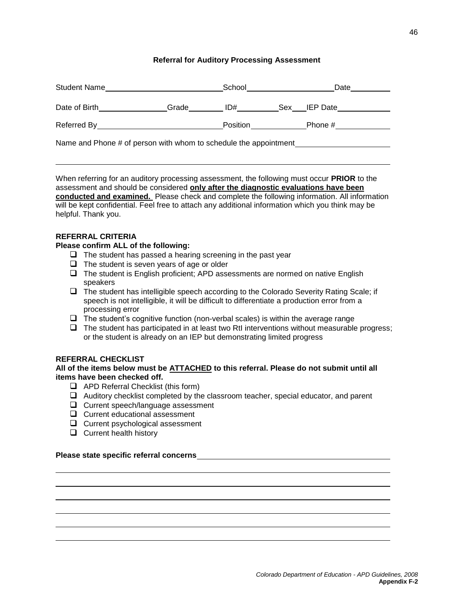### **Referral for Auditory Processing Assessment**

| <b>Student Name</b>                                              |       | School          |            | Date            |
|------------------------------------------------------------------|-------|-----------------|------------|-----------------|
| Date of Birth                                                    | Grade | ID#             | <b>Sex</b> | <b>IEP</b> Date |
| Referred By                                                      |       | <b>Position</b> |            | Phone #         |
| Name and Phone # of person with whom to schedule the appointment |       |                 |            |                 |

When referring for an auditory processing assessment, the following must occur **PRIOR** to the assessment and should be considered **only after the diagnostic evaluations have been conducted and examined.** Please check and complete the following information. All information will be kept confidential. Feel free to attach any additional information which you think may be helpful. Thank you.

#### **REFERRAL CRITERIA**

#### **Please confirm ALL of the following:**

- $\Box$  The student has passed a hearing screening in the past year
- $\Box$  The student is seven years of age or older
- $\Box$  The student is English proficient; APD assessments are normed on native English speakers
- $\Box$  The student has intelligible speech according to the Colorado Severity Rating Scale; if speech is not intelligible, it will be difficult to differentiate a production error from a processing error
- $\Box$  The student's cognitive function (non-verbal scales) is within the average range
- $\Box$  The student has participated in at least two RtI interventions without measurable progress; or the student is already on an IEP but demonstrating limited progress

#### **REFERRAL CHECKLIST**

#### **All of the items below must be ATTACHED to this referral. Please do not submit until all items have been checked off.**

- $\Box$  APD Referral Checklist (this form)
- $\Box$  Auditory checklist completed by the classroom teacher, special educator, and parent
- □ Current speech/language assessment
- $\Box$  Current educational assessment
- $\Box$  Current psychological assessment
- $\Box$  Current health history

#### **Please state specific referral concerns**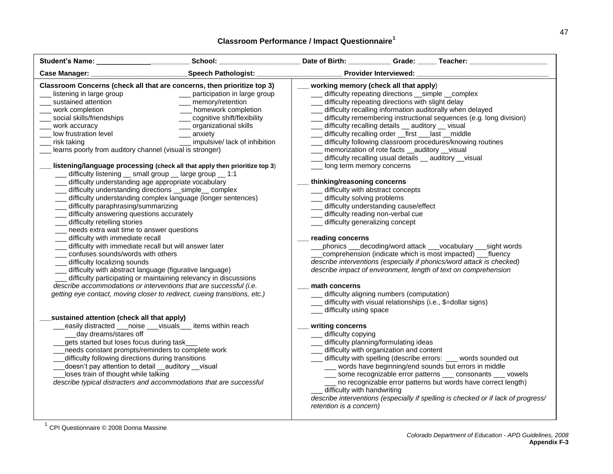## **Classroom Performance / Impact Questionnaire<sup>1</sup>**

|                                                                                                                                                                                                                                                                                                                                                                                                                                                                                                                                                                                                                                                                                                                                                                                                                                                                                                                                                                                                                                                                                                                                                                                                                                                                                                                                                                                                                                                                                                                                                                                                                                                                                                                                | School: Analysis and the second service of the service of the series of the series of the series of the series                                                                        |                                                                                                                                                                                                                                                                                                                                                                                                                                                                                                                                                                                                                                                                                                                                             |                                                                                                                                                                                                                                                                                                                                                   | Date of Birth: ____________Grade: ______Teacher: _______________________________                                                                                                                                                                                                                                                                                                                                                                                                                                                                                                                                                                                                                                                                                      |
|--------------------------------------------------------------------------------------------------------------------------------------------------------------------------------------------------------------------------------------------------------------------------------------------------------------------------------------------------------------------------------------------------------------------------------------------------------------------------------------------------------------------------------------------------------------------------------------------------------------------------------------------------------------------------------------------------------------------------------------------------------------------------------------------------------------------------------------------------------------------------------------------------------------------------------------------------------------------------------------------------------------------------------------------------------------------------------------------------------------------------------------------------------------------------------------------------------------------------------------------------------------------------------------------------------------------------------------------------------------------------------------------------------------------------------------------------------------------------------------------------------------------------------------------------------------------------------------------------------------------------------------------------------------------------------------------------------------------------------|---------------------------------------------------------------------------------------------------------------------------------------------------------------------------------------|---------------------------------------------------------------------------------------------------------------------------------------------------------------------------------------------------------------------------------------------------------------------------------------------------------------------------------------------------------------------------------------------------------------------------------------------------------------------------------------------------------------------------------------------------------------------------------------------------------------------------------------------------------------------------------------------------------------------------------------------|---------------------------------------------------------------------------------------------------------------------------------------------------------------------------------------------------------------------------------------------------------------------------------------------------------------------------------------------------|-----------------------------------------------------------------------------------------------------------------------------------------------------------------------------------------------------------------------------------------------------------------------------------------------------------------------------------------------------------------------------------------------------------------------------------------------------------------------------------------------------------------------------------------------------------------------------------------------------------------------------------------------------------------------------------------------------------------------------------------------------------------------|
| Case Manager:                                                                                                                                                                                                                                                                                                                                                                                                                                                                                                                                                                                                                                                                                                                                                                                                                                                                                                                                                                                                                                                                                                                                                                                                                                                                                                                                                                                                                                                                                                                                                                                                                                                                                                                  | Speech Pathologist: __                                                                                                                                                                |                                                                                                                                                                                                                                                                                                                                                                                                                                                                                                                                                                                                                                                                                                                                             | Provider Interviewed:                                                                                                                                                                                                                                                                                                                             |                                                                                                                                                                                                                                                                                                                                                                                                                                                                                                                                                                                                                                                                                                                                                                       |
| Classroom Concerns (check all that are concerns, then prioritize top 3)<br>listening in large group<br>sustained attention<br>work completion<br>social skills/friendships<br>work accuracy<br>low frustration level<br>risk taking<br>learns poorly from auditory channel (visual is stronger)<br>listening/language processing (check all that apply then prioritize top 3)<br>__ difficulty listening _ small group _ large group _ 1:1<br>__ difficulty understanding age appropriate vocabulary<br>difficulty understanding directions _simple_complex<br>difficulty understanding complex language (longer sentences)<br>difficulty paraphrasing/summarizing<br>difficulty answering questions accurately<br>___ difficulty retelling stories<br>__ needs extra wait time to answer questions<br>difficulty with immediate recall<br>difficulty with immediate recall but will answer later<br>confuses sounds/words with others<br>difficulty localizing sounds<br>difficulty with abstract language (figurative language)<br>difficulty participating or maintaining relevancy in discussions<br>describe accommodations or interventions that are successful (i.e.<br>getting eye contact, moving closer to redirect, cueing transitions, etc.)<br>sustained attention (check all that apply)<br>easily distracted ___noise ___visuals___ items within reach<br>day dreams/stares off<br>gets started but loses focus during task_<br>needs constant prompts/reminders to complete work<br>difficulty following directions during transitions<br>doesn't pay attention to detail __ auditory __ visual<br>loses train of thought while talking<br>describe typical distracters and accommodations that are successful | participation in large group<br>___ memory/retention<br>__ homework completion<br>cognitive shift/flexibility<br>organizational skills<br>anxiety<br>__ impulsive/ lack of inhibition | working memory (check all that apply)<br>__ difficulty repeating directions with slight delay<br>__ difficulty recalling information auditorally when delayed<br>__ difficulty recalling order __first __last __middle<br>__ long term memory concerns<br>thinking/reasoning concerns<br>__ difficulty with abstract concepts<br>___ difficulty solving problems<br>difficulty reading non-verbal cue<br>___ difficulty generalizing concept<br>reading concerns<br>math concerns<br>$\equiv$ difficulty with visual relationships (i.e., \$=dollar signs)<br>___ difficulty using space<br>writing concerns<br>__ difficulty copying<br>__ difficulty planning/formulating ideas<br>difficulty with handwriting<br>retention is a concern) | difficulty repeating directions __simple __complex<br>difficulty recalling details _ auditory _ visual<br>memorization of rote facts _auditory _visual<br>difficulty recalling usual details _ auditory _visual<br>difficulty understanding cause/effect<br>difficulty aligning numbers (computation)<br>difficulty with organization and content | difficulty remembering instructional sequences (e.g. long division)<br>difficulty following classroom procedures/knowing routines<br>_phonics ___decoding/word attack ___vocabulary ___sight words<br>comprehension (indicate which is most impacted) __fluency<br>describe interventions (especially if phonics/word attack is checked)<br>describe impact of environment, length of text on comprehension<br>__ difficulty with spelling (describe errors: __ words sounded out<br>___ words have beginning/end sounds but errors in middle<br>___ some recognizable error patterns ___ consonants ___ vowels<br>no recognizable error patterns but words have correct length)<br>describe interventions (especially if spelling is checked or if lack of progress/ |

1 CPI Questionnaire © 2008 Donna Massine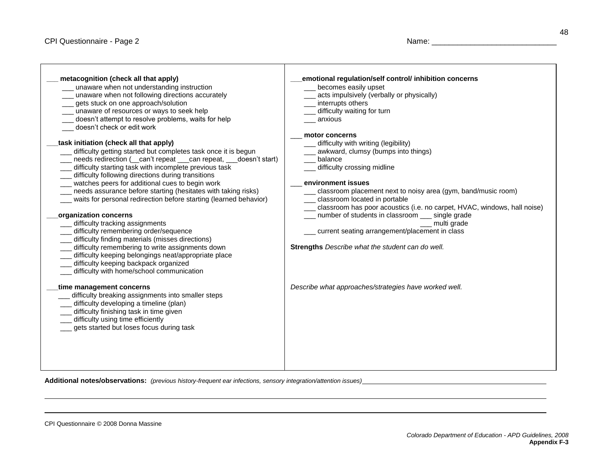| metacognition (check all that apply)<br>unaware when not understanding instruction<br>unaware when not following directions accurately<br>gets stuck on one approach/solution<br>unaware of resources or ways to seek help<br>doesn't attempt to resolve problems, waits for help<br>doesn't check or edit work<br>task initiation (check all that apply)<br>difficulty getting started but completes task once it is begun<br>_ needs redirection (__can't repeat ___can repeat, ___doesn't start)<br>difficulty starting task with incomplete previous task<br>_ difficulty following directions during transitions<br>_ watches peers for additional cues to begin work<br>needs assurance before starting (hesitates with taking risks)<br>waits for personal redirection before starting (learned behavior)<br>organization concerns<br>difficulty tracking assignments<br>___ difficulty remembering order/sequence<br>difficulty finding materials (misses directions)<br>difficulty remembering to write assignments down<br>difficulty keeping belongings neat/appropriate place<br>difficulty keeping backpack organized<br>difficulty with home/school communication | emotional regulation/self control/ inhibition concerns<br>becomes easily upset<br>acts impulsively (verbally or physically)<br>interrupts others<br>difficulty waiting for turn<br>anxious<br>motor concerns<br>difficulty with writing (legibility)<br>awkward, clumsy (bumps into things)<br>balance<br>difficulty crossing midline<br>environment issues<br>classroom placement next to noisy area (gym, band/music room)<br>classroom located in portable<br>classroom has poor acoustics (i.e. no carpet, HVAC, windows, hall noise)<br>number of students in classroom ___ single grade<br>multi grade<br>current seating arrangement/placement in class<br>Strengths Describe what the student can do well. |
|---------------------------------------------------------------------------------------------------------------------------------------------------------------------------------------------------------------------------------------------------------------------------------------------------------------------------------------------------------------------------------------------------------------------------------------------------------------------------------------------------------------------------------------------------------------------------------------------------------------------------------------------------------------------------------------------------------------------------------------------------------------------------------------------------------------------------------------------------------------------------------------------------------------------------------------------------------------------------------------------------------------------------------------------------------------------------------------------------------------------------------------------------------------------------------|--------------------------------------------------------------------------------------------------------------------------------------------------------------------------------------------------------------------------------------------------------------------------------------------------------------------------------------------------------------------------------------------------------------------------------------------------------------------------------------------------------------------------------------------------------------------------------------------------------------------------------------------------------------------------------------------------------------------|
| time management concerns<br>difficulty breaking assignments into smaller steps<br>difficulty developing a timeline (plan)<br>difficulty finishing task in time given<br>difficulty using time efficiently<br>gets started but loses focus during task                                                                                                                                                                                                                                                                                                                                                                                                                                                                                                                                                                                                                                                                                                                                                                                                                                                                                                                           | Describe what approaches/strategies have worked well.                                                                                                                                                                                                                                                                                                                                                                                                                                                                                                                                                                                                                                                              |

**Additional notes/observations:** *(previous history-frequent ear infections, sensory integration/attention issues)*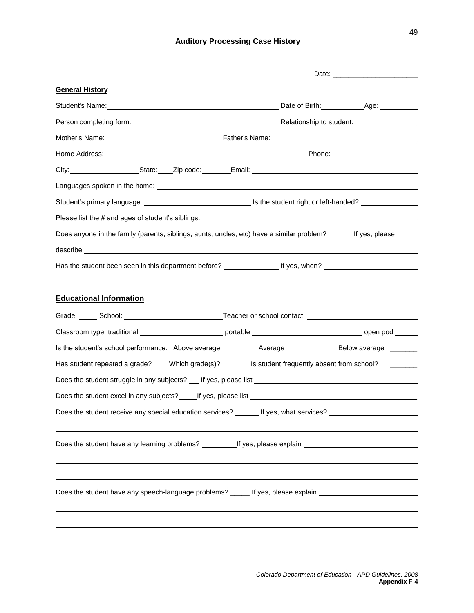| <b>General History</b>                                                                                                                                                                                                                                           |  |
|------------------------------------------------------------------------------------------------------------------------------------------------------------------------------------------------------------------------------------------------------------------|--|
| Student's Name: Manual According to the Control of Birth: Manual Age: Manual Age: Manual Age: Manual Age: Manual Age: Manual Age: Manual Age: Manual Age: Manual Age: Manual Age: Manual Age: Manual Age: Manual Age: Manual A                                   |  |
|                                                                                                                                                                                                                                                                  |  |
|                                                                                                                                                                                                                                                                  |  |
|                                                                                                                                                                                                                                                                  |  |
| City: City: City: City: City: City: City: City: City: City: City: City: City: City: City: City: City: City: City: City: City: City: City: City: City: City: City: City: City: City: City: City: City: City: City: City: City:                                    |  |
|                                                                                                                                                                                                                                                                  |  |
|                                                                                                                                                                                                                                                                  |  |
|                                                                                                                                                                                                                                                                  |  |
| Does anyone in the family (parents, siblings, aunts, uncles, etc) have a similar problem?<br>If yes, please                                                                                                                                                      |  |
|                                                                                                                                                                                                                                                                  |  |
|                                                                                                                                                                                                                                                                  |  |
| <b>Educational Information</b><br>Grade: School: School: School: School: Teacher or school contact: School: School: School: School: School: School: School: School: School: School: School: School: School: School: School: School: School: School: School: Scho |  |
|                                                                                                                                                                                                                                                                  |  |
| Is the student's school performance: Above average_________ Average______________ Below average________                                                                                                                                                          |  |
| Has student repeated a grade? ____Which grade(s)? _________Is student frequently absent from school? ________                                                                                                                                                    |  |
| Does the student struggle in any subjects? __ If yes, please list __________________________________                                                                                                                                                             |  |
|                                                                                                                                                                                                                                                                  |  |
| Does the student receive any special education services? _______ If yes, what services?                                                                                                                                                                          |  |
|                                                                                                                                                                                                                                                                  |  |
| Does the student have any learning problems? ___________ If yes, please explain ____________________                                                                                                                                                             |  |
|                                                                                                                                                                                                                                                                  |  |
|                                                                                                                                                                                                                                                                  |  |
| Does the student have any speech-language problems? ______ If yes, please explain _________________                                                                                                                                                              |  |
|                                                                                                                                                                                                                                                                  |  |
|                                                                                                                                                                                                                                                                  |  |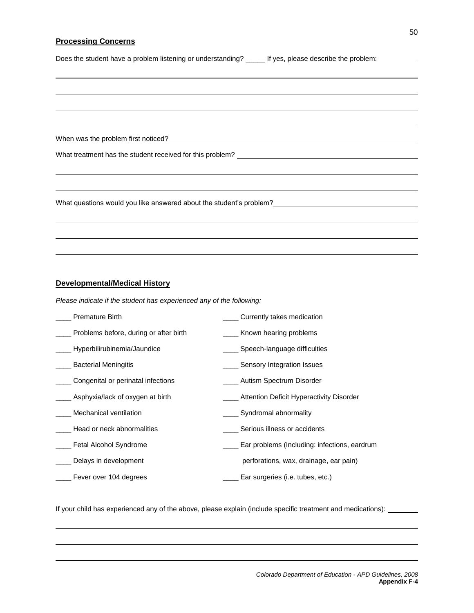#### **Processing Concerns**

Does the student have a problem listening or understanding? \_\_\_\_\_ If yes, please describe the problem: \_\_\_\_\_\_\_

When was the problem first noticed?\_\_\_\_

What treatment has the student received for this problem? \_\_\_\_\_\_

What questions would you like answered about the student's problem?<br>
<u>National consections</u>

#### **Developmental/Medical History**

*Please indicate if the student has experienced any of the following:*

| Premature Birth                        | Currently takes medication                   |
|----------------------------------------|----------------------------------------------|
| Problems before, during or after birth | Known hearing problems                       |
| Hyperbilirubinemia/Jaundice            | Speech-language difficulties                 |
| <b>Bacterial Meningitis</b>            | Sensory Integration Issues                   |
| Congenital or perinatal infections     | Autism Spectrum Disorder                     |
| Asphyxia/lack of oxygen at birth       | Attention Deficit Hyperactivity Disorder     |
| Mechanical ventilation                 | Syndromal abnormality                        |
| Head or neck abnormalities             | Serious illness or accidents                 |
| Fetal Alcohol Syndrome                 | Ear problems (Including: infections, eardrum |
| Delays in development                  | perforations, wax, drainage, ear pain)       |
| Fever over 104 degrees                 | Ear surgeries (i.e. tubes, etc.)             |

If your child has experienced any of the above, please explain (include specific treatment and medications): \_\_\_\_\_\_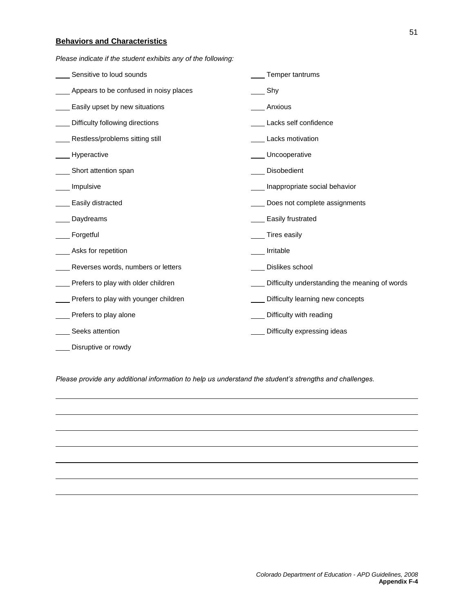### **Behaviors and Characteristics**

*Please indicate if the student exhibits any of the following:*

| Sensitive to loud sounds               | Temper tantrums                               |
|----------------------------------------|-----------------------------------------------|
| Appears to be confused in noisy places | Shy                                           |
| Easily upset by new situations         | Anxious                                       |
| Difficulty following directions        | Lacks self confidence                         |
| Restless/problems sitting still        | Lacks motivation                              |
| Hyperactive                            | Uncooperative                                 |
| Short attention span                   | Disobedient                                   |
| Impulsive                              | Inappropriate social behavior                 |
| Easily distracted                      | Does not complete assignments                 |
| Daydreams                              | Easily frustrated                             |
| Forgetful                              | Tires easily                                  |
| Asks for repetition                    | Irritable                                     |
| Reverses words, numbers or letters     | Dislikes school                               |
| Prefers to play with older children    | Difficulty understanding the meaning of words |
| Prefers to play with younger children  | Difficulty learning new concepts              |
| Prefers to play alone                  | Difficulty with reading                       |
| Seeks attention                        | Difficulty expressing ideas                   |
| Disruptive or rowdy                    |                                               |

*Please provide any additional information to help us understand the student's strengths and challenges.*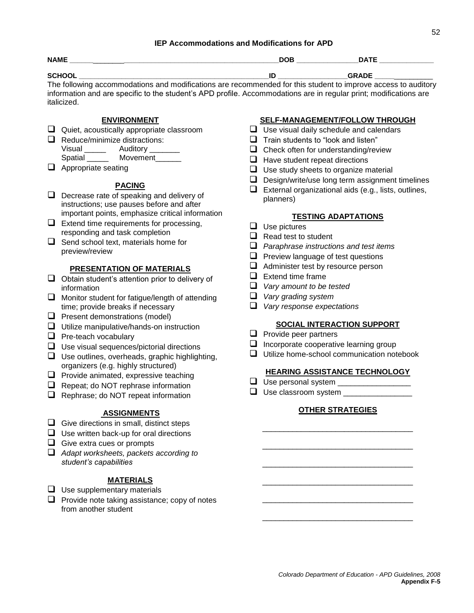## **NAME \_\_\_\_\_\_**\_\_\_\_\_\_\_\_**\_\_\_\_\_\_\_\_\_\_\_\_\_\_\_\_\_\_\_\_\_\_\_\_\_\_\_\_\_\_\_\_\_\_\_\_\_\_\_\_DOB \_\_\_\_\_\_\_\_\_\_\_\_\_\_\_\_DATE \_\_\_\_\_\_\_\_\_\_\_\_\_\_ SCHOOL \_\_\_\_\_\_\_\_\_\_\_\_\_\_\_\_\_\_\_\_\_\_\_\_\_\_\_\_\_\_\_\_\_\_\_\_\_\_\_\_\_\_\_\_\_\_\_\_\_ID \_\_\_\_\_\_\_\_\_\_\_\_\_\_\_\_\_\_GRADE \_\_\_\_\_**\_\_\_\_\_\_\_\_\_\_ The following accommodations and modifications are recommended for this student to improve access to auditory

information and are specific to the student's APD profile. Accommodations are in regular print; modifications are italicized.

## **ENVIRONMENT**

- $\Box$  Quiet, acoustically appropriate classroom
- $\Box$  Reduce/minimize distractions: Visual Auditory Spatial \_\_\_\_\_\_ Movement\_\_\_\_\_\_
- $\Box$  Appropriate seating

## **PACING**

- $\Box$  Decrease rate of speaking and delivery of instructions; use pauses before and after important points, emphasize critical information
- $\Box$  Extend time requirements for processing, responding and task completion
- $\Box$  Send school text, materials home for preview/review

## **PRESENTATION OF MATERIALS**

- $\Box$  Obtain student's attention prior to delivery of information
- $\Box$  Monitor student for fatigue/length of attending time; provide breaks if necessary
- $\Box$  Present demonstrations (model)
- $\Box$  Utilize manipulative/hands-on instruction
- $\Box$  Pre-teach vocabulary
- $\Box$  Use visual sequences/pictorial directions
- $\Box$  Use outlines, overheads, graphic highlighting, organizers (e.g. highly structured)
- $\Box$  Provide animated, expressive teaching
- $\Box$  Repeat; do NOT rephrase information
- $\Box$  Rephrase; do NOT repeat information

## **ASSIGNMENTS**

- $\Box$  Give directions in small, distinct steps
- $\Box$  Use written back-up for oral directions
- $\Box$  Give extra cues or prompts
- *Adapt worksheets, packets according to student's capabilities*

## **MATERIALS**

- $\Box$  Use supplementary materials
- $\Box$  Provide note taking assistance; copy of notes from another student

## **SELF-MANAGEMENT/FOLLOW THROUGH**

- $\Box$  Use visual daily schedule and calendars
- $\Box$  Train students to "look and listen"
- $\Box$  Check often for understanding/review
- $\Box$  Have student repeat directions
- $\Box$  Use study sheets to organize material
- $\Box$  Design/write/use long term assignment timelines
- $\Box$  External organizational aids (e.g., lists, outlines, planners)

## **TESTING ADAPTATIONS**

- $\Box$  Use pictures
- $\Box$  Read test to student
- *Paraphrase instructions and test items*
- $\Box$  Preview language of test questions
- $\Box$  Administer test by resource person
- $\Box$  Extend time frame
- *Vary amount to be tested*
- *Vary grading system*
- *Vary response expectations*

## **SOCIAL INTERACTION SUPPORT**

- $\Box$  Provide peer partners
- $\Box$  Incorporate cooperative learning group
- $\Box$  Utilize home-school communication notebook

## **HEARING ASSISTANCE TECHNOLOGY**

- **U** Use personal system \_\_\_\_\_\_\_\_\_\_\_\_\_\_\_\_\_\_
- $\Box$  Use classroom system

## **OTHER STRATEGIES**

\_\_\_\_\_\_\_\_\_\_\_\_\_\_\_\_\_\_\_\_\_\_\_\_\_\_\_\_\_\_\_\_\_\_\_

\_\_\_\_\_\_\_\_\_\_\_\_\_\_\_\_\_\_\_\_\_\_\_\_\_\_\_\_\_\_\_\_\_\_\_

\_\_\_\_\_\_\_\_\_\_\_\_\_\_\_\_\_\_\_\_\_\_\_\_\_\_\_\_\_\_\_\_\_\_\_

\_\_\_\_\_\_\_\_\_\_\_\_\_\_\_\_\_\_\_\_\_\_\_\_\_\_\_\_\_\_\_\_\_\_\_

\_\_\_\_\_\_\_\_\_\_\_\_\_\_\_\_\_\_\_\_\_\_\_\_\_\_\_\_\_\_\_\_\_\_\_

\_\_\_\_\_\_\_\_\_\_\_\_\_\_\_\_\_\_\_\_\_\_\_\_\_\_\_\_\_\_\_\_\_\_\_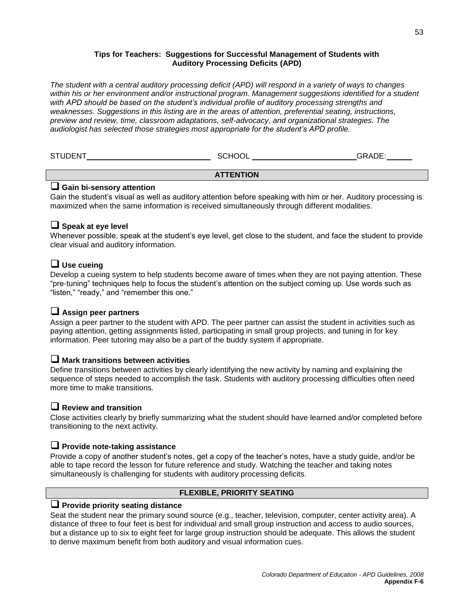#### **Tips for Teachers: Suggestions for Successful Management of Students with Auditory Processing Deficits (APD)**

*The student with a central auditory processing deficit (APD) will respond in a variety of ways to changes within his or her environment and/or instructional program. Management suggestions identified for a student*  with APD should be based on the student's individual profile of auditory processing strengths and *weaknesses. Suggestions in this listing are in the areas of attention, preferential seating, instructions, preview and review, time, classroom adaptations, self-advocacy, and organizational strategies. The audiologist has selected those strategies most appropriate for the student's APD profile.*

STUDENT SCHOOL SCHOOL GRADE:

# **Gain bi-sensory attention**

Gain the student's visual as well as auditory attention before speaking with him or her. Auditory processing is maximized when the same information is received simultaneously through different modalities.

**ATTENTION**

## **Speak at eye level**

Whenever possible, speak at the student's eye level, get close to the student, and face the student to provide clear visual and auditory information.

## **Use cueing**

Develop a cueing system to help students become aware of times when they are not paying attention. These "pre-tuning" techniques help to focus the student's attention on the subject coming up. Use words such as "listen," "ready," and "remember this one."

## **Assign peer partners**

Assign a peer partner to the student with APD. The peer partner can assist the student in activities such as paying attention, getting assignments listed, participating in small group projects, and tuning in for key information. Peer tutoring may also be a part of the buddy system if appropriate.

## **Mark transitions between activities**

Define transitions between activities by clearly identifying the new activity by naming and explaining the sequence of steps needed to accomplish the task. Students with auditory processing difficulties often need more time to make transitions.

## **Review and transition**

Close activities clearly by briefly summarizing what the student should have learned and/or completed before transitioning to the next activity.

### **Q** Provide note-taking assistance

Provide a copy of another student's notes, get a copy of the teacher's notes, have a study guide, and/or be able to tape record the lesson for future reference and study. Watching the teacher and taking notes simultaneously is challenging for students with auditory processing deficits.

#### **FLEXIBLE, PRIORITY SEATING**

## **Provide priority seating distance**

Seat the student near the primary sound source (e.g., teacher, television, computer, center activity area). A distance of three to four feet is best for individual and small group instruction and access to audio sources, but a distance up to six to eight feet for large group instruction should be adequate. This allows the student to derive maximum benefit from both auditory and visual information cues.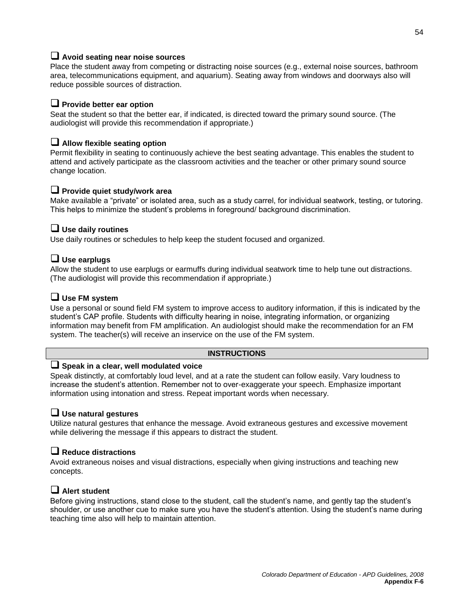## **Avoid seating near noise sources**

Place the student away from competing or distracting noise sources (e.g., external noise sources, bathroom area, telecommunications equipment, and aquarium). Seating away from windows and doorways also will reduce possible sources of distraction.

## **Provide better ear option**

Seat the student so that the better ear, if indicated, is directed toward the primary sound source. (The audiologist will provide this recommendation if appropriate.)

## **Allow flexible seating option**

Permit flexibility in seating to continuously achieve the best seating advantage. This enables the student to attend and actively participate as the classroom activities and the teacher or other primary sound source change location.

## **Provide quiet study/work area**

Make available a "private" or isolated area, such as a study carrel, for individual seatwork, testing, or tutoring. This helps to minimize the student's problems in foreground/ background discrimination.

## **Use daily routines**

Use daily routines or schedules to help keep the student focused and organized.

## **Use earplugs**

Allow the student to use earplugs or earmuffs during individual seatwork time to help tune out distractions. (The audiologist will provide this recommendation if appropriate.)

## **Use FM system**

Use a personal or sound field FM system to improve access to auditory information, if this is indicated by the student's CAP profile. Students with difficulty hearing in noise, integrating information, or organizing information may benefit from FM amplification. An audiologist should make the recommendation for an FM system. The teacher(s) will receive an inservice on the use of the FM system.

#### **INSTRUCTIONS**

## **Speak in a clear, well modulated voice**

Speak distinctly, at comfortably loud level, and at a rate the student can follow easily. Vary loudness to increase the student's attention. Remember not to over-exaggerate your speech. Emphasize important information using intonation and stress. Repeat important words when necessary.

## **Use natural gestures**

Utilize natural gestures that enhance the message. Avoid extraneous gestures and excessive movement while delivering the message if this appears to distract the student.

## **Reduce distractions**

Avoid extraneous noises and visual distractions, especially when giving instructions and teaching new concepts.

## **Alert student**

Before giving instructions, stand close to the student, call the student's name, and gently tap the student's shoulder, or use another cue to make sure you have the student's attention. Using the student's name during teaching time also will help to maintain attention.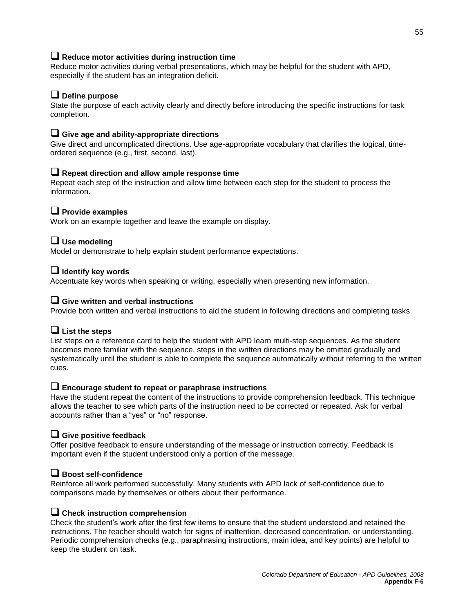## **Reduce motor activities during instruction time**

Reduce motor activities during verbal presentations, which may be helpful for the student with APD, especially if the student has an integration deficit.

## **Define purpose**

State the purpose of each activity clearly and directly before introducing the specific instructions for task completion.



## **Give age and ability-appropriate directions**

Give direct and uncomplicated directions. Use age-appropriate vocabulary that clarifies the logical, timeordered sequence (e.g., first, second, last).

## **Repeat direction and allow ample response time**

Repeat each step of the instruction and allow time between each step for the student to process the information.

## $\Box$  Provide examples

Work on an example together and leave the example on display.

## **Use modeling**

Model or demonstrate to help explain student performance expectations.

### **Identify key words**

Accentuate key words when speaking or writing, especially when presenting new information.

## **Give written and verbal instructions**

Provide both written and verbal instructions to aid the student in following directions and completing tasks.

## **List the steps**

List steps on a reference card to help the student with APD learn multi-step sequences. As the student becomes more familiar with the sequence, steps in the written directions may be omitted gradually and systematically until the student is able to complete the sequence automatically without referring to the written cues.

## **Encourage student to repeat or paraphrase instructions**

Have the student repeat the content of the instructions to provide comprehension feedback. This technique allows the teacher to see which parts of the instruction need to be corrected or repeated. Ask for verbal accounts rather than a "yes" or "no" response.

### **Give positive feedback**

Offer positive feedback to ensure understanding of the message or instruction correctly. Feedback is important even if the student understood only a portion of the message.

## **Boost self-confidence**

Reinforce all work performed successfully. Many students with APD lack of self-confidence due to comparisons made by themselves or others about their performance.

## **Check instruction comprehension**

Check the student's work after the first few items to ensure that the student understood and retained the instructions. The teacher should watch for signs of inattention, decreased concentration, or understanding. Periodic comprehension checks (e.g., paraphrasing instructions, main idea, and key points) are helpful to keep the student on task.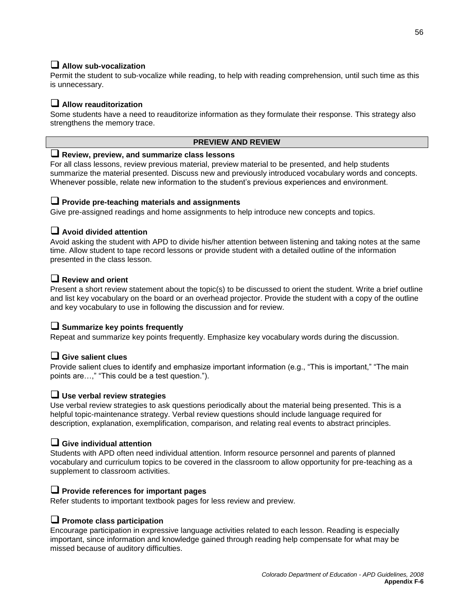## **Allow sub-vocalization**

Permit the student to sub-vocalize while reading, to help with reading comprehension, until such time as this is unnecessary.

## **Allow reauditorization**

Some students have a need to reauditorize information as they formulate their response. This strategy also strengthens the memory trace.

## **PREVIEW AND REVIEW**

## **Review, preview, and summarize class lessons**

For all class lessons, review previous material, preview material to be presented, and help students summarize the material presented. Discuss new and previously introduced vocabulary words and concepts. Whenever possible, relate new information to the student's previous experiences and environment.

## **Provide pre-teaching materials and assignments**

Give pre-assigned readings and home assignments to help introduce new concepts and topics.

## **Avoid divided attention**

Avoid asking the student with APD to divide his/her attention between listening and taking notes at the same time. Allow student to tape record lessons or provide student with a detailed outline of the information presented in the class lesson.

## **Review and orient**

Present a short review statement about the topic(s) to be discussed to orient the student. Write a brief outline and list key vocabulary on the board or an overhead projector. Provide the student with a copy of the outline and key vocabulary to use in following the discussion and for review.

## **Summarize key points frequently**

Repeat and summarize key points frequently. Emphasize key vocabulary words during the discussion.

## **Give salient clues**

Provide salient clues to identify and emphasize important information (e.g., "This is important," "The main points are…," "This could be a test question.").

## **Use verbal review strategies**

Use verbal review strategies to ask questions periodically about the material being presented. This is a helpful topic-maintenance strategy. Verbal review questions should include language required for description, explanation, exemplification, comparison, and relating real events to abstract principles.

## **Give individual attention**

Students with APD often need individual attention. Inform resource personnel and parents of planned vocabulary and curriculum topics to be covered in the classroom to allow opportunity for pre-teaching as a supplement to classroom activities.

## **Provide references for important pages**

Refer students to important textbook pages for less review and preview.

## **Promote class participation**

Encourage participation in expressive language activities related to each lesson. Reading is especially important, since information and knowledge gained through reading help compensate for what may be missed because of auditory difficulties.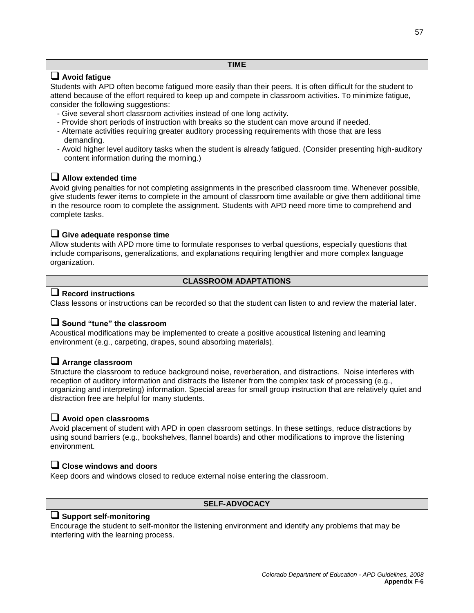#### **TIME**

## **Avoid fatigue**

Students with APD often become fatigued more easily than their peers. It is often difficult for the student to attend because of the effort required to keep up and compete in classroom activities. To minimize fatigue, consider the following suggestions:

- Give several short classroom activities instead of one long activity.
- Provide short periods of instruction with breaks so the student can move around if needed.
- Alternate activities requiring greater auditory processing requirements with those that are less demanding.
- Avoid higher level auditory tasks when the student is already fatigued. (Consider presenting high-auditory content information during the morning.)

## **Allow extended time**

Avoid giving penalties for not completing assignments in the prescribed classroom time. Whenever possible, give students fewer items to complete in the amount of classroom time available or give them additional time in the resource room to complete the assignment. Students with APD need more time to comprehend and complete tasks.

## **Give adequate response time**

Allow students with APD more time to formulate responses to verbal questions, especially questions that include comparisons, generalizations, and explanations requiring lengthier and more complex language organization.

## **CLASSROOM ADAPTATIONS**

## **Record instructions**

Class lessons or instructions can be recorded so that the student can listen to and review the material later.

## **Sound "tune" the classroom**

Acoustical modifications may be implemented to create a positive acoustical listening and learning environment (e.g., carpeting, drapes, sound absorbing materials).

## **Arrange classroom**

Structure the classroom to reduce background noise, reverberation, and distractions. Noise interferes with reception of auditory information and distracts the listener from the complex task of processing (e.g., organizing and interpreting) information. Special areas for small group instruction that are relatively quiet and distraction free are helpful for many students.

## **Avoid open classrooms**

Avoid placement of student with APD in open classroom settings. In these settings, reduce distractions by using sound barriers (e.g., bookshelves, flannel boards) and other modifications to improve the listening environment.

## **Close windows and doors**

Keep doors and windows closed to reduce external noise entering the classroom.

#### **SELF-ADVOCACY**

## **Support self-monitoring**

Encourage the student to self-monitor the listening environment and identify any problems that may be interfering with the learning process.